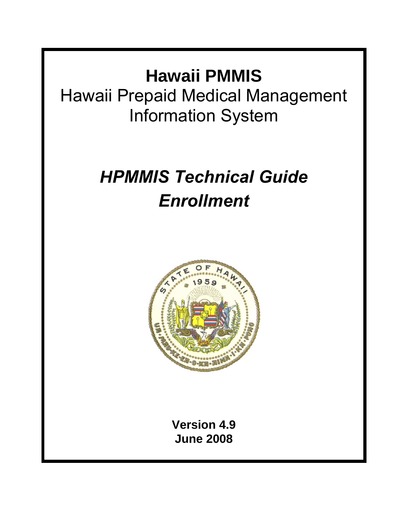# **Hawaii PMMIS**

Hawaii Prepaid Medical Management Information System

# *HPMMIS Technical Guide Enrollment*



**Version 4.9 June 2008**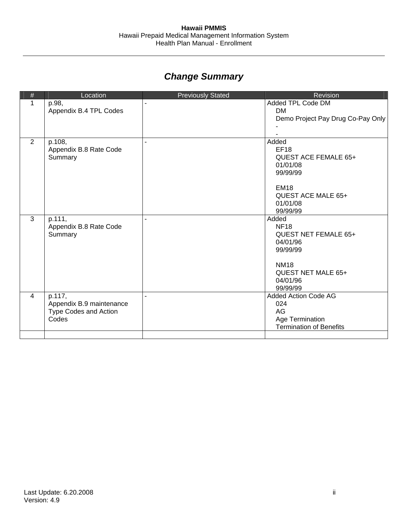# *Change Summary*

| $\#$           | Location                                                             | <b>Previously Stated</b> | Revision                                                                                                                                 |
|----------------|----------------------------------------------------------------------|--------------------------|------------------------------------------------------------------------------------------------------------------------------------------|
| 1              | p.98,<br>Appendix B.4 TPL Codes                                      |                          | Added TPL Code DM<br><b>DM</b><br>Demo Project Pay Drug Co-Pay Only                                                                      |
| 2              | p.108,<br>Appendix B.8 Rate Code<br>Summary                          |                          | Added<br><b>EF18</b><br><b>QUEST ACE FEMALE 65+</b><br>01/01/08<br>99/99/99<br><b>EM18</b><br>QUEST ACE MALE 65+<br>01/01/08<br>99/99/99 |
| $\overline{3}$ | p.111,<br>Appendix B.8 Rate Code<br>Summary                          |                          | Added<br><b>NF18</b><br><b>QUEST NET FEMALE 65+</b><br>04/01/96<br>99/99/99<br><b>NM18</b><br>QUEST NET MALE 65+<br>04/01/96<br>99/99/99 |
| 4              | p.117,<br>Appendix B.9 maintenance<br>Type Codes and Action<br>Codes |                          | Added Action Code AG<br>024<br>AG<br>Age Termination<br><b>Termination of Benefits</b>                                                   |
|                |                                                                      |                          |                                                                                                                                          |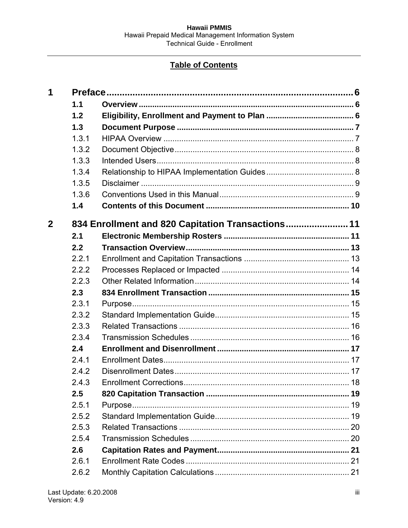# **Table of Contents**

| 1           |       |                                                   |  |
|-------------|-------|---------------------------------------------------|--|
|             | 1.1   |                                                   |  |
|             | 1.2   |                                                   |  |
|             | 1.3   |                                                   |  |
|             | 1.3.1 |                                                   |  |
|             | 1.3.2 |                                                   |  |
|             | 1.3.3 |                                                   |  |
|             | 1.3.4 |                                                   |  |
|             | 1.3.5 |                                                   |  |
|             | 1.3.6 |                                                   |  |
|             | 1.4   |                                                   |  |
| $\mathbf 2$ |       | 834 Enrollment and 820 Capitation Transactions 11 |  |
|             | 2.1   |                                                   |  |
|             | 2.2   |                                                   |  |
|             | 2.2.1 |                                                   |  |
|             | 2.2.2 |                                                   |  |
|             | 2.2.3 |                                                   |  |
|             | 2.3   |                                                   |  |
|             | 2.3.1 |                                                   |  |
|             | 2.3.2 |                                                   |  |
|             | 2.3.3 |                                                   |  |
|             | 2.3.4 |                                                   |  |
|             | 2.4   |                                                   |  |
|             | 2.4.1 |                                                   |  |
|             | 2.4.2 |                                                   |  |
|             | 2.4.3 | <b>Enrollment Corrections.</b>                    |  |
|             | 2.5   |                                                   |  |
|             | 2.5.1 |                                                   |  |
|             | 2.5.2 |                                                   |  |
|             | 2.5.3 |                                                   |  |
|             | 2.5.4 |                                                   |  |
|             | 2.6   |                                                   |  |
|             | 2.6.1 |                                                   |  |
|             | 2.6.2 |                                                   |  |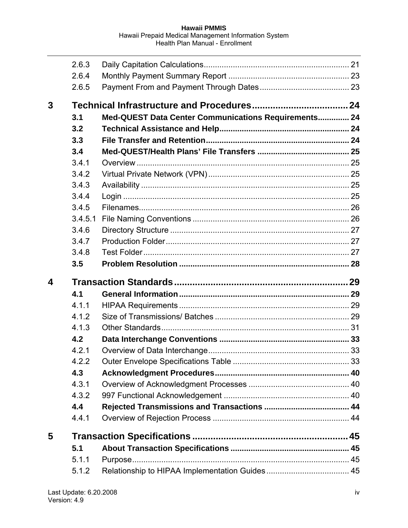|                  | 2.6.3<br>2.6.4 |                                                      |  |
|------------------|----------------|------------------------------------------------------|--|
|                  | 2.6.5          |                                                      |  |
| 3                |                |                                                      |  |
|                  | 3.1            | Med-QUEST Data Center Communications Requirements 24 |  |
|                  | 3.2            |                                                      |  |
|                  | 3.3            |                                                      |  |
|                  | 3.4            |                                                      |  |
|                  | 3.4.1          |                                                      |  |
|                  | 3.4.2          |                                                      |  |
|                  | 3.4.3          |                                                      |  |
|                  | 3.4.4          |                                                      |  |
|                  | 3.4.5          |                                                      |  |
|                  | 3.4.5.1        |                                                      |  |
|                  | 3.4.6          |                                                      |  |
|                  | 3.4.7          |                                                      |  |
|                  | 3.4.8          |                                                      |  |
|                  | 3.5            |                                                      |  |
|                  |                |                                                      |  |
| $\boldsymbol{4}$ |                |                                                      |  |
|                  | 4.1            |                                                      |  |
|                  | 4.1.1          |                                                      |  |
|                  | 4.1.2          |                                                      |  |
|                  | 4.1.3          |                                                      |  |
|                  | 4.2            |                                                      |  |
|                  | 4.2.1          |                                                      |  |
|                  | 4.2.2          |                                                      |  |
|                  | 4.3            |                                                      |  |
|                  | 4.3.1          |                                                      |  |
|                  | 4.3.2          |                                                      |  |
|                  | 4.4            |                                                      |  |
|                  | 4.4.1          |                                                      |  |
| 5                |                |                                                      |  |
|                  | 5.1            |                                                      |  |
|                  | 5.1.1          |                                                      |  |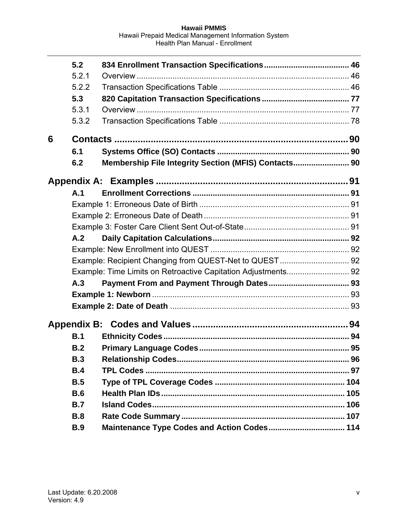|   | 5.2        |                                                      |  |
|---|------------|------------------------------------------------------|--|
|   | 5.2.1      |                                                      |  |
|   | 5.2.2      |                                                      |  |
|   | 5.3        |                                                      |  |
|   | 5.3.1      |                                                      |  |
|   | 5.3.2      |                                                      |  |
| 6 |            |                                                      |  |
|   | 6.1        |                                                      |  |
|   | 6.2        | Membership File Integrity Section (MFIS) Contacts 90 |  |
|   |            |                                                      |  |
|   | A.1        |                                                      |  |
|   |            |                                                      |  |
|   |            |                                                      |  |
|   |            |                                                      |  |
|   | A.2        |                                                      |  |
|   |            |                                                      |  |
|   |            |                                                      |  |
|   |            |                                                      |  |
|   | A.3        |                                                      |  |
|   |            |                                                      |  |
|   |            |                                                      |  |
|   |            |                                                      |  |
|   | B.1        |                                                      |  |
|   | B.2        |                                                      |  |
|   | B.3        |                                                      |  |
|   | B.4        |                                                      |  |
|   | B.5        |                                                      |  |
|   | <b>B.6</b> |                                                      |  |
|   | B.7        |                                                      |  |
|   | <b>B.8</b> |                                                      |  |
|   | <b>B.9</b> | Maintenance Type Codes and Action Codes 114          |  |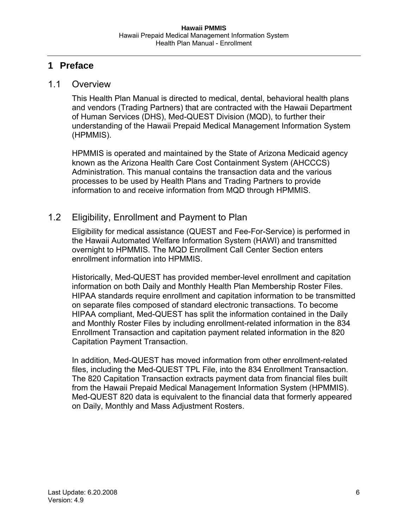# <span id="page-5-1"></span><span id="page-5-0"></span>**1 Preface**

#### <span id="page-5-2"></span>1.1 Overview

This Health Plan Manual is directed to medical, dental, behavioral health plans and vendors (Trading Partners) that are contracted with the Hawaii Department of Human Services (DHS), Med-QUEST Division (MQD), to further their understanding of the Hawaii Prepaid Medical Management Information System (HPMMIS).

HPMMIS is operated and maintained by the State of Arizona Medicaid agency known as the Arizona Health Care Cost Containment System (AHCCCS) Administration. This manual contains the transaction data and the various processes to be used by Health Plans and Trading Partners to provide information to and receive information from MQD through HPMMIS.

## <span id="page-5-3"></span>1.2 Eligibility, Enrollment and Payment to Plan

Eligibility for medical assistance (QUEST and Fee-For-Service) is performed in the Hawaii Automated Welfare Information System (HAWI) and transmitted overnight to HPMMIS. The MQD Enrollment Call Center Section enters enrollment information into HPMMIS.

Historically, Med-QUEST has provided member-level enrollment and capitation information on both Daily and Monthly Health Plan Membership Roster Files. HIPAA standards require enrollment and capitation information to be transmitted on separate files composed of standard electronic transactions. To become HIPAA compliant, Med-QUEST has split the information contained in the Daily and Monthly Roster Files by including enrollment-related information in the 834 Enrollment Transaction and capitation payment related information in the 820 Capitation Payment Transaction.

In addition, Med-QUEST has moved information from other enrollment-related files, including the Med-QUEST TPL File, into the 834 Enrollment Transaction. The 820 Capitation Transaction extracts payment data from financial files built from the Hawaii Prepaid Medical Management Information System (HPMMIS). Med-QUEST 820 data is equivalent to the financial data that formerly appeared on Daily, Monthly and Mass Adjustment Rosters.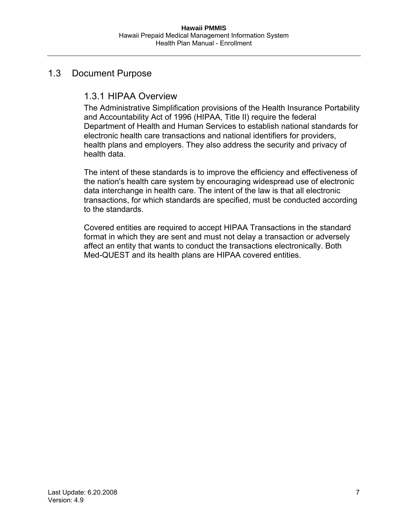## <span id="page-6-2"></span><span id="page-6-1"></span><span id="page-6-0"></span>1.3 Document Purpose

# 1.3.1 HIPAA Overview

The Administrative Simplification provisions of the Health Insurance Portability and Accountability Act of 1996 (HIPAA, Title II) require the federal Department of Health and Human Services to establish national standards for electronic health care transactions and national identifiers for providers, health plans and employers. They also address the security and privacy of health data.

The intent of these standards is to improve the efficiency and effectiveness of the nation's health care system by encouraging widespread use of electronic data interchange in health care. The intent of the law is that all electronic transactions, for which standards are specified, must be conducted according to the standards.

Covered entities are required to accept HIPAA Transactions in the standard format in which they are sent and must not delay a transaction or adversely affect an entity that wants to conduct the transactions electronically. Both Med-QUEST and its health plans are HIPAA covered entities.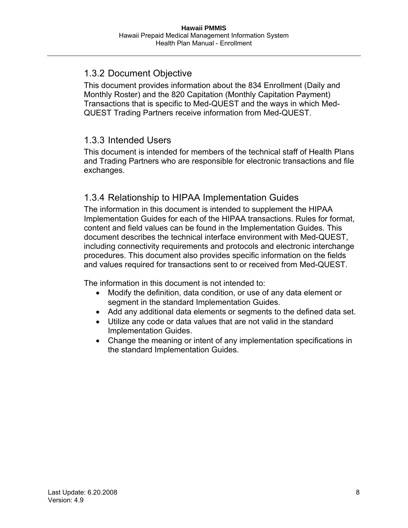# <span id="page-7-1"></span><span id="page-7-0"></span>1.3.2 Document Objective

This document provides information about the 834 Enrollment (Daily and Monthly Roster) and the 820 Capitation (Monthly Capitation Payment) Transactions that is specific to Med-QUEST and the ways in which Med-QUEST Trading Partners receive information from Med-QUEST.

# <span id="page-7-2"></span>1.3.3 Intended Users

This document is intended for members of the technical staff of Health Plans and Trading Partners who are responsible for electronic transactions and file exchanges.

# <span id="page-7-3"></span>1.3.4 Relationship to HIPAA Implementation Guides

The information in this document is intended to supplement the HIPAA Implementation Guides for each of the HIPAA transactions. Rules for format, content and field values can be found in the Implementation Guides. This document describes the technical interface environment with Med-QUEST, including connectivity requirements and protocols and electronic interchange procedures. This document also provides specific information on the fields and values required for transactions sent to or received from Med-QUEST.

The information in this document is not intended to:

- Modify the definition, data condition, or use of any data element or segment in the standard Implementation Guides.
- Add any additional data elements or segments to the defined data set.
- Utilize any code or data values that are not valid in the standard Implementation Guides.
- Change the meaning or intent of any implementation specifications in the standard Implementation Guides.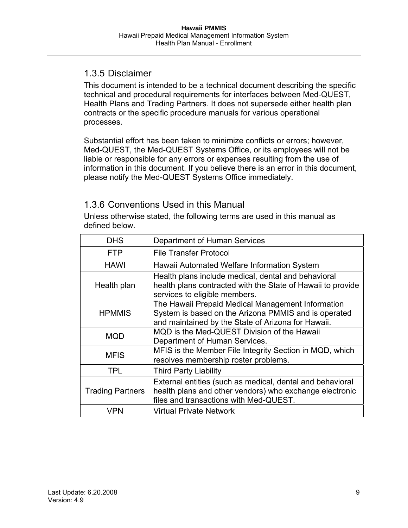## <span id="page-8-1"></span><span id="page-8-0"></span>1.3.5 Disclaimer

This document is intended to be a technical document describing the specific technical and procedural requirements for interfaces between Med-QUEST, Health Plans and Trading Partners. It does not supersede either health plan contracts or the specific procedure manuals for various operational processes.

Substantial effort has been taken to minimize conflicts or errors; however, Med-QUEST, the Med-QUEST Systems Office, or its employees will not be liable or responsible for any errors or expenses resulting from the use of information in this document. If you believe there is an error in this document, please notify the Med-QUEST Systems Office immediately.

## 1.3.6 Conventions Used in this Manual

<span id="page-8-2"></span>Unless otherwise stated, the following terms are used in this manual as defined below.

| <b>DHS</b><br>Department of Human Services |                                                                                                                                                                 |  |
|--------------------------------------------|-----------------------------------------------------------------------------------------------------------------------------------------------------------------|--|
| <b>FTP</b>                                 | <b>File Transfer Protocol</b>                                                                                                                                   |  |
| <b>HAWI</b>                                | Hawaii Automated Welfare Information System                                                                                                                     |  |
| Health plan                                | Health plans include medical, dental and behavioral<br>health plans contracted with the State of Hawaii to provide<br>services to eligible members.             |  |
| <b>HPMMIS</b>                              | The Hawaii Prepaid Medical Management Information<br>System is based on the Arizona PMMIS and is operated<br>and maintained by the State of Arizona for Hawaii. |  |
| <b>MQD</b>                                 | MQD is the Med-QUEST Division of the Hawaii<br>Department of Human Services.                                                                                    |  |
| <b>MFIS</b>                                | MFIS is the Member File Integrity Section in MQD, which<br>resolves membership roster problems.                                                                 |  |
| <b>TPL</b>                                 | <b>Third Party Liability</b>                                                                                                                                    |  |
| <b>Trading Partners</b>                    | External entities (such as medical, dental and behavioral<br>health plans and other vendors) who exchange electronic<br>files and transactions with Med-QUEST.  |  |
| VPN                                        | <b>Virtual Private Network</b>                                                                                                                                  |  |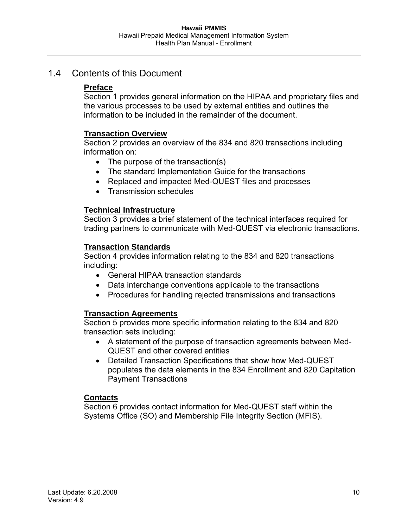#### <span id="page-9-1"></span><span id="page-9-0"></span>1.4 Contents of this Document

#### **Preface**

Section 1 provides general information on the HIPAA and proprietary files and the various processes to be used by external entities and outlines the information to be included in the remainder of the document.

#### **Transaction Overview**

Section 2 provides an overview of the 834 and 820 transactions including information on:

- The purpose of the transaction(s)
- The standard Implementation Guide for the transactions
- Replaced and impacted Med-QUEST files and processes
- Transmission schedules

#### **Technical Infrastructure**

Section 3 provides a brief statement of the technical interfaces required for trading partners to communicate with Med-QUEST via electronic transactions.

#### **Transaction Standards**

Section 4 provides information relating to the 834 and 820 transactions including:

- General HIPAA transaction standards
- Data interchange conventions applicable to the transactions
- Procedures for handling rejected transmissions and transactions

#### **Transaction Agreements**

Section 5 provides more specific information relating to the 834 and 820 transaction sets including:

- A statement of the purpose of transaction agreements between Med-QUEST and other covered entities
- Detailed Transaction Specifications that show how Med-QUEST populates the data elements in the 834 Enrollment and 820 Capitation Payment Transactions

#### **Contacts**

Section 6 provides contact information for Med-QUEST staff within the Systems Office (SO) and Membership File Integrity Section (MFIS).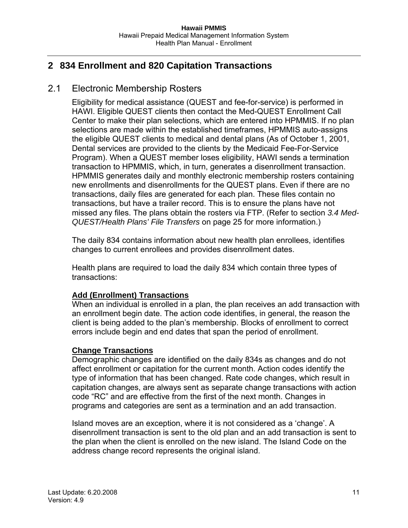# <span id="page-10-1"></span><span id="page-10-0"></span>**2 834 Enrollment and 820 Capitation Transactions**

#### <span id="page-10-2"></span>2.1 Electronic Membership Rosters

Eligibility for medical assistance (QUEST and fee-for-service) is performed in HAWI. Eligible QUEST clients then contact the Med-QUEST Enrollment Call Center to make their plan selections, which are entered into HPMMIS. If no plan selections are made within the established timeframes, HPMMIS auto-assigns the eligible QUEST clients to medical and dental plans (As of October 1, 2001, Dental services are provided to the clients by the Medicaid Fee-For-Service Program). When a QUEST member loses eligibility, HAWI sends a termination transaction to HPMMIS, which, in turn, generates a disenrollment transaction. HPMMIS generates daily and monthly electronic membership rosters containing new enrollments and disenrollments for the QUEST plans. Even if there are no transactions, daily files are generated for each plan. These files contain no transactions, but have a trailer record. This is to ensure the plans have not missed any files. The plans obtain the rosters via FTP. (Refer to section *3.4 Med-QUEST/Health Plans' File Transfers* on page [25](#page-24-1) for more information.)

The daily 834 contains information about new health plan enrollees, identifies changes to current enrollees and provides disenrollment dates.

Health plans are required to load the daily 834 which contain three types of transactions:

#### **Add (Enrollment) Transactions**

When an individual is enrolled in a plan, the plan receives an add transaction with an enrollment begin date. The action code identifies, in general, the reason the client is being added to the plan's membership. Blocks of enrollment to correct errors include begin and end dates that span the period of enrollment.

#### **Change Transactions**

Demographic changes are identified on the daily 834s as changes and do not affect enrollment or capitation for the current month. Action codes identify the type of information that has been changed. Rate code changes, which result in capitation changes, are always sent as separate change transactions with action code "RC" and are effective from the first of the next month. Changes in programs and categories are sent as a termination and an add transaction.

Island moves are an exception, where it is not considered as a 'change'. A disenrollment transaction is sent to the old plan and an add transaction is sent to the plan when the client is enrolled on the new island. The Island Code on the address change record represents the original island.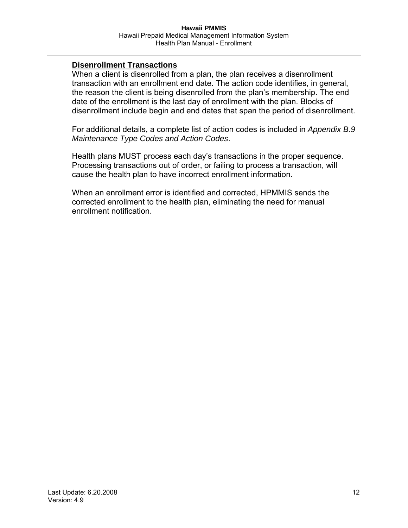#### **Disenrollment Transactions**

When a client is disenrolled from a plan, the plan receives a disenrollment transaction with an enrollment end date. The action code identifies, in general, the reason the client is being disenrolled from the plan's membership. The end date of the enrollment is the last day of enrollment with the plan. Blocks of disenrollment include begin and end dates that span the period of disenrollment.

For additional details, a complete list of action codes is included in *Appendix [B.9](#page-113-1) [Maintenance Type Codes and Action Codes](#page-113-1)*.

Health plans MUST process each day's transactions in the proper sequence. Processing transactions out of order, or failing to process a transaction, will cause the health plan to have incorrect enrollment information.

When an enrollment error is identified and corrected, HPMMIS sends the corrected enrollment to the health plan, eliminating the need for manual enrollment notification.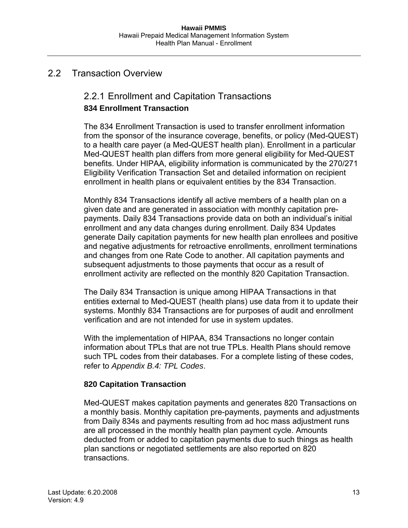## <span id="page-12-2"></span><span id="page-12-1"></span><span id="page-12-0"></span>2.2 Transaction Overview

# 2.2.1 Enrollment and Capitation Transactions **834 Enrollment Transaction**

The 834 Enrollment Transaction is used to transfer enrollment information from the sponsor of the insurance coverage, benefits, or policy (Med-QUEST) to a health care payer (a Med-QUEST health plan). Enrollment in a particular Med-QUEST health plan differs from more general eligibility for Med-QUEST benefits. Under HIPAA, eligibility information is communicated by the 270/271 Eligibility Verification Transaction Set and detailed information on recipient enrollment in health plans or equivalent entities by the 834 Transaction.

Monthly 834 Transactions identify all active members of a health plan on a given date and are generated in association with monthly capitation prepayments. Daily 834 Transactions provide data on both an individual's initial enrollment and any data changes during enrollment. Daily 834 Updates generate Daily capitation payments for new health plan enrollees and positive and negative adjustments for retroactive enrollments, enrollment terminations and changes from one Rate Code to another. All capitation payments and subsequent adjustments to those payments that occur as a result of enrollment activity are reflected on the monthly 820 Capitation Transaction.

The Daily 834 Transaction is unique among HIPAA Transactions in that entities external to Med-QUEST (health plans) use data from it to update their systems. Monthly 834 Transactions are for purposes of audit and enrollment verification and are not intended for use in system updates.

With the implementation of HIPAA, 834 Transactions no longer contain information about TPLs that are not true TPLs. Health Plans should remove such TPL codes from their databases. For a complete listing of these codes, refer to *Appendix B.4: TPL Codes*.

#### **820 Capitation Transaction**

Med-QUEST makes capitation payments and generates 820 Transactions on a monthly basis. Monthly capitation pre-payments, payments and adjustments from Daily 834s and payments resulting from ad hoc mass adjustment runs are all processed in the monthly health plan payment cycle. Amounts deducted from or added to capitation payments due to such things as health plan sanctions or negotiated settlements are also reported on 820 transactions.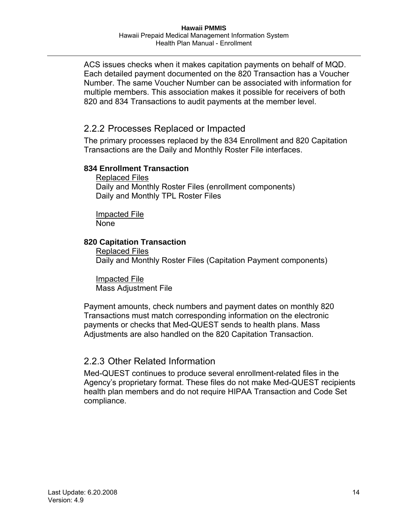<span id="page-13-0"></span>ACS issues checks when it makes capitation payments on behalf of MQD. Each detailed payment documented on the 820 Transaction has a Voucher Number. The same Voucher Number can be associated with information for multiple members. This association makes it possible for receivers of both 820 and 834 Transactions to audit payments at the member level.

## <span id="page-13-1"></span>2.2.2 Processes Replaced or Impacted

The primary processes replaced by the 834 Enrollment and 820 Capitation Transactions are the Daily and Monthly Roster File interfaces.

#### **834 Enrollment Transaction**

Replaced Files Daily and Monthly Roster Files (enrollment components) Daily and Monthly TPL Roster Files

Impacted File None

#### **820 Capitation Transaction**

Replaced Files Daily and Monthly Roster Files (Capitation Payment components)

Impacted File Mass Adjustment File

Payment amounts, check numbers and payment dates on monthly 820 Transactions must match corresponding information on the electronic payments or checks that Med-QUEST sends to health plans. Mass Adjustments are also handled on the 820 Capitation Transaction.

## <span id="page-13-2"></span>2.2.3 Other Related Information

Med-QUEST continues to produce several enrollment-related files in the Agency's proprietary format. These files do not make Med-QUEST recipients health plan members and do not require HIPAA Transaction and Code Set compliance.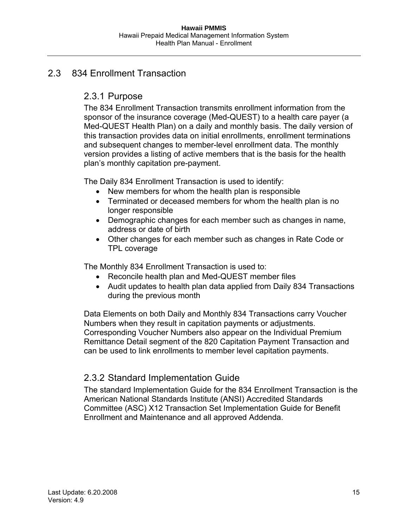## <span id="page-14-2"></span><span id="page-14-1"></span><span id="page-14-0"></span>2.3 834 Enrollment Transaction

# 2.3.1 Purpose

The 834 Enrollment Transaction transmits enrollment information from the sponsor of the insurance coverage (Med-QUEST) to a health care payer (a Med-QUEST Health Plan) on a daily and monthly basis. The daily version of this transaction provides data on initial enrollments, enrollment terminations and subsequent changes to member-level enrollment data. The monthly version provides a listing of active members that is the basis for the health plan's monthly capitation pre-payment.

The Daily 834 Enrollment Transaction is used to identify:

- New members for whom the health plan is responsible
- Terminated or deceased members for whom the health plan is no longer responsible
- Demographic changes for each member such as changes in name, address or date of birth
- Other changes for each member such as changes in Rate Code or TPL coverage

The Monthly 834 Enrollment Transaction is used to:

- Reconcile health plan and Med-QUEST member files
- Audit updates to health plan data applied from Daily 834 Transactions during the previous month

Data Elements on both Daily and Monthly 834 Transactions carry Voucher Numbers when they result in capitation payments or adjustments. Corresponding Voucher Numbers also appear on the Individual Premium Remittance Detail segment of the 820 Capitation Payment Transaction and can be used to link enrollments to member level capitation payments.

## <span id="page-14-3"></span>2.3.2 Standard Implementation Guide

The standard Implementation Guide for the 834 Enrollment Transaction is the American National Standards Institute (ANSI) Accredited Standards Committee (ASC) X12 Transaction Set Implementation Guide for Benefit Enrollment and Maintenance and all approved Addenda.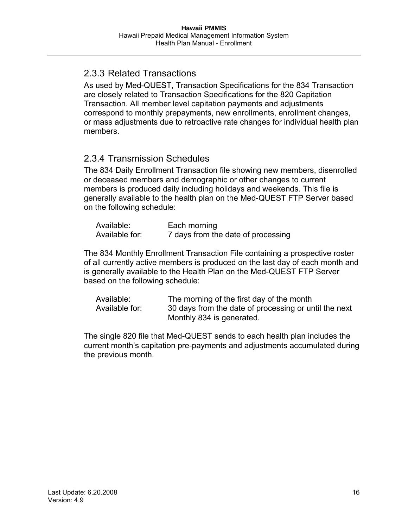# <span id="page-15-1"></span><span id="page-15-0"></span>2.3.3 Related Transactions

As used by Med-QUEST, Transaction Specifications for the 834 Transaction are closely related to Transaction Specifications for the 820 Capitation Transaction. All member level capitation payments and adjustments correspond to monthly prepayments, new enrollments, enrollment changes, or mass adjustments due to retroactive rate changes for individual health plan members.

# <span id="page-15-2"></span>2.3.4 Transmission Schedules

The 834 Daily Enrollment Transaction file showing new members, disenrolled or deceased members and demographic or other changes to current members is produced daily including holidays and weekends. This file is generally available to the health plan on the Med-QUEST FTP Server based on the following schedule:

| Available:     | Each morning                       |
|----------------|------------------------------------|
| Available for: | 7 days from the date of processing |

The 834 Monthly Enrollment Transaction File containing a prospective roster of all currently active members is produced on the last day of each month and is generally available to the Health Plan on the Med-QUEST FTP Server based on the following schedule:

| Available:     | The morning of the first day of the month             |
|----------------|-------------------------------------------------------|
| Available for: | 30 days from the date of processing or until the next |
|                | Monthly 834 is generated.                             |

The single 820 file that Med-QUEST sends to each health plan includes the current month's capitation pre-payments and adjustments accumulated during the previous month.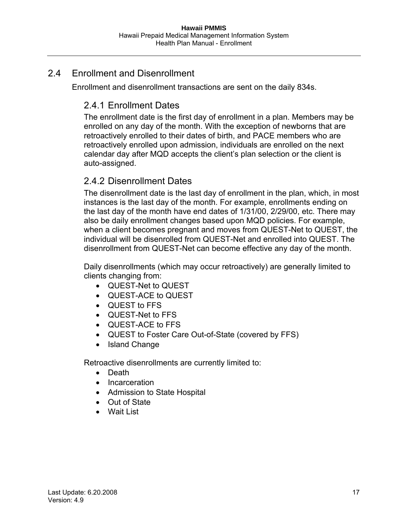# <span id="page-16-2"></span><span id="page-16-1"></span><span id="page-16-0"></span>2.4 Enrollment and Disenrollment

Enrollment and disenrollment transactions are sent on the daily 834s.

# 2.4.1 Enrollment Dates

The enrollment date is the first day of enrollment in a plan. Members may be enrolled on any day of the month. With the exception of newborns that are retroactively enrolled to their dates of birth, and PACE members who are retroactively enrolled upon admission, individuals are enrolled on the next calendar day after MQD accepts the client's plan selection or the client is auto-assigned.

# <span id="page-16-3"></span>2.4.2 Disenrollment Dates

The disenrollment date is the last day of enrollment in the plan, which, in most instances is the last day of the month. For example, enrollments ending on the last day of the month have end dates of 1/31/00, 2/29/00, etc. There may also be daily enrollment changes based upon MQD policies. For example, when a client becomes pregnant and moves from QUEST-Net to QUEST, the individual will be disenrolled from QUEST-Net and enrolled into QUEST. The disenrollment from QUEST-Net can become effective any day of the month.

Daily disenrollments (which may occur retroactively) are generally limited to clients changing from:

- QUEST-Net to QUEST
- QUEST-ACE to QUEST
- QUEST to FFS
- QUEST-Net to FFS
- QUEST-ACE to FFS
- QUEST to Foster Care Out-of-State (covered by FFS)
- Island Change

Retroactive disenrollments are currently limited to:

- Death
- Incarceration
- Admission to State Hospital
- Out of State
- Wait List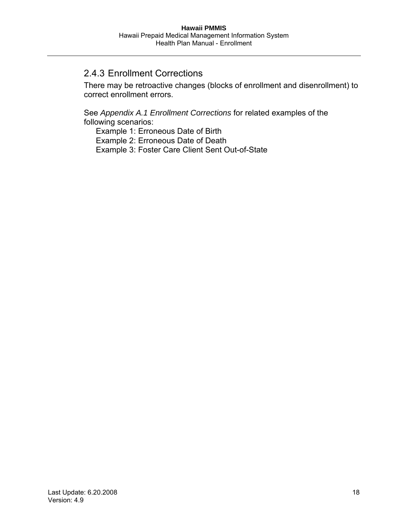## <span id="page-17-1"></span><span id="page-17-0"></span>2.4.3 Enrollment Corrections

There may be retroactive changes (blocks of enrollment and disenrollment) to correct enrollment errors.

See *Appendix [A.1 Enrollment Corrections](#page-90-2)* for related examples of the following scenarios:

Example 1: Erroneous Date of Birth Example 2: Erroneous Date of Death Example 3: Foster Care Client Sent Out-of-State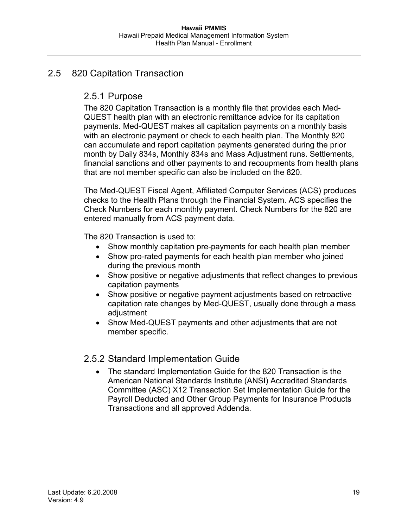## <span id="page-18-2"></span><span id="page-18-1"></span><span id="page-18-0"></span>2.5 820 Capitation Transaction

## 2.5.1 Purpose

The 820 Capitation Transaction is a monthly file that provides each Med-QUEST health plan with an electronic remittance advice for its capitation payments. Med-QUEST makes all capitation payments on a monthly basis with an electronic payment or check to each health plan. The Monthly 820 can accumulate and report capitation payments generated during the prior month by Daily 834s, Monthly 834s and Mass Adjustment runs. Settlements, financial sanctions and other payments to and recoupments from health plans that are not member specific can also be included on the 820.

The Med-QUEST Fiscal Agent, Affiliated Computer Services (ACS) produces checks to the Health Plans through the Financial System. ACS specifies the Check Numbers for each monthly payment. Check Numbers for the 820 are entered manually from ACS payment data.

The 820 Transaction is used to:

- Show monthly capitation pre-payments for each health plan member
- Show pro-rated payments for each health plan member who joined during the previous month
- Show positive or negative adjustments that reflect changes to previous capitation payments
- Show positive or negative payment adjustments based on retroactive capitation rate changes by Med-QUEST, usually done through a mass adjustment
- Show Med-QUEST payments and other adjustments that are not member specific.

## <span id="page-18-3"></span>2.5.2 Standard Implementation Guide

• The standard Implementation Guide for the 820 Transaction is the American National Standards Institute (ANSI) Accredited Standards Committee (ASC) X12 Transaction Set Implementation Guide for the Payroll Deducted and Other Group Payments for Insurance Products Transactions and all approved Addenda.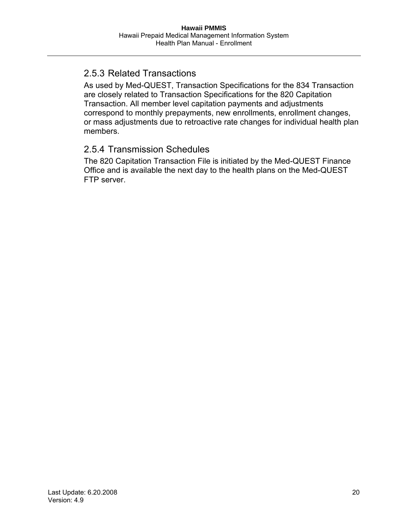# <span id="page-19-1"></span><span id="page-19-0"></span>2.5.3 Related Transactions

As used by Med-QUEST, Transaction Specifications for the 834 Transaction are closely related to Transaction Specifications for the 820 Capitation Transaction. All member level capitation payments and adjustments correspond to monthly prepayments, new enrollments, enrollment changes, or mass adjustments due to retroactive rate changes for individual health plan members.

## <span id="page-19-2"></span>2.5.4 Transmission Schedules

The 820 Capitation Transaction File is initiated by the Med-QUEST Finance Office and is available the next day to the health plans on the Med-QUEST FTP server.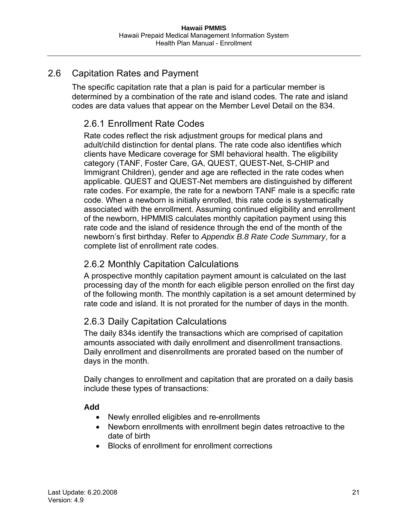# <span id="page-20-2"></span><span id="page-20-1"></span><span id="page-20-0"></span>2.6 Capitation Rates and Payment

The specific capitation rate that a plan is paid for a particular member is determined by a combination of the rate and island codes. The rate and island codes are data values that appear on the Member Level Detail on the 834.

# 2.6.1 Enrollment Rate Codes

Rate codes reflect the risk adjustment groups for medical plans and adult/child distinction for dental plans. The rate code also identifies which clients have Medicare coverage for SMI behavioral health. The eligibility category (TANF, Foster Care, GA, QUEST, QUEST-Net, S-CHIP and Immigrant Children), gender and age are reflected in the rate codes when applicable. QUEST and QUEST-Net members are distinguished by different rate codes. For example, the rate for a newborn TANF male is a specific rate code. When a newborn is initially enrolled, this rate code is systematically associated with the enrollment. Assuming continued eligibility and enrollment of the newborn, HPMMIS calculates monthly capitation payment using this rate code and the island of residence through the end of the month of the newborn's first birthday. Refer to *Appendix [B.8](#page-106-1) [Rate Code Summary](#page-106-1)*, for a complete list of enrollment rate codes.

## <span id="page-20-3"></span>2.6.2 Monthly Capitation Calculations

A prospective monthly capitation payment amount is calculated on the last processing day of the month for each eligible person enrolled on the first day of the following month. The monthly capitation is a set amount determined by rate code and island. It is not prorated for the number of days in the month.

# <span id="page-20-4"></span>2.6.3 Daily Capitation Calculations

The daily 834s identify the transactions which are comprised of capitation amounts associated with daily enrollment and disenrollment transactions. Daily enrollment and disenrollments are prorated based on the number of days in the month.

Daily changes to enrollment and capitation that are prorated on a daily basis include these types of transactions:

#### **Add**

- Newly enrolled eligibles and re-enrollments
- Newborn enrollments with enrollment begin dates retroactive to the date of birth
- Blocks of enrollment for enrollment corrections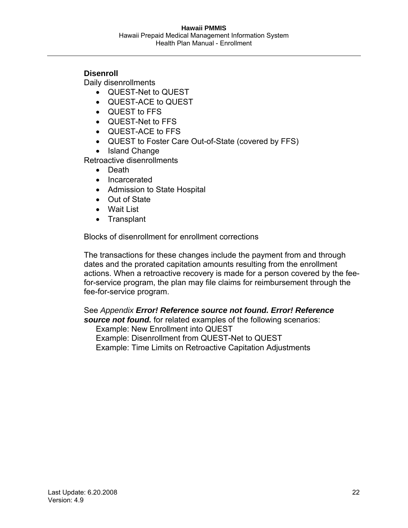#### **Disenroll**

Daily disenrollments

- QUEST-Net to QUEST
- QUEST-ACE to QUEST
- QUEST to FFS
- QUEST-Net to FFS
- QUEST-ACE to FFS
- QUEST to Foster Care Out-of-State (covered by FFS)
- Island Change

Retroactive disenrollments

- Death
- Incarcerated
- Admission to State Hospital
- Out of State
- Wait List
- Transplant

Blocks of disenrollment for enrollment corrections

The transactions for these changes include the payment from and through dates and the prorated capitation amounts resulting from the enrollment actions. When a retroactive recovery is made for a person covered by the feefor-service program, the plan may file claims for reimbursement through the fee-for-service program.

See *Appendix Error! Reference source not found. Error! Reference source not found.* for related examples of the following scenarios:

Example: New Enrollment into QUEST

Example: Disenrollment from QUEST-Net to QUEST

Example: Time Limits on Retroactive Capitation Adjustments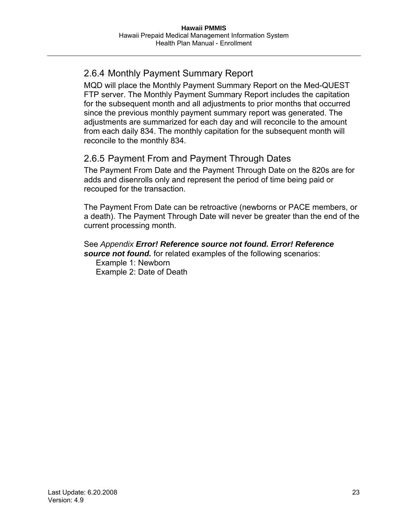# <span id="page-22-1"></span><span id="page-22-0"></span>2.6.4 Monthly Payment Summary Report

MQD will place the Monthly Payment Summary Report on the Med-QUEST FTP server. The Monthly Payment Summary Report includes the capitation for the subsequent month and all adjustments to prior months that occurred since the previous monthly payment summary report was generated. The adjustments are summarized for each day and will reconcile to the amount from each daily 834. The monthly capitation for the subsequent month will reconcile to the monthly 834.

# <span id="page-22-2"></span>2.6.5 Payment From and Payment Through Dates

The Payment From Date and the Payment Through Date on the 820s are for adds and disenrolls only and represent the period of time being paid or recouped for the transaction.

The Payment From Date can be retroactive (newborns or PACE members, or a death). The Payment Through Date will never be greater than the end of the current processing month.

#### See *Appendix Error! Reference source not found. Error! Reference source not found.* for related examples of the following scenarios:

Example 1: Newborn Example 2: Date of Death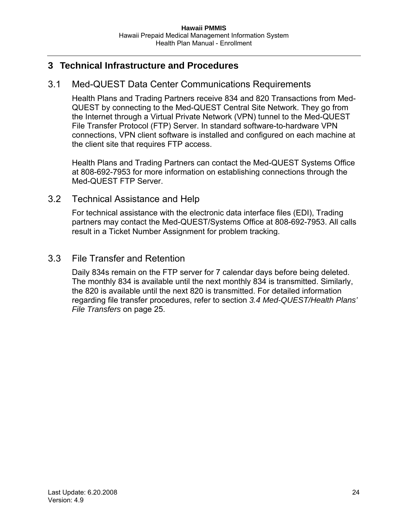## <span id="page-23-1"></span><span id="page-23-0"></span>**3 Technical Infrastructure and Procedures**

#### <span id="page-23-2"></span>3.1 Med-QUEST Data Center Communications Requirements

Health Plans and Trading Partners receive 834 and 820 Transactions from Med-QUEST by connecting to the Med-QUEST Central Site Network. They go from the Internet through a Virtual Private Network (VPN) tunnel to the Med-QUEST File Transfer Protocol (FTP) Server. In standard software-to-hardware VPN connections, VPN client software is installed and configured on each machine at the client site that requires FTP access.

Health Plans and Trading Partners can contact the Med-QUEST Systems Office at 808-692-7953 for more information on establishing connections through the Med-QUEST FTP Server.

#### <span id="page-23-3"></span>3.2 Technical Assistance and Help

For technical assistance with the electronic data interface files (EDI), Trading partners may contact the Med-QUEST/Systems Office at 808-692-7953. All calls result in a Ticket Number Assignment for problem tracking.

#### <span id="page-23-4"></span>3.3 File Transfer and Retention

Daily 834s remain on the FTP server for 7 calendar days before being deleted. The monthly 834 is available until the next monthly 834 is transmitted. Similarly, the 820 is available until the next 820 is transmitted. For detailed information regarding file transfer procedures, refer to section *3.4 Med-QUEST/Health Plans' File Transfers* on page [25.](#page-24-1)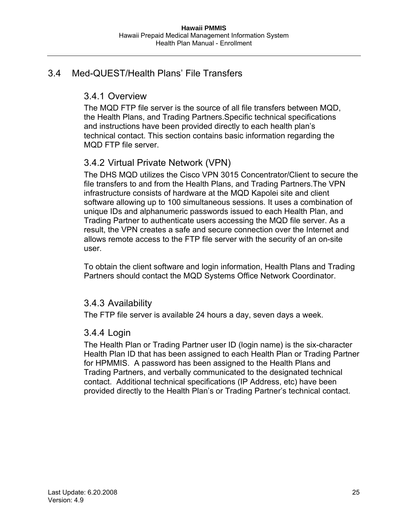# <span id="page-24-2"></span><span id="page-24-1"></span><span id="page-24-0"></span>3.4 Med-QUEST/Health Plans' File Transfers

# 3.4.1 Overview

The MQD FTP file server is the source of all file transfers between MQD, the Health Plans, and Trading Partners.Specific technical specifications and instructions have been provided directly to each health plan's technical contact. This section contains basic information regarding the MQD FTP file server.

# <span id="page-24-3"></span>3.4.2 Virtual Private Network (VPN)

The DHS MQD utilizes the Cisco VPN 3015 Concentrator/Client to secure the file transfers to and from the Health Plans, and Trading Partners.The VPN infrastructure consists of hardware at the MQD Kapolei site and client software allowing up to 100 simultaneous sessions. It uses a combination of unique IDs and alphanumeric passwords issued to each Health Plan, and Trading Partner to authenticate users accessing the MQD file server. As a result, the VPN creates a safe and secure connection over the Internet and allows remote access to the FTP file server with the security of an on-site user.

To obtain the client software and login information, Health Plans and Trading Partners should contact the MQD Systems Office Network Coordinator.

## <span id="page-24-4"></span>3.4.3 Availability

The FTP file server is available 24 hours a day, seven days a week.

## <span id="page-24-5"></span>3.4.4 Login

The Health Plan or Trading Partner user ID (login name) is the six-character Health Plan ID that has been assigned to each Health Plan or Trading Partner for HPMMIS. A password has been assigned to the Health Plans and Trading Partners, and verbally communicated to the designated technical contact. Additional technical specifications (IP Address, etc) have been provided directly to the Health Plan's or Trading Partner's technical contact.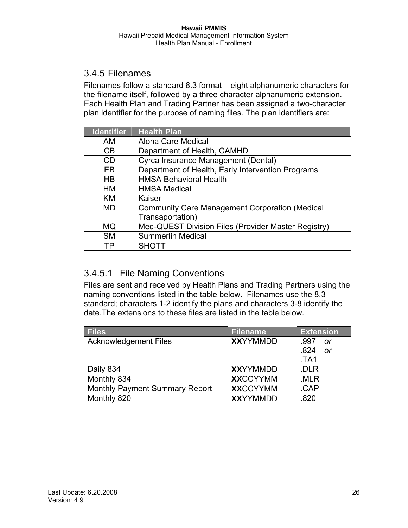## <span id="page-25-1"></span><span id="page-25-0"></span>3.4.5 Filenames

Filenames follow a standard 8.3 format – eight alphanumeric characters for the filename itself, followed by a three character alphanumeric extension. Each Health Plan and Trading Partner has been assigned a two-character plan identifier for the purpose of naming files. The plan identifiers are:

| <b>Identifier</b> | <b>Health Plan</b>                                    |
|-------------------|-------------------------------------------------------|
| AM                | Aloha Care Medical                                    |
| <b>CB</b>         | Department of Health, CAMHD                           |
| CD                | Cyrca Insurance Management (Dental)                   |
| EB                | Department of Health, Early Intervention Programs     |
| HB                | <b>HMSA Behavioral Health</b>                         |
| <b>HM</b>         | <b>HMSA Medical</b>                                   |
| KM                | Kaiser                                                |
| MD                | <b>Community Care Management Corporation (Medical</b> |
|                   | Transaportation)                                      |
| <b>MQ</b>         | Med-QUEST Division Files (Provider Master Registry)   |
| <b>SM</b>         | <b>Summerlin Medical</b>                              |
| ΤP                | <b>SHOTT</b>                                          |

# <span id="page-25-2"></span>3.4.5.1 File Naming Conventions

Files are sent and received by Health Plans and Trading Partners using the naming conventions listed in the table below. Filenames use the 8.3 standard; characters 1-2 identify the plans and characters 3-8 identify the date.The extensions to these files are listed in the table below.

| <b>Files</b>                          | <b>Filename</b> | <b>Extension</b>  |
|---------------------------------------|-----------------|-------------------|
| <b>Acknowledgement Files</b>          | <b>XXYYMMDD</b> | .997<br><b>or</b> |
|                                       |                 | .824<br>0r        |
|                                       |                 | TA1               |
| Daily 834                             | <b>XXYYMMDD</b> | .DLR              |
| Monthly 834                           | <b>XXCCYYMM</b> | .MLR              |
| <b>Monthly Payment Summary Report</b> | <b>XXCCYYMM</b> | .CAP              |
| Monthly 820                           | <b>XXYYMMDD</b> | .820              |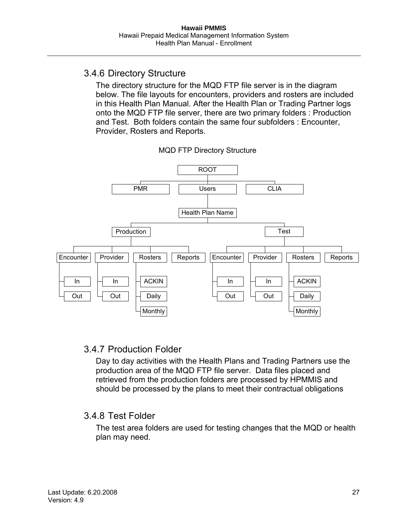## <span id="page-26-1"></span><span id="page-26-0"></span>3.4.6 Directory Structure

The directory structure for the MQD FTP file server is in the diagram below. The file layouts for encounters, providers and rosters are included in this Health Plan Manual. After the Health Plan or Trading Partner logs onto the MQD FTP file server, there are two primary folders : Production and Test. Both folders contain the same four subfolders : Encounter, Provider, Rosters and Reports.



MQD FTP Directory Structure

## <span id="page-26-2"></span>3.4.7 Production Folder

Day to day activities with the Health Plans and Trading Partners use the production area of the MQD FTP file server. Data files placed and retrieved from the production folders are processed by HPMMIS and should be processed by the plans to meet their contractual obligations

## <span id="page-26-3"></span>3.4.8 Test Folder

The test area folders are used for testing changes that the MQD or health plan may need.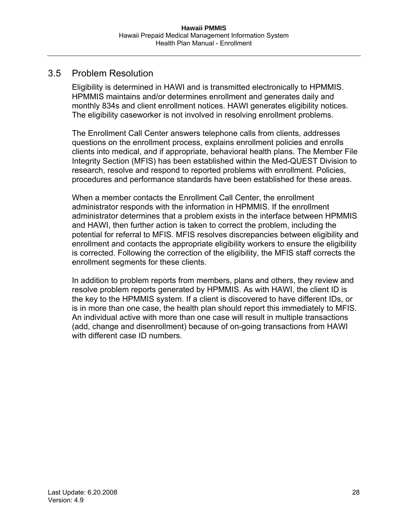## <span id="page-27-1"></span><span id="page-27-0"></span>3.5 Problem Resolution

Eligibility is determined in HAWI and is transmitted electronically to HPMMIS. HPMMIS maintains and/or determines enrollment and generates daily and monthly 834s and client enrollment notices. HAWI generates eligibility notices. The eligibility caseworker is not involved in resolving enrollment problems.

The Enrollment Call Center answers telephone calls from clients, addresses questions on the enrollment process, explains enrollment policies and enrolls clients into medical, and if appropriate, behavioral health plans. The Member File Integrity Section (MFIS) has been established within the Med-QUEST Division to research, resolve and respond to reported problems with enrollment. Policies, procedures and performance standards have been established for these areas.

When a member contacts the Enrollment Call Center, the enrollment administrator responds with the information in HPMMIS. If the enrollment administrator determines that a problem exists in the interface between HPMMIS and HAWI, then further action is taken to correct the problem, including the potential for referral to MFIS. MFIS resolves discrepancies between eligibility and enrollment and contacts the appropriate eligibility workers to ensure the eligibility is corrected. Following the correction of the eligibility, the MFIS staff corrects the enrollment segments for these clients.

In addition to problem reports from members, plans and others, they review and resolve problem reports generated by HPMMIS. As with HAWI, the client ID is the key to the HPMMIS system. If a client is discovered to have different IDs, or is in more than one case, the health plan should report this immediately to MFIS. An individual active with more than one case will result in multiple transactions (add, change and disenrollment) because of on-going transactions from HAWI with different case ID numbers.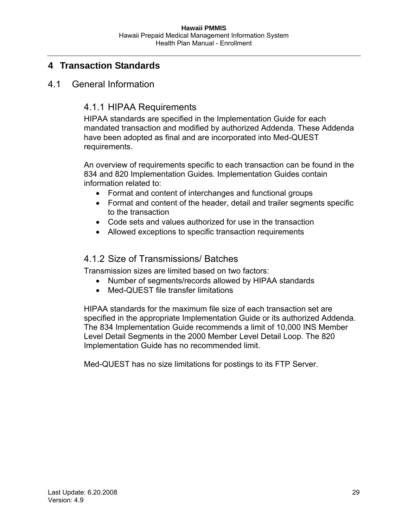# <span id="page-28-1"></span><span id="page-28-0"></span>**4 Transaction Standards**

## <span id="page-28-3"></span><span id="page-28-2"></span>4.1 General Information

## 4.1.1 HIPAA Requirements

HIPAA standards are specified in the Implementation Guide for each mandated transaction and modified by authorized Addenda. These Addenda have been adopted as final and are incorporated into Med-QUEST requirements.

An overview of requirements specific to each transaction can be found in the 834 and 820 Implementation Guides. Implementation Guides contain information related to:

- Format and content of interchanges and functional groups
- Format and content of the header, detail and trailer segments specific to the transaction
- Code sets and values authorized for use in the transaction
- Allowed exceptions to specific transaction requirements

#### <span id="page-28-4"></span>4.1.2 Size of Transmissions/ Batches

Transmission sizes are limited based on two factors:

- Number of segments/records allowed by HIPAA standards
- Med-QUEST file transfer limitations

HIPAA standards for the maximum file size of each transaction set are specified in the appropriate Implementation Guide or its authorized Addenda. The 834 Implementation Guide recommends a limit of 10,000 INS Member Level Detail Segments in the 2000 Member Level Detail Loop. The 820 Implementation Guide has no recommended limit.

Med-QUEST has no size limitations for postings to its FTP Server.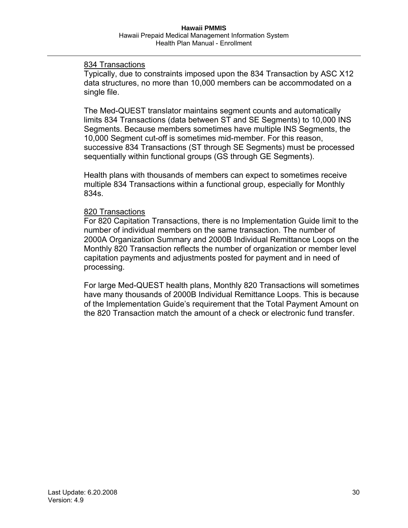#### 834 Transactions

Typically, due to constraints imposed upon the 834 Transaction by ASC X12 data structures, no more than 10,000 members can be accommodated on a single file.

The Med-QUEST translator maintains segment counts and automatically limits 834 Transactions (data between ST and SE Segments) to 10,000 INS Segments. Because members sometimes have multiple INS Segments, the 10,000 Segment cut-off is sometimes mid-member. For this reason, successive 834 Transactions (ST through SE Segments) must be processed sequentially within functional groups (GS through GE Segments).

Health plans with thousands of members can expect to sometimes receive multiple 834 Transactions within a functional group, especially for Monthly 834s.

#### 820 Transactions

For 820 Capitation Transactions, there is no Implementation Guide limit to the number of individual members on the same transaction. The number of 2000A Organization Summary and 2000B Individual Remittance Loops on the Monthly 820 Transaction reflects the number of organization or member level capitation payments and adjustments posted for payment and in need of processing.

For large Med-QUEST health plans, Monthly 820 Transactions will sometimes have many thousands of 2000B Individual Remittance Loops. This is because of the Implementation Guide's requirement that the Total Payment Amount on the 820 Transaction match the amount of a check or electronic fund transfer.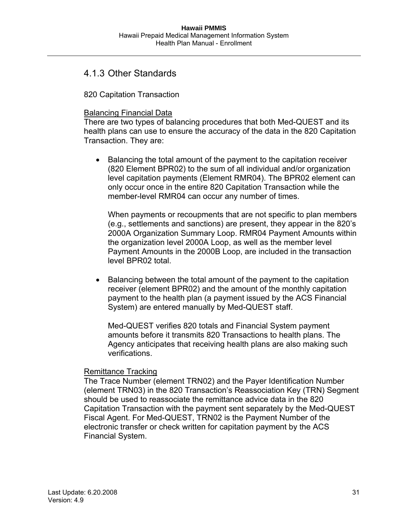#### <span id="page-30-1"></span><span id="page-30-0"></span>4.1.3 Other Standards

820 Capitation Transaction

#### Balancing Financial Data

There are two types of balancing procedures that both Med-QUEST and its health plans can use to ensure the accuracy of the data in the 820 Capitation Transaction. They are:

• Balancing the total amount of the payment to the capitation receiver (820 Element BPR02) to the sum of all individual and/or organization level capitation payments (Element RMR04). The BPR02 element can only occur once in the entire 820 Capitation Transaction while the member-level RMR04 can occur any number of times.

When payments or recoupments that are not specific to plan members (e.g., settlements and sanctions) are present, they appear in the 820's 2000A Organization Summary Loop. RMR04 Payment Amounts within the organization level 2000A Loop, as well as the member level Payment Amounts in the 2000B Loop, are included in the transaction level BPR02 total.

• Balancing between the total amount of the payment to the capitation receiver (element BPR02) and the amount of the monthly capitation payment to the health plan (a payment issued by the ACS Financial System) are entered manually by Med-QUEST staff.

Med-QUEST verifies 820 totals and Financial System payment amounts before it transmits 820 Transactions to health plans. The Agency anticipates that receiving health plans are also making such verifications.

#### Remittance Tracking

The Trace Number (element TRN02) and the Payer Identification Number (element TRN03) in the 820 Transaction's Reassociation Key (TRN) Segment should be used to reassociate the remittance advice data in the 820 Capitation Transaction with the payment sent separately by the Med-QUEST Fiscal Agent. For Med-QUEST, TRN02 is the Payment Number of the electronic transfer or check written for capitation payment by the ACS Financial System.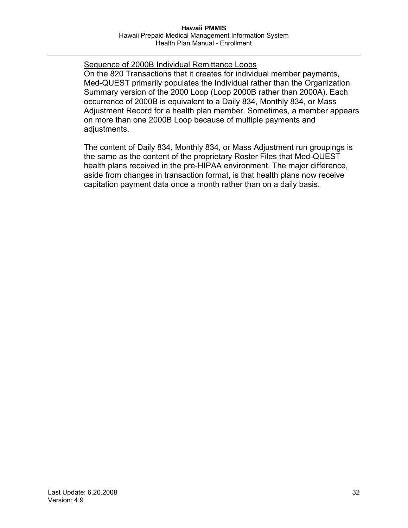Sequence of 2000B Individual Remittance Loops On the 820 Transactions that it creates for individual member payments, Med-QUEST primarily populates the Individual rather than the Organization Summary version of the 2000 Loop (Loop 2000B rather than 2000A). Each occurrence of 2000B is equivalent to a Daily 834, Monthly 834, or Mass Adjustment Record for a health plan member. Sometimes, a member appears on more than one 2000B Loop because of multiple payments and adjustments.

The content of Daily 834, Monthly 834, or Mass Adjustment run groupings is the same as the content of the proprietary Roster Files that Med-QUEST health plans received in the pre-HIPAA environment. The major difference, aside from changes in transaction format, is that health plans now receive capitation payment data once a month rather than on a daily basis.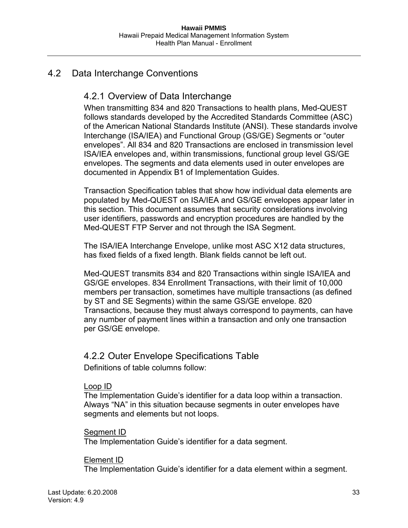## <span id="page-32-2"></span><span id="page-32-1"></span><span id="page-32-0"></span>4.2 Data Interchange Conventions

## 4.2.1 Overview of Data Interchange

When transmitting 834 and 820 Transactions to health plans, Med-QUEST follows standards developed by the Accredited Standards Committee (ASC) of the American National Standards Institute (ANSI). These standards involve Interchange (ISA/IEA) and Functional Group (GS/GE) Segments or "outer envelopes". All 834 and 820 Transactions are enclosed in transmission level ISA/IEA envelopes and, within transmissions, functional group level GS/GE envelopes. The segments and data elements used in outer envelopes are documented in Appendix B1 of Implementation Guides.

Transaction Specification tables that show how individual data elements are populated by Med-QUEST on ISA/IEA and GS/GE envelopes appear later in this section. This document assumes that security considerations involving user identifiers, passwords and encryption procedures are handled by the Med-QUEST FTP Server and not through the ISA Segment.

The ISA/IEA Interchange Envelope, unlike most ASC X12 data structures, has fixed fields of a fixed length. Blank fields cannot be left out.

Med-QUEST transmits 834 and 820 Transactions within single ISA/IEA and GS/GE envelopes. 834 Enrollment Transactions, with their limit of 10,000 members per transaction, sometimes have multiple transactions (as defined by ST and SE Segments) within the same GS/GE envelope. 820 Transactions, because they must always correspond to payments, can have any number of payment lines within a transaction and only one transaction per GS/GE envelope.

#### <span id="page-32-3"></span>4.2.2 Outer Envelope Specifications Table

Definitions of table columns follow:

#### Loop ID

The Implementation Guide's identifier for a data loop within a transaction. Always "NA" in this situation because segments in outer envelopes have segments and elements but not loops.

#### Segment ID

The Implementation Guide's identifier for a data segment.

#### Element ID

The Implementation Guide's identifier for a data element within a segment.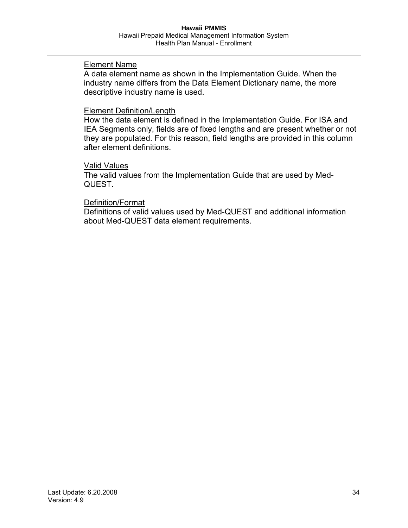#### Element Name

A data element name as shown in the Implementation Guide. When the industry name differs from the Data Element Dictionary name, the more descriptive industry name is used.

#### Element Definition/Length

How the data element is defined in the Implementation Guide. For ISA and IEA Segments only, fields are of fixed lengths and are present whether or not they are populated. For this reason, field lengths are provided in this column after element definitions.

#### Valid Values

The valid values from the Implementation Guide that are used by Med-QUEST.

#### Definition/Format

Definitions of valid values used by Med-QUEST and additional information about Med-QUEST data element requirements.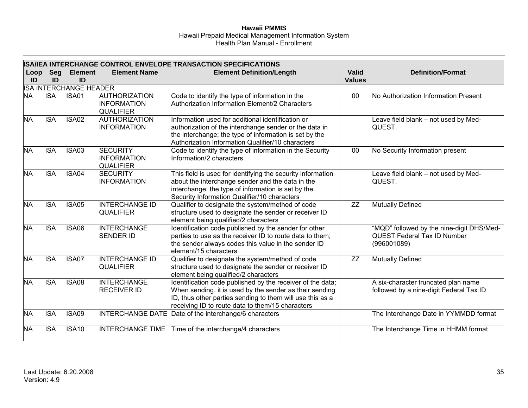#### **Hawaii PMMIS**  Hawaii Prepaid Medical Management Information System Health Plan Manual - Enrollment

|            | <b>ISA/IEA INTERCHANGE CONTROL ENVELOPE TRANSACTION SPECIFICATIONS</b> |                      |                                                                |                                                                                                                                                                                                                                        |                               |                                                                                                |  |
|------------|------------------------------------------------------------------------|----------------------|----------------------------------------------------------------|----------------------------------------------------------------------------------------------------------------------------------------------------------------------------------------------------------------------------------------|-------------------------------|------------------------------------------------------------------------------------------------|--|
| Loop<br>ID | <b>Seg</b><br>ID                                                       | <b>Element</b><br>ID | <b>Element Name</b>                                            | <b>Element Definition/Length</b>                                                                                                                                                                                                       | <b>Valid</b><br><b>Values</b> | <b>Definition/Format</b>                                                                       |  |
|            | <b>ISA INTERCHANGE HEADER</b>                                          |                      |                                                                |                                                                                                                                                                                                                                        |                               |                                                                                                |  |
| <b>NA</b>  | <b>ISA</b>                                                             | <b>ISA01</b>         | <b>AUTHORIZATION</b><br><b>INFORMATION</b><br><b>QUALIFIER</b> | Code to identify the type of information in the<br>Authorization Information Element/2 Characters                                                                                                                                      | $00\,$                        | No Authorization Information Present                                                           |  |
| <b>NA</b>  | <b>ISA</b>                                                             | ISA02                | <b>AUTHORIZATION</b><br><b>INFORMATION</b>                     | Information used for additional identification or<br>authorization of the interchange sender or the data in<br>the interchange; the type of information is set by the<br>Authorization Information Qualifier/10 characters             |                               | eave field blank - not used by Med-<br>QUEST.                                                  |  |
| <b>NA</b>  | <b>ISA</b>                                                             | ISA03                | <b>SECURITY</b><br><b>INFORMATION</b><br><b>QUALIFIER</b>      | Code to identify the type of information in the Security<br>Information/2 characters                                                                                                                                                   | $00\,$                        | No Security Information present                                                                |  |
| <b>NA</b>  | <b>ISA</b>                                                             | ISA04                | <b>SECURITY</b><br><b>INFORMATION</b>                          | This field is used for identifying the security information<br>about the interchange sender and the data in the<br>interchange; the type of information is set by the<br>Security Information Qualifier/10 characters                  |                               | eave field blank - not used by Med-<br>QUEST.                                                  |  |
| <b>NA</b>  | <b>ISA</b>                                                             | <b>ISA05</b>         | <b>INTERCHANGE ID</b><br><b>QUALIFIER</b>                      | Qualifier to designate the system/method of code<br>structure used to designate the sender or receiver ID<br>element being qualified/2 characters                                                                                      | ZZ                            | <b>Mutually Defined</b>                                                                        |  |
| <b>NA</b>  | <b>ISA</b>                                                             | <b>ISA06</b>         | <b>INTERCHANGE</b><br><b>SENDER ID</b>                         | Identification code published by the sender for other<br>parties to use as the receiver ID to route data to them;<br>the sender always codes this value in the sender ID<br>element/15 characters                                      |                               | "MQD" followed by the nine-digit DHS/Med-<br><b>QUEST Federal Tax ID Number</b><br>(996001089) |  |
| <b>NA</b>  | <b>ISA</b>                                                             | ISA07                | <b>INTERCHANGE ID</b><br><b>QUALIFIER</b>                      | Qualifier to designate the system/method of code<br>structure used to designate the sender or receiver ID<br>element being qualified/2 characters                                                                                      | $\overline{ZZ}$               | Mutually Defined                                                                               |  |
| <b>NA</b>  | <b>ISA</b>                                                             | ISA08                | <b>INTERCHANGE</b><br><b>RECEIVER ID</b>                       | Identification code published by the receiver of the data;<br>When sending, it is used by the sender as their sending<br>ID, thus other parties sending to them will use this as a<br>receiving ID to route data to them/15 characters |                               | A six-character truncated plan name<br>followed by a nine-digit Federal Tax ID                 |  |
| <b>NA</b>  | <b>ISA</b>                                                             | <b>ISA09</b>         |                                                                | INTERCHANGE DATE Date of the interchange/6 characters                                                                                                                                                                                  |                               | The Interchange Date in YYMMDD format                                                          |  |
| <b>NA</b>  | <b>ISA</b>                                                             | ISA <sub>10</sub>    | <b>INTERCHANGE TIME</b>                                        | Time of the interchange/4 characters                                                                                                                                                                                                   |                               | The Interchange Time in HHMM format                                                            |  |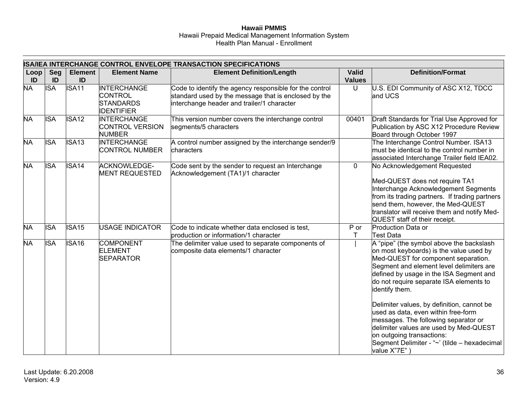#### **Hawaii PMMIS**  Hawaii Prepaid Medical Management Information System Health Plan Manual - Enrollment

|            | ISA/IEA INTERCHANGE CONTROL ENVELOPE TRANSACTION SPECIFICATIONS |                      |                                                                               |                                                                                                                                                               |                               |                                                                                                                                                                                                                                                                                                                                                                                                                                                                                                                                                    |
|------------|-----------------------------------------------------------------|----------------------|-------------------------------------------------------------------------------|---------------------------------------------------------------------------------------------------------------------------------------------------------------|-------------------------------|----------------------------------------------------------------------------------------------------------------------------------------------------------------------------------------------------------------------------------------------------------------------------------------------------------------------------------------------------------------------------------------------------------------------------------------------------------------------------------------------------------------------------------------------------|
| Loop<br>ID | Seg<br>ID                                                       | <b>Element</b><br>ID | <b>Element Name</b>                                                           | <b>Element Definition/Length</b>                                                                                                                              | <b>Valid</b><br><b>Values</b> | <b>Definition/Format</b>                                                                                                                                                                                                                                                                                                                                                                                                                                                                                                                           |
| <b>NA</b>  | <b>ISA</b>                                                      | <b>ISA11</b>         | <b>INTERCHANGE</b><br><b>CONTROL</b><br><b>STANDARDS</b><br><b>IDENTIFIER</b> | Code to identify the agency responsible for the control<br>standard used by the message that is enclosed by the<br>interchange header and trailer/1 character | U                             | U.S. EDI Community of ASC X12, TDCC<br>and UCS                                                                                                                                                                                                                                                                                                                                                                                                                                                                                                     |
| <b>NA</b>  | <b>ISA</b>                                                      | <b>ISA12</b>         | <b>INTERCHANGE</b><br><b>CONTROL VERSION</b><br><b>NUMBER</b>                 | This version number covers the interchange control<br>segments/5 characters                                                                                   | 00401                         | Draft Standards for Trial Use Approved for<br>Publication by ASC X12 Procedure Review<br>Board through October 1997                                                                                                                                                                                                                                                                                                                                                                                                                                |
| <b>NA</b>  | <b>ISA</b>                                                      | ISA <sub>13</sub>    | INTERCHANGE<br><b>CONTROL NUMBER</b>                                          | A control number assigned by the interchange sender/9<br>characters                                                                                           |                               | The Interchange Control Number. ISA13<br>must be identical to the control number in<br>associated Interchange Trailer field IEA02.                                                                                                                                                                                                                                                                                                                                                                                                                 |
| <b>NA</b>  | <b>ISA</b>                                                      | ISA <sub>14</sub>    | <b>ACKNOWLEDGE-</b><br><b>MENT REQUESTED</b>                                  | Code sent by the sender to request an Interchange<br>Acknowledgement (TA1)/1 character                                                                        | $\mathbf 0$                   | No Acknowledgement Requested<br>Med-QUEST does not require TA1<br>Interchange Acknowledgement Segments<br>from its trading partners. If trading partners<br>send them, however, the Med-QUEST<br>translator will receive them and notify Med-<br>QUEST staff of their receipt.                                                                                                                                                                                                                                                                     |
| <b>NA</b>  | <b>ISA</b>                                                      | <b>ISA15</b>         | <b>USAGE INDICATOR</b>                                                        | Code to indicate whether data enclosed is test,<br>production or information/1 character                                                                      | $P$ or<br>т                   | Production Data or<br><b>Test Data</b>                                                                                                                                                                                                                                                                                                                                                                                                                                                                                                             |
| <b>NA</b>  | <b>ISA</b>                                                      | ISA <sub>16</sub>    | <b>COMPONENT</b><br><b>ELEMENT</b><br><b>SEPARATOR</b>                        | The delimiter value used to separate components of<br>composite data elements/1 character                                                                     |                               | A "pipe" (the symbol above the backslash<br>on most keyboards) is the value used by<br>Med-QUEST for component separation.<br>Segment and element level delimiters are<br>defined by usage in the ISA Segment and<br>do not require separate ISA elements to<br>identify them.<br>Delimiter values, by definition, cannot be<br>used as data, even within free-form<br>messages. The following separator or<br>delimiter values are used by Med-QUEST<br>on outgoing transactions:<br>Segment Delimiter - "~' (tilde – hexadecimal<br>value X"7E") |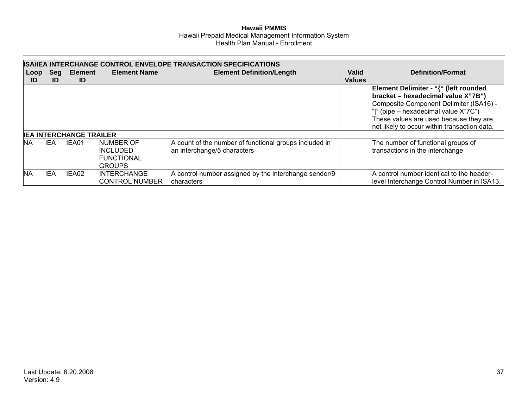|           |            |                                |                                                                    | <b>ISA/IEA INTERCHANGE CONTROL ENVELOPE TRANSACTION SPECIFICATIONS</b>                |               |                                                                                                                                                                                                                                                          |
|-----------|------------|--------------------------------|--------------------------------------------------------------------|---------------------------------------------------------------------------------------|---------------|----------------------------------------------------------------------------------------------------------------------------------------------------------------------------------------------------------------------------------------------------------|
| Loop      | Seg        | Element                        | <b>Element Name</b>                                                | <b>Element Definition/Length</b>                                                      | <b>Valid</b>  | <b>Definition/Format</b>                                                                                                                                                                                                                                 |
| ID        | ID         | ID                             |                                                                    |                                                                                       | <b>Values</b> |                                                                                                                                                                                                                                                          |
|           |            |                                |                                                                    |                                                                                       |               | Element Delimiter - "{" (left rounded<br>bracket - hexadecimal value X"7B")<br>Composite Component Delimiter (ISA16) -<br>" " (pipe – hexadecimal value X"7C")<br>These values are used because they are<br>not likely to occur within transaction data. |
|           |            | <b>IEA INTERCHANGE TRAILER</b> |                                                                    |                                                                                       |               |                                                                                                                                                                                                                                                          |
| <b>NA</b> | IEA        | IEA01                          | <b>NUMBER OF</b><br>INCLUDED<br><b>FUNCTIONAL</b><br><b>GROUPS</b> | A count of the number of functional groups included in<br>an interchange/5 characters |               | The number of functional groups of<br>transactions in the interchange                                                                                                                                                                                    |
| <b>NA</b> | <b>IEA</b> | IEA02                          | <b>INTERCHANGE</b><br><b>CONTROL NUMBER</b>                        | A control number assigned by the interchange sender/9<br>characters                   |               | A control number identical to the header-<br>level Interchange Control Number in ISA13.                                                                                                                                                                  |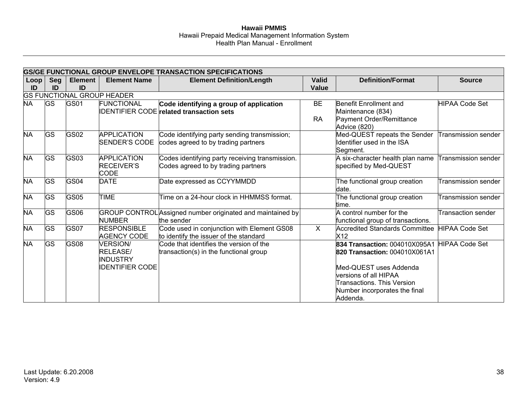|            |           |                      |                                                                          | GS/GE FUNCTIONAL GROUP ENVELOPE TRANSACTION SPECIFICATIONS                                 |                        |                                                                                                                                                                                                            |                            |
|------------|-----------|----------------------|--------------------------------------------------------------------------|--------------------------------------------------------------------------------------------|------------------------|------------------------------------------------------------------------------------------------------------------------------------------------------------------------------------------------------------|----------------------------|
| Loop<br>ID | Seg<br>ID | <b>Element</b><br>ID | <b>Element Name</b>                                                      | <b>Element Definition/Length</b>                                                           | <b>Valid</b><br>Value  | <b>Definition/Format</b>                                                                                                                                                                                   | <b>Source</b>              |
|            |           |                      | <b>GS FUNCTIONAL GROUP HEADER</b>                                        |                                                                                            |                        |                                                                                                                                                                                                            |                            |
| <b>NA</b>  | <b>GS</b> | <b>GS01</b>          | <b>FUNCTIONAL</b>                                                        | Code identifying a group of application<br><b>IDENTIFIER CODE</b> related transaction sets | <b>BE</b><br><b>RA</b> | Benefit Enrollment and<br>Maintenance (834)<br>Payment Order/Remittance<br>Advice (820)                                                                                                                    | <b>HIPAA Code Set</b>      |
| <b>NA</b>  | GS        | GS02                 | <b>APPLICATION</b><br>SENDER'S CODE                                      | Code identifying party sending transmission;<br>codes agreed to by trading partners        |                        | Med-QUEST repeats the Sender<br>Identifier used in the ISA<br>Segment.                                                                                                                                     | Transmission sender        |
| <b>NA</b>  | GS        | GS03                 | APPLICATION<br><b>RECEIVER'S</b><br>CODE                                 | Codes identifying party receiving transmission.<br>Codes agreed to by trading partners     |                        | A six-character health plan name<br>specified by Med-QUEST                                                                                                                                                 | <b>Transmission sender</b> |
| <b>NA</b>  | GS        | <b>GS04</b>          | <b>DATE</b>                                                              | Date expressed as CCYYMMDD                                                                 |                        | The functional group creation<br>date.                                                                                                                                                                     | <b>Transmission sender</b> |
| <b>NA</b>  | <b>GS</b> | GS <sub>05</sub>     | <b>TIME</b>                                                              | Time on a 24-hour clock in HHMMSS format.                                                  |                        | The functional group creation<br>time.                                                                                                                                                                     | <b>Transmission sender</b> |
| <b>NA</b>  | <b>GS</b> | GS06                 | <b>NUMBER</b>                                                            | GROUP CONTROL Assigned number originated and maintained by<br>the sender                   |                        | A control number for the<br>functional group of transactions.                                                                                                                                              | <b>Transaction sender</b>  |
| <b>NA</b>  | GS        | GS07                 | <b>RESPONSIBLE</b><br><b>AGENCY CODE</b>                                 | Code used in conjunction with Element GS08<br>to identify the issuer of the standard       | $\overline{X}$         | Accredited Standards Committee<br>X12                                                                                                                                                                      | <b>HIPAA Code Set</b>      |
| <b>NA</b>  | <b>GS</b> | <b>GS08</b>          | <b>VERSION/</b><br>RELEASE/<br><b>INDUSTRY</b><br><b>IDENTIFIER CODE</b> | Code that identifies the version of the<br>transaction(s) in the functional group          |                        | 834 Transaction: 004010X095A1<br><b>820 Transaction: 004010X061A1</b><br>Med-QUEST uses Addenda<br>versions of all HIPAA<br><b>Transactions. This Version</b><br>Number incorporates the final<br>Addenda. | <b>HIPAA Code Set</b>      |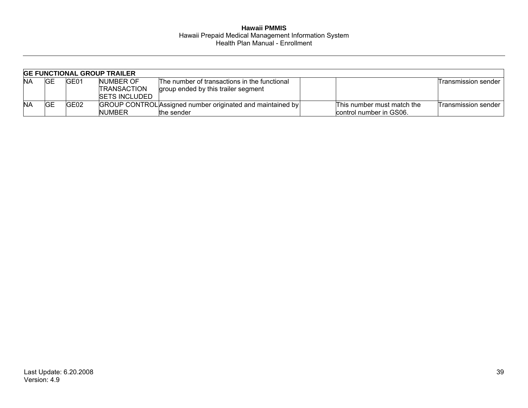|           |     |       | <b>GE FUNCTIONAL GROUP TRAILER</b> |                                                            |                            |                     |
|-----------|-----|-------|------------------------------------|------------------------------------------------------------|----------------------------|---------------------|
| ΝA        | IGЕ | IGE01 | NUMBER OF                          | The number of transactions in the functional               |                            | Transmission sender |
|           |     |       | <b>TRANSACTION</b>                 | group ended by this trailer segment                        |                            |                     |
|           |     |       | <b>ISETS INCLUDED</b>              |                                                            |                            |                     |
| <b>NA</b> | IGЕ | GE02  |                                    | GROUP CONTROL Assigned number originated and maintained by | This number must match the | Transmission sender |
|           |     |       | <b>NUMBER</b>                      | the sender                                                 | control number in GS06.    |                     |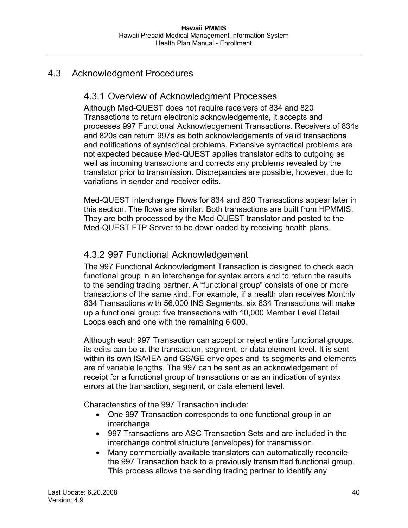## 4.3 Acknowledgment Procedures

## 4.3.1 Overview of Acknowledgment Processes

Although Med-QUEST does not require receivers of 834 and 820 Transactions to return electronic acknowledgements, it accepts and processes 997 Functional Acknowledgement Transactions. Receivers of 834s and 820s can return 997s as both acknowledgements of valid transactions and notifications of syntactical problems. Extensive syntactical problems are not expected because Med-QUEST applies translator edits to outgoing as well as incoming transactions and corrects any problems revealed by the translator prior to transmission. Discrepancies are possible, however, due to variations in sender and receiver edits.

Med-QUEST Interchange Flows for 834 and 820 Transactions appear later in this section. The flows are similar. Both transactions are built from HPMMIS. They are both processed by the Med-QUEST translator and posted to the Med-QUEST FTP Server to be downloaded by receiving health plans.

## 4.3.2 997 Functional Acknowledgement

The 997 Functional Acknowledgment Transaction is designed to check each functional group in an interchange for syntax errors and to return the results to the sending trading partner. A "functional group" consists of one or more transactions of the same kind. For example, if a health plan receives Monthly 834 Transactions with 56,000 INS Segments, six 834 Transactions will make up a functional group: five transactions with 10,000 Member Level Detail Loops each and one with the remaining 6,000.

Although each 997 Transaction can accept or reject entire functional groups, its edits can be at the transaction, segment, or data element level. It is sent within its own ISA/IEA and GS/GE envelopes and its segments and elements are of variable lengths. The 997 can be sent as an acknowledgement of receipt for a functional group of transactions or as an indication of syntax errors at the transaction, segment, or data element level.

Characteristics of the 997 Transaction include:

- One 997 Transaction corresponds to one functional group in an interchange.
- 997 Transactions are ASC Transaction Sets and are included in the interchange control structure (envelopes) for transmission.
- Many commercially available translators can automatically reconcile the 997 Transaction back to a previously transmitted functional group. This process allows the sending trading partner to identify any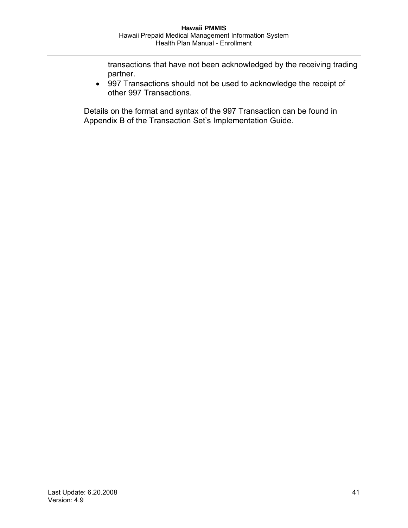transactions that have not been acknowledged by the receiving trading partner.

• 997 Transactions should not be used to acknowledge the receipt of other 997 Transactions.

Details on the format and syntax of the 997 Transaction can be found in Appendix B of the Transaction Set's Implementation Guide.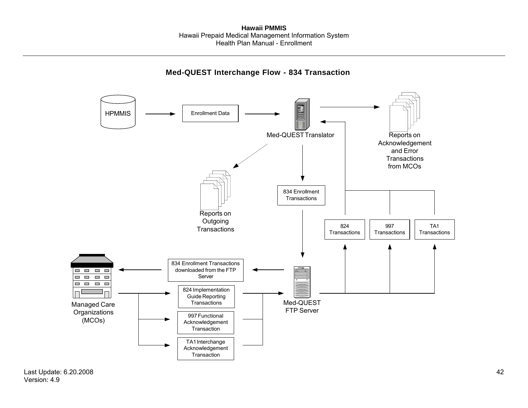### **Med-QUEST Interchange Flow - 834 Transaction**

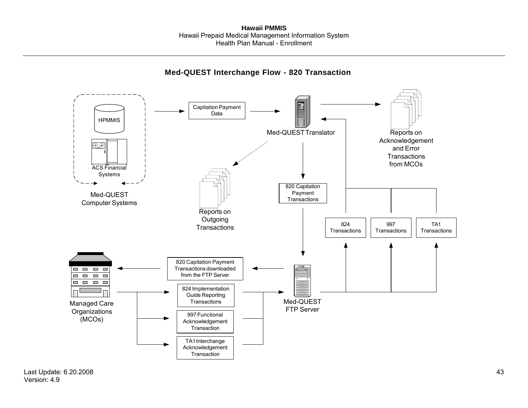### **Med-QUEST Interchange Flow - 820 Transaction**

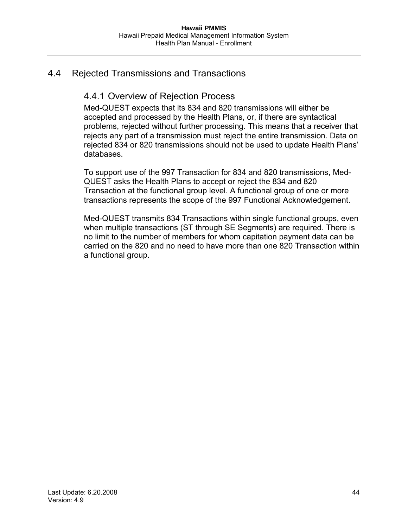## 4.4 Rejected Transmissions and Transactions

## 4.4.1 Overview of Rejection Process

Med-QUEST expects that its 834 and 820 transmissions will either be accepted and processed by the Health Plans, or, if there are syntactical problems, rejected without further processing. This means that a receiver that rejects any part of a transmission must reject the entire transmission. Data on rejected 834 or 820 transmissions should not be used to update Health Plans' databases.

To support use of the 997 Transaction for 834 and 820 transmissions, Med-QUEST asks the Health Plans to accept or reject the 834 and 820 Transaction at the functional group level. A functional group of one or more transactions represents the scope of the 997 Functional Acknowledgement.

Med-QUEST transmits 834 Transactions within single functional groups, even when multiple transactions (ST through SE Segments) are required. There is no limit to the number of members for whom capitation payment data can be carried on the 820 and no need to have more than one 820 Transaction within a functional group.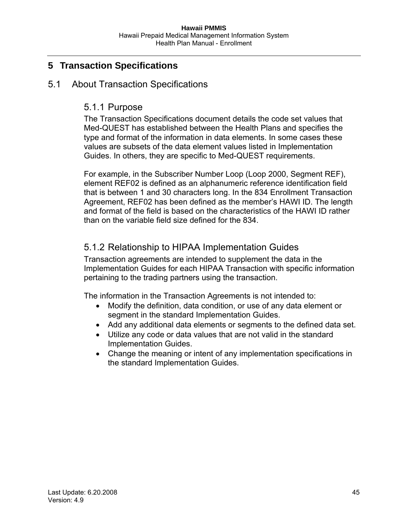# **5 Transaction Specifications**

## 5.1 About Transaction Specifications

## 5.1.1 Purpose

The Transaction Specifications document details the code set values that Med-QUEST has established between the Health Plans and specifies the type and format of the information in data elements. In some cases these values are subsets of the data element values listed in Implementation Guides. In others, they are specific to Med-QUEST requirements.

For example, in the Subscriber Number Loop (Loop 2000, Segment REF), element REF02 is defined as an alphanumeric reference identification field that is between 1 and 30 characters long. In the 834 Enrollment Transaction Agreement, REF02 has been defined as the member's HAWI ID. The length and format of the field is based on the characteristics of the HAWI ID rather than on the variable field size defined for the 834.

# 5.1.2 Relationship to HIPAA Implementation Guides

Transaction agreements are intended to supplement the data in the Implementation Guides for each HIPAA Transaction with specific information pertaining to the trading partners using the transaction.

The information in the Transaction Agreements is not intended to:

- Modify the definition, data condition, or use of any data element or segment in the standard Implementation Guides.
- Add any additional data elements or segments to the defined data set.
- Utilize any code or data values that are not valid in the standard Implementation Guides.
- Change the meaning or intent of any implementation specifications in the standard Implementation Guides.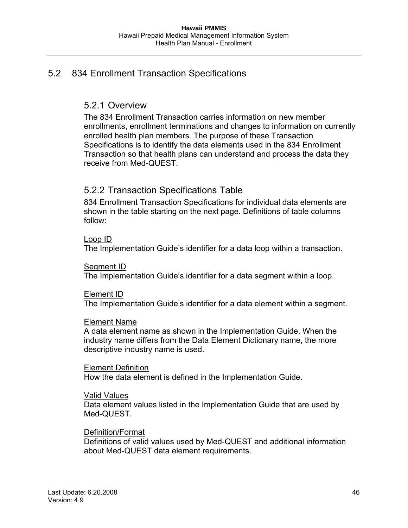## 5.2 834 Enrollment Transaction Specifications

### 5.2.1 Overview

The 834 Enrollment Transaction carries information on new member enrollments, enrollment terminations and changes to information on currently enrolled health plan members. The purpose of these Transaction Specifications is to identify the data elements used in the 834 Enrollment Transaction so that health plans can understand and process the data they receive from Med-QUEST.

## 5.2.2 Transaction Specifications Table

834 Enrollment Transaction Specifications for individual data elements are shown in the table starting on the next page. Definitions of table columns follow:

### Loop ID

The Implementation Guide's identifier for a data loop within a transaction.

### Segment ID

The Implementation Guide's identifier for a data segment within a loop.

### Element ID

The Implementation Guide's identifier for a data element within a segment.

### Element Name

A data element name as shown in the Implementation Guide. When the industry name differs from the Data Element Dictionary name, the more descriptive industry name is used.

### Element Definition

How the data element is defined in the Implementation Guide.

### Valid Values

Data element values listed in the Implementation Guide that are used by Med-QUEST.

### Definition/Format

Definitions of valid values used by Med-QUEST and additional information about Med-QUEST data element requirements.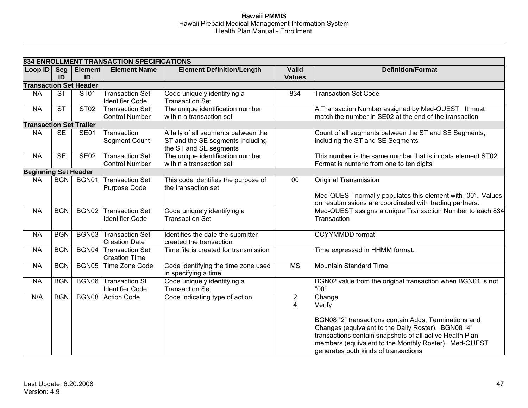| <b>Seg</b><br>ID<br><b>ST</b><br><b>ST</b> | <b>Element</b><br>ID<br><b>Transaction Set Header</b><br>ST <sub>01</sub> | 834 ENROLLMENT TRANSACTION SPECIFICATIONS<br><b>Element Name</b> | <b>Element Definition/Length</b>                                        | <b>Valid</b><br><b>Values</b> | <b>Definition/Format</b>                                                                                                                                                                                                                              |
|--------------------------------------------|---------------------------------------------------------------------------|------------------------------------------------------------------|-------------------------------------------------------------------------|-------------------------------|-------------------------------------------------------------------------------------------------------------------------------------------------------------------------------------------------------------------------------------------------------|
|                                            |                                                                           |                                                                  |                                                                         |                               |                                                                                                                                                                                                                                                       |
|                                            |                                                                           |                                                                  |                                                                         |                               |                                                                                                                                                                                                                                                       |
|                                            |                                                                           | Transaction Set<br><b>Identifier Code</b>                        | Code uniquely identifying a<br><b>Transaction Set</b>                   | 834                           | <b>Transaction Set Code</b>                                                                                                                                                                                                                           |
|                                            | <b>ST02</b>                                                               | Transaction Set<br>Control Number                                | The unique identification number<br>within a transaction set            |                               | A Transaction Number assigned by Med-QUEST. It must<br>match the number in SE02 at the end of the transaction                                                                                                                                         |
|                                            | <b>Transaction Set Trailer</b>                                            |                                                                  |                                                                         |                               |                                                                                                                                                                                                                                                       |
| <b>SE</b>                                  | <b>SE01</b>                                                               | Transaction<br>Segment Count                                     | A tally of all segments between the<br>ST and the SE segments including |                               | Count of all segments between the ST and SE Segments,<br>including the ST and SE Segments                                                                                                                                                             |
| <b>SE</b>                                  | <b>SE02</b>                                                               | <b>Transaction Set</b><br><b>Control Number</b>                  | The unique identification number<br>within a transaction set            |                               | This number is the same number that is in data element ST02<br>Format is numeric from one to ten digits                                                                                                                                               |
|                                            |                                                                           |                                                                  |                                                                         |                               |                                                                                                                                                                                                                                                       |
| BGN                                        | BGN01                                                                     | <b>Transaction Set</b><br>Purpose Code                           | This code identifies the purpose of<br>the transaction set              | 00                            | Original Transmission<br>Med-QUEST normally populates this element with "00". Values<br>on resubmissions are coordinated with trading partners.                                                                                                       |
| <b>BGN</b>                                 | BGN02                                                                     | Transaction Set<br><b>Identifier Code</b>                        | Code uniquely identifying a<br><b>Transaction Set</b>                   |                               | Med-QUEST assigns a unique Transaction Number to each 834<br>Transaction                                                                                                                                                                              |
| <b>BGN</b>                                 | BGN03                                                                     | <b>Transaction Set</b><br><b>Creation Date</b>                   | Identifies the date the submitter<br>created the transaction            |                               | <b>CCYYMMDD</b> format                                                                                                                                                                                                                                |
| <b>BGN</b>                                 | BGN04                                                                     | <b>Transaction Set</b><br><b>Creation Time</b>                   | Time file is created for transmission                                   |                               | Time expressed in HHMM format.                                                                                                                                                                                                                        |
| <b>BGN</b>                                 | BGN05                                                                     | Time Zone Code                                                   | Code identifying the time zone used<br>in specifying a time             | $\overline{\text{MS}}$        | Mountain Standard Time                                                                                                                                                                                                                                |
| <b>BGN</b>                                 | BGN06                                                                     | <b>Transaction St</b><br><b>Identifier Code</b>                  | Code uniquely identifying a<br>Transaction Set                          |                               | BGN02 value from the original transaction when BGN01 is not<br>"00"                                                                                                                                                                                   |
| <b>BGN</b>                                 | BGN08                                                                     |                                                                  | Code indicating type of action                                          | 2<br>4                        | Change<br>Verify<br>BGN08 "2" transactions contain Adds, Terminations and<br>Changes (equivalent to the Daily Roster). BGN08 "4"<br>transactions contain snapshots of all active Health Plan<br>members (equivalent to the Monthly Roster). Med-QUEST |
|                                            |                                                                           | <b>Beginning Set Header</b>                                      | <b>Action Code</b>                                                      | the ST and SE segments        |                                                                                                                                                                                                                                                       |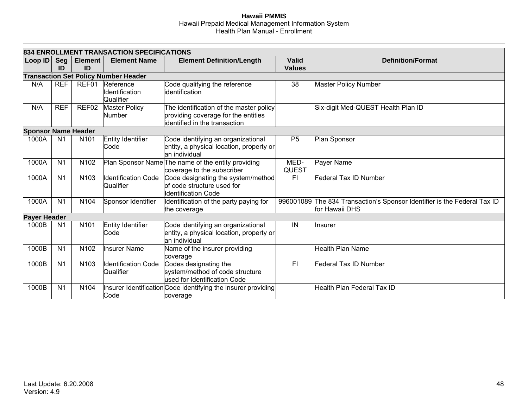|                            |                  |                      | 834 ENROLLMENT TRANSACTION SPECIFICATIONS   |                                                                                                                 |                               |                                                                                            |
|----------------------------|------------------|----------------------|---------------------------------------------|-----------------------------------------------------------------------------------------------------------------|-------------------------------|--------------------------------------------------------------------------------------------|
| Loop ID                    | <b>Seg</b><br>ID | <b>Element</b><br>ID | <b>Element Name</b>                         | <b>Element Definition/Length</b>                                                                                | <b>Valid</b><br><b>Values</b> | <b>Definition/Format</b>                                                                   |
|                            |                  |                      | <b>Transaction Set Policy Number Header</b> |                                                                                                                 |                               |                                                                                            |
| N/A                        | <b>REF</b>       | REF01                | Reference<br>Identification<br>Qualifier    | Code qualifying the reference<br>identification                                                                 | 38                            | <b>Master Policy Number</b>                                                                |
| N/A                        | <b>REF</b>       | REF02                | <b>Master Policy</b><br>Number              | The identification of the master policy<br>providing coverage for the entities<br>identified in the transaction |                               | Six-digit Med-QUEST Health Plan ID                                                         |
| <b>Sponsor Name Header</b> |                  |                      |                                             |                                                                                                                 |                               |                                                                                            |
| 1000A                      | N <sub>1</sub>   | N <sub>101</sub>     | Entity Identifier<br>Code                   | Code identifying an organizational<br>entity, a physical location, property or<br>an individual                 | P <sub>5</sub>                | Plan Sponsor                                                                               |
| 1000A                      | N <sub>1</sub>   | N102                 |                                             | Plan Sponsor Name The name of the entity providing<br>coverage to the subscriber                                | MED-<br>QUEST                 | Payer Name                                                                                 |
| 1000A                      | N <sub>1</sub>   | N <sub>103</sub>     | <b>Identification Code</b><br>Qualifier     | Code designating the system/method<br>of code structure used for<br><b>Identification Code</b>                  | F1                            | Federal Tax ID Number                                                                      |
| 1000A                      | N <sub>1</sub>   | N104                 | Sponsor Identifier                          | Identification of the party paying for<br>the coverage                                                          |                               | 996001089 The 834 Transaction's Sponsor Identifier is the Federal Tax ID<br>for Hawaii DHS |
| <b>Payer Header</b>        |                  |                      |                                             |                                                                                                                 |                               |                                                                                            |
| 1000B                      | N <sub>1</sub>   | N <sub>101</sub>     | Entity Identifier<br>Code                   | Code identifying an organizational<br>entity, a physical location, property or<br>an individual                 | IN                            | Insurer                                                                                    |
| 1000B                      | N <sub>1</sub>   | N102                 | <b>Insurer Name</b>                         | Name of the insurer providing<br>coverage                                                                       |                               | Health Plan Name                                                                           |
| 1000B                      | N <sub>1</sub>   | N <sub>103</sub>     | <b>Identification Code</b><br>Qualifier     | Codes designating the<br>system/method of code structure<br>used for Identification Code                        | F1                            | <b>Federal Tax ID Number</b>                                                               |
| 1000B                      | N <sub>1</sub>   | N104                 | Code                                        | Insurer Identification Code identifying the insurer providing<br>coverage                                       |                               | <b>Health Plan Federal Tax ID</b>                                                          |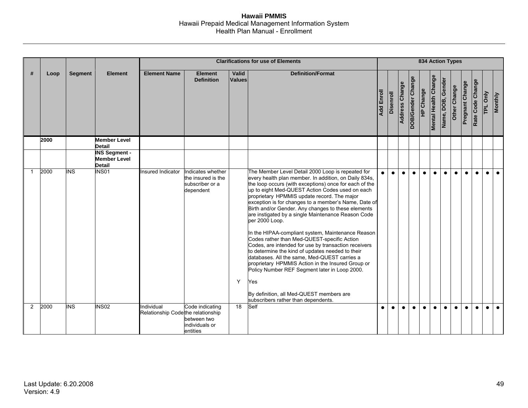|                |      |                         |                                                              |                                                 |                                                                         |                        | <b>Clarifications for use of Elements</b>                                                                                                                                                                                                                                                                                                                                                                                                                                                                                                                                                                                                                                                                                                                                                                                                                                                                                    |                   |                  |                |                   | <b>834 Action Types</b> |                             |                   |              |                 |                  |           |                |
|----------------|------|-------------------------|--------------------------------------------------------------|-------------------------------------------------|-------------------------------------------------------------------------|------------------------|------------------------------------------------------------------------------------------------------------------------------------------------------------------------------------------------------------------------------------------------------------------------------------------------------------------------------------------------------------------------------------------------------------------------------------------------------------------------------------------------------------------------------------------------------------------------------------------------------------------------------------------------------------------------------------------------------------------------------------------------------------------------------------------------------------------------------------------------------------------------------------------------------------------------------|-------------------|------------------|----------------|-------------------|-------------------------|-----------------------------|-------------------|--------------|-----------------|------------------|-----------|----------------|
| #              | Loop | <b>Segment</b>          | <b>Element</b>                                               | <b>Element Name</b>                             | <b>Element</b><br><b>Definition</b>                                     | Valid<br><b>Values</b> | <b>Definition/Format</b>                                                                                                                                                                                                                                                                                                                                                                                                                                                                                                                                                                                                                                                                                                                                                                                                                                                                                                     | <b>Add Enroll</b> | <b>Disenroll</b> | Address Change | DOB/Gender Change | HP Change               | <b>Mental Health Change</b> | Name, DOB, Gender | Other Change | Pregnant Change | Rate Code Change | TPL Only  | <b>Monthly</b> |
|                | 2000 |                         | <b>Member Level</b><br><b>Detail</b>                         |                                                 |                                                                         |                        |                                                                                                                                                                                                                                                                                                                                                                                                                                                                                                                                                                                                                                                                                                                                                                                                                                                                                                                              |                   |                  |                |                   |                         |                             |                   |              |                 |                  |           |                |
|                |      |                         | <b>INS Segment -</b><br><b>Member Level</b><br><b>Detail</b> |                                                 |                                                                         |                        |                                                                                                                                                                                                                                                                                                                                                                                                                                                                                                                                                                                                                                                                                                                                                                                                                                                                                                                              |                   |                  |                |                   |                         |                             |                   |              |                 |                  |           |                |
| $\mathbf{1}$   | 2000 | $\overline{\text{INS}}$ | <b>INS01</b>                                                 | Insured Indicator                               | Indicates whether<br>the insured is the<br>subscriber or a<br>dependent | Y                      | The Member Level Detail 2000 Loop is repeated for<br>every health plan member. In addition, on Daily 834s,<br>the loop occurs (with exceptions) once for each of the<br>up to eight Med-QUEST Action Codes used on each<br>proprietary HPMMIS update record. The major<br>exception is for changes to a member's Name, Date of<br>Birth and/or Gender. Any changes to these elements<br>are instigated by a single Maintenance Reason Code<br>per 2000 Loop.<br>In the HIPAA-compliant system, Maintenance Reason<br>Codes rather than Med-QUEST-specific Action<br>Codes, are intended for use by transaction receivers<br>to determine the kind of updates needed to their<br>databases. All the same, Med-QUEST carries a<br>proprietary HPMMIS Action in the Insured Group or<br>Policy Number REF Segment later in Loop 2000.<br>Yes<br>By definition, all Med-QUEST members are<br>subscribers rather than dependents. | $\bullet$         | $\bullet$        | $\bullet$      | $\bullet$         | $\bullet$               | $\bullet$                   | $\bullet$         | $\bullet$    | $\bullet$       | $\bullet$        | $\bullet$ | $\bullet$      |
| $\overline{2}$ | 2000 | <b>INS</b>              | <b>INS02</b>                                                 | Individual<br>Relationship Codethe relationship | Code indicating<br>between two<br>individuals or<br>entities            | $\overline{18}$        | Self                                                                                                                                                                                                                                                                                                                                                                                                                                                                                                                                                                                                                                                                                                                                                                                                                                                                                                                         | $\bullet$         | $\bullet$        | $\bullet$      | $\bullet$         | $\bullet$               | $\bullet$                   | $\bullet$         | $\bullet$    | $\bullet$       | $\bullet$        | $\bullet$ | $\bullet$      |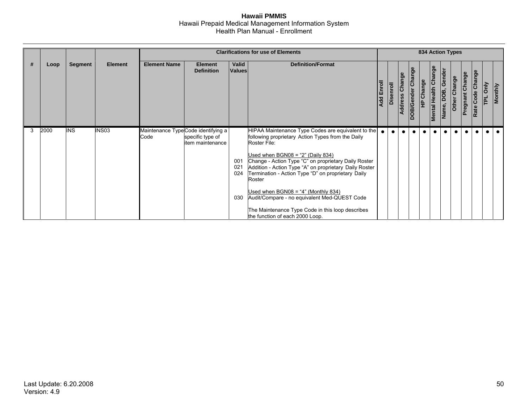|   |      |            |                |                                            |                                      |                          | <b>Clarifications for use of Elements</b>                                                                                                                                                                                                                                                                                                                                                                                                                                                                                        |                   |           |                   |                   |           |                             |                  | <b>834 Action Types</b> |                 |                  |                    |                |
|---|------|------------|----------------|--------------------------------------------|--------------------------------------|--------------------------|----------------------------------------------------------------------------------------------------------------------------------------------------------------------------------------------------------------------------------------------------------------------------------------------------------------------------------------------------------------------------------------------------------------------------------------------------------------------------------------------------------------------------------|-------------------|-----------|-------------------|-------------------|-----------|-----------------------------|------------------|-------------------------|-----------------|------------------|--------------------|----------------|
| # | Loop | Segment    | <b>Element</b> | <b>Element Name</b>                        | <b>Element</b><br><b>Definition</b>  | Valid<br><b>Values</b>   | <b>Definition/Format</b>                                                                                                                                                                                                                                                                                                                                                                                                                                                                                                         | <b>Add Enroll</b> | Disenroll | Change<br>Address | DOB/Gender Change | HP Change | <b>Mental Health Change</b> | Name, DOB, Gende | Other Change            | Pregnant Change | Rate Code Change | $\frac{1}{2}$<br>E | <b>Monthly</b> |
| 3 | 2000 | <b>INS</b> | INS03          | Maintenance TypeCode identifying a<br>Code | specific type of<br>item maintenance | 001<br>021<br>024<br>030 | HIPAA Maintenance Type Codes are equivalent to the<br>following proprietary Action Types from the Daily<br>Roster File:<br>Used when $BGN08 = "2"$ (Daily 834)<br>Change - Action Type "C" on proprietary Daily Roster<br>Addition - Action Type "A" on proprietary Daily Roster<br>Termination - Action Type "D" on proprietary Daily<br>Roster<br>Used when $BGN08 = "4" (Monthly 834)$<br>Audit/Compare - no equivalent Med-QUEST Code<br>The Maintenance Type Code in this loop describes<br>the function of each 2000 Loop. | $\bullet$         | $\bullet$ | $\bullet$         | $\bullet$         |           |                             |                  |                         |                 | $\bullet$        |                    |                |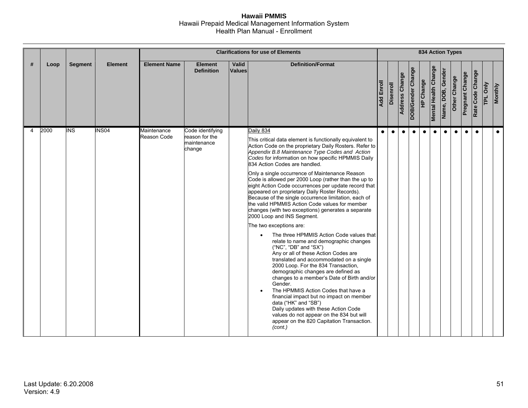|   |      |                |                |                            |                                                             |                 | <b>Clarifications for use of Elements</b>                                                                                                                                                                                                                                                                                                                                                                                                                                                                                                                                                                                                                                                                                                                                                                                                                                                                                                                                                                                                                                                                                                                                                                                                                                                                                         |                   |                  |                |                   |                  |                             |                   | <b>834 Action Types</b> |                 |                  |          |                |
|---|------|----------------|----------------|----------------------------|-------------------------------------------------------------|-----------------|-----------------------------------------------------------------------------------------------------------------------------------------------------------------------------------------------------------------------------------------------------------------------------------------------------------------------------------------------------------------------------------------------------------------------------------------------------------------------------------------------------------------------------------------------------------------------------------------------------------------------------------------------------------------------------------------------------------------------------------------------------------------------------------------------------------------------------------------------------------------------------------------------------------------------------------------------------------------------------------------------------------------------------------------------------------------------------------------------------------------------------------------------------------------------------------------------------------------------------------------------------------------------------------------------------------------------------------|-------------------|------------------|----------------|-------------------|------------------|-----------------------------|-------------------|-------------------------|-----------------|------------------|----------|----------------|
| # | Loop | <b>Segment</b> | <b>Element</b> | <b>Element Name</b>        | <b>Element</b><br><b>Definition</b>                         | Valid<br>Values | <b>Definition/Format</b>                                                                                                                                                                                                                                                                                                                                                                                                                                                                                                                                                                                                                                                                                                                                                                                                                                                                                                                                                                                                                                                                                                                                                                                                                                                                                                          | <b>Add Enroll</b> | <b>Disenroll</b> | Address Change | DOB/Gender Change | <b>HP Change</b> | <b>Mental Health Change</b> | Name, DOB, Gender | Other Change            | Pregnant Change | Rate Code Change | TPL Only | <b>Monthly</b> |
| 4 | 2000 | <b>INS</b>     | <b>INS04</b>   | Maintenance<br>Reason Code | Code identifying<br>reason for the<br>maintenance<br>change |                 | Daily 834<br>This critical data element is functionally equivalent to<br>Action Code on the proprietary Daily Rosters. Refer to<br>Appendix B.8 Maintenance Type Codes and Action<br>Codes for information on how specific HPMMIS Daily<br>834 Action Codes are handled.<br>Only a single occurrence of Maintenance Reason<br>Code is allowed per 2000 Loop (rather than the up to<br>eight Action Code occurrences per update record that<br>appeared on proprietary Daily Roster Records).<br>Because of the single occurrence limitation, each of<br>the valid HPMMIS Action Code values for member<br>changes (with two exceptions) generates a separate<br>2000 Loop and INS Segment.<br>The two exceptions are:<br>The three HPMMIS Action Code values that<br>$\bullet$<br>relate to name and demographic changes<br>("NC", "DB" and "SX")<br>Any or all of these Action Codes are<br>translated and accommodated on a single<br>2000 Loop. For the 834 Transaction,<br>demographic changes are defined as<br>changes to a member's Date of Birth and/or<br>Gender.<br>The HPMMIS Action Codes that have a<br>financial impact but no impact on member<br>data ("HK" and "SB")<br>Daily updates with these Action Code<br>values do not appear on the 834 but will<br>appear on the 820 Capitation Transaction.<br>(cont.) | $\bullet$         | $\bullet$        | $\bullet$      | $\bullet$         | $\bullet$        | $\bullet$                   | $\bullet$         | $\bullet$               | $\bullet$       | $\bullet$        |          | $\bullet$      |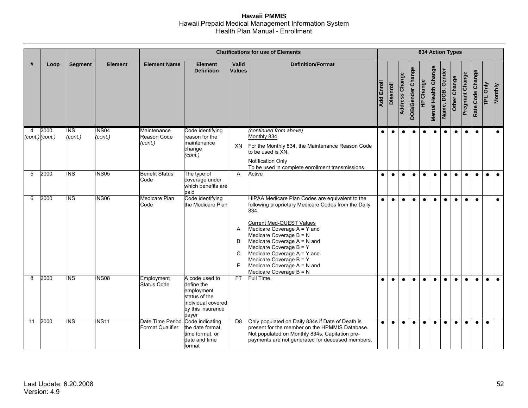|    |                             |                       |                         |                                                             |                                                                                                                 |                  | <b>Clarifications for use of Elements</b>                                                                                                                                                                                                                                                                                                                                                 |            |                  |                       |                   | <b>834 Action Types</b> |                             |                   |              |                 |                  |           |                |
|----|-----------------------------|-----------------------|-------------------------|-------------------------------------------------------------|-----------------------------------------------------------------------------------------------------------------|------------------|-------------------------------------------------------------------------------------------------------------------------------------------------------------------------------------------------------------------------------------------------------------------------------------------------------------------------------------------------------------------------------------------|------------|------------------|-----------------------|-------------------|-------------------------|-----------------------------|-------------------|--------------|-----------------|------------------|-----------|----------------|
| #  | Loop                        | <b>Segment</b>        | <b>Element</b>          | <b>Element Name</b>                                         | <b>Element</b><br><b>Definition</b>                                                                             | Valid<br>Values  | <b>Definition/Format</b>                                                                                                                                                                                                                                                                                                                                                                  | Add Enroll | <b>Disenroll</b> | <b>Address Change</b> | DOB/Gender Change | HP Change               | <b>Mental Health Change</b> | Name, DOB, Gender | Other Change | Pregnant Change | Rate Code Change | TPL Only  | <b>Monthly</b> |
| 4  | 2000<br>$(cont.)$ $(cont.)$ | <b>INS</b><br>(cont.) | <b>INS04</b><br>(cont.) | Maintenance<br>Reason Code<br>(cont.)                       | Code identifying<br>reason for the<br>maintenance<br>change<br>(cont.)                                          | XN               | (continued from above)<br>Monthly 834<br>For the Monthly 834, the Maintenance Reason Code<br>to be used is XN.<br><b>Notification Only</b><br>To be used in complete enrollment transmissions.                                                                                                                                                                                            | $\bullet$  | $\bullet$        | $\bullet$             | $\bullet$         | $\bullet$               | $\bullet$                   | $\bullet$         | $\bullet$    | $\bullet$       | $\bullet$        |           | $\bullet$      |
| 5  | 2000                        | <b>INS</b>            | <b>INS05</b>            | <b>Benefit Status</b><br>Code                               | The type of<br>coverage under<br>which benefits are<br>paid                                                     | $\mathsf{A}$     | Active                                                                                                                                                                                                                                                                                                                                                                                    | $\bullet$  | $\bullet$        | $\bullet$             | $\bullet$         | $\bullet$               | $\bullet$                   | $\bullet$         | $\bullet$    | $\bullet$       | $\bullet$        | $\bullet$ | $\bullet$      |
| 6  | 2000                        | <b>INS</b>            | <b>INS06</b>            | Medicare Plan<br>Code                                       | Code identifying<br>the Medicare Plan                                                                           | A<br>B<br>C<br>E | HIPAA Medicare Plan Codes are equivalent to the<br>following proprietary Medicare Codes from the Daily<br>834:<br><b>Current Med-QUEST Values</b><br>Medicare Coverage A = Y and<br>Medicare Coverage B = N<br>Medicare Coverage A = N and<br>Medicare Coverage B = Y<br>Medicare Coverage A = Y and<br>Medicare Coverage B = Y<br>Medicare Coverage A = N and<br>Medicare Coverage B = N | $\bullet$  | $\bullet$        | $\bullet$             | $\bullet$         | $\bullet$               | $\bullet$                   | $\bullet$         | $\bullet$    | $\bullet$       | $\bullet$        |           | $\bullet$      |
| 8  | 2000                        | <b>INS</b>            | <b>INS08</b>            | Employment<br>Status Code                                   | A code used to<br>define the<br>employment<br>status of the<br>individual covered<br>by this insurance<br>payer | FT.              | Full Time.                                                                                                                                                                                                                                                                                                                                                                                | $\bullet$  | $\bullet$        | $\bullet$             | $\bullet$         | $\bullet$               | $\bullet$                   | $\bullet$         | $\bullet$    | $\bullet$       | $\bullet$        | $\bullet$ | $\bullet$      |
| 11 | 2000                        | <b>INS</b>            | <b>INS11</b>            | Date Time Period Code indicating<br><b>Format Qualifier</b> | the date format.<br>time format, or<br>date and time<br>format                                                  | D <sub>8</sub>   | Only populated on Daily 834s if Date of Death is<br>present for the member on the HPMMIS Database.<br>Not populated on Monthly 834s. Capitation pre-<br>payments are not generated for deceased members.                                                                                                                                                                                  | $\bullet$  | $\bullet$        | $\bullet$             | $\bullet$         | $\bullet$               | $\bullet$                   | $\bullet$         | $\bullet$    | $\bullet$       | $\bullet$        | $\bullet$ |                |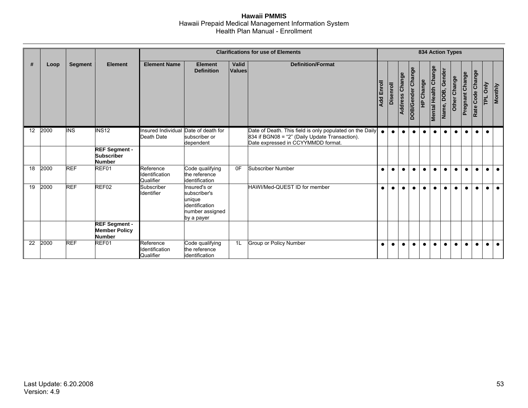|                 |      |                |                                                               |                                                    |                                                                                           |                        | <b>Clarifications for use of Elements</b>                                                                                                        |                   |           |                       |                   |           |                             | 834 Action Types     |              |                        |                  |           |                |
|-----------------|------|----------------|---------------------------------------------------------------|----------------------------------------------------|-------------------------------------------------------------------------------------------|------------------------|--------------------------------------------------------------------------------------------------------------------------------------------------|-------------------|-----------|-----------------------|-------------------|-----------|-----------------------------|----------------------|--------------|------------------------|------------------|-----------|----------------|
| #               | Loop | <b>Segment</b> | <b>Element</b>                                                | <b>Element Name</b>                                | <b>Element</b><br><b>Definition</b>                                                       | Valid<br><b>Values</b> | <b>Definition/Format</b>                                                                                                                         | <b>Add Enroll</b> | Disenroll | <b>Address Change</b> | DOB/Gender Change | HP Change | <b>Mental Health Change</b> | Gender<br>Name, DOB, | Other Change | <b>Pregnant Change</b> | Rate Code Change | Only<br>힡 | <b>Monthly</b> |
| 12 <sup>2</sup> | 2000 | <b>INS</b>     | <b>INS12</b>                                                  | Insured Individual Date of death for<br>Death Date | subscriber or<br>dependent                                                                |                        | Date of Death. This field is only populated on the Daily<br>834 if BGN08 = "2" (Daily Update Transaction).<br>Date expressed in CCYYMMDD format. | $\bullet$         | $\bullet$ | $\bullet$             | $\bullet$         | $\bullet$ | $\bullet$                   | $\bullet$            | $\bullet$    | $\bullet$              | $\bullet$        |           |                |
|                 |      |                | <b>REF Segment -</b><br><b>Subscriber</b><br><b>Number</b>    |                                                    |                                                                                           |                        |                                                                                                                                                  |                   |           |                       |                   |           |                             |                      |              |                        |                  |           |                |
| 18              | 2000 | <b>REF</b>     | REF01                                                         | Reference<br>Identification<br>Qualifier           | Code qualifying<br>the reference<br>identification                                        | 0F                     | <b>Subscriber Number</b>                                                                                                                         | $\bullet$         | $\bullet$ | $\bullet$             | $\bullet$         | $\bullet$ | $\bullet$                   | $\bullet$            | $\bullet$    | $\bullet$              | $\bullet$        | $\bullet$ |                |
| 19              | 2000 | <b>REF</b>     | REF02                                                         | Subscriber<br>Identifier                           | Insured's or<br>subscriber's<br>unique<br>identification<br>number assigned<br>by a payer |                        | HAWI/Med-QUEST ID for member                                                                                                                     |                   | $\bullet$ |                       |                   |           | $\bullet$                   |                      |              | $\bullet$              |                  |           |                |
|                 |      |                | <b>REF Segment -</b><br><b>Member Policy</b><br><b>Number</b> |                                                    |                                                                                           |                        |                                                                                                                                                  |                   |           |                       |                   |           |                             |                      |              |                        |                  |           |                |
| 22              | 2000 | <b>REF</b>     | REF01                                                         | Reference<br>Identification<br>Qualifier           | Code qualifying<br>the reference<br>identification                                        | 1L                     | Group or Policy Number                                                                                                                           | $\bullet$         | $\bullet$ | $\bullet$             | $\bullet$         | $\bullet$ | $\bullet$                   | $\bullet$            | $\bullet$    | $\bullet$              | $\bullet$        |           | $\bullet$      |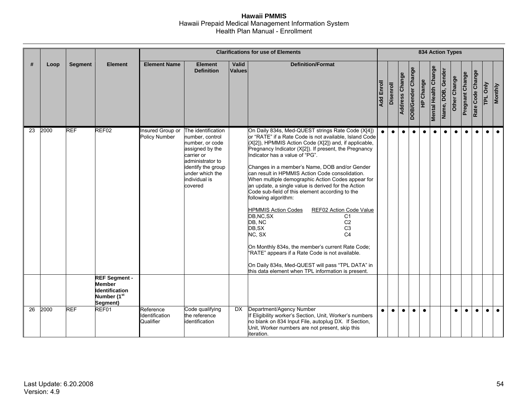|    |      |                |                                                                                                                            |                                          |                                                                                                                                                                                    |                        | <b>Clarifications for use of Elements</b>                                                                                                                                                                                                                                                                                                                                                                                                                                                                                                                                                                                                                                                                                                                                                                                                                                                                                                    |                   |           |                       |                   |                  |                             |                   | <b>834 Action Types</b> |                        |                  |          |                |
|----|------|----------------|----------------------------------------------------------------------------------------------------------------------------|------------------------------------------|------------------------------------------------------------------------------------------------------------------------------------------------------------------------------------|------------------------|----------------------------------------------------------------------------------------------------------------------------------------------------------------------------------------------------------------------------------------------------------------------------------------------------------------------------------------------------------------------------------------------------------------------------------------------------------------------------------------------------------------------------------------------------------------------------------------------------------------------------------------------------------------------------------------------------------------------------------------------------------------------------------------------------------------------------------------------------------------------------------------------------------------------------------------------|-------------------|-----------|-----------------------|-------------------|------------------|-----------------------------|-------------------|-------------------------|------------------------|------------------|----------|----------------|
| #  | Loop | <b>Segment</b> | <b>Element</b>                                                                                                             | <b>Element Name</b>                      | <b>Element</b><br><b>Definition</b>                                                                                                                                                | Valid<br><b>Values</b> | <b>Definition/Format</b>                                                                                                                                                                                                                                                                                                                                                                                                                                                                                                                                                                                                                                                                                                                                                                                                                                                                                                                     | <b>Add Enroll</b> | Disenroll | <b>Address Change</b> | DOB/Gender Change | <b>HP Change</b> | <b>Mental Health Change</b> | Name, DOB, Gender | Other Change            | <b>Pregnant Change</b> | Rate Code Change | TPL Only | <b>Monthly</b> |
| 23 | 2000 | <b>REF</b>     | REF <sub>02</sub><br><b>REF Segment -</b><br><b>Member</b><br><b>Identification</b><br>Number (1 <sup>st</sup><br>Segment) | Insured Group or<br><b>Policy Number</b> | The identification<br>number, control<br>number, or code<br>assigned by the<br>carrier or<br>administrator to<br>identify the group<br>under which the<br>individual is<br>covered |                        | On Daily 834s, Med-QUEST strings Rate Code (X[4])<br>or "RATE" if a Rate Code is not available, Island Code<br>(X[2]), HPMMIS Action Code (X[2]) and, if applicable,<br>Pregnancy Indicator (X[2]). If present, the Pregnancy<br>Indicator has a value of "PG".<br>Changes in a member's Name, DOB and/or Gender<br>can result in HPMMIS Action Code consolidation.<br>When multiple demographic Action Codes appear for<br>an update, a single value is derived for the Action<br>Code sub-field of this element according to the<br>following algorithm:<br><b>HPMMIS Action Codes</b><br>REF02 Action Code Value<br>DB, NC, SX<br>C1<br>DB, NC<br>C <sub>2</sub><br>DB, SX<br>C <sub>3</sub><br>NC, SX<br>C <sub>4</sub><br>On Monthly 834s, the member's current Rate Code;<br>"RATE" appears if a Rate Code is not available.<br>On Daily 834s, Med-QUEST will pass "TPL DATA" in<br>this data element when TPL information is present. | $\bullet$         | $\bullet$ | $\bullet$             | $\bullet$         | $\bullet$        | $\bullet$                   | $\bullet$         | $\bullet$               | $\bullet$              | $\bullet$        |          |                |
| 26 | 2000 | <b>REF</b>     | REF01                                                                                                                      | Reference<br>Identification<br>Qualifier | Code qualifying<br>the reference<br>identification                                                                                                                                 | <b>DX</b>              | Department/Agency Number<br>If Eligibility worker's Section, Unit, Worker's numbers<br>no blank on 834 Input File, autoplug DX. If Section,<br>Unit, Worker numbers are not present, skip this<br>iteration.                                                                                                                                                                                                                                                                                                                                                                                                                                                                                                                                                                                                                                                                                                                                 | $\bullet$         | $\bullet$ | $\bullet$             | $\bullet$         | $\bullet$        |                             |                   | $\bullet$               | $\bullet$              | $\bullet$        |          | $\bullet$      |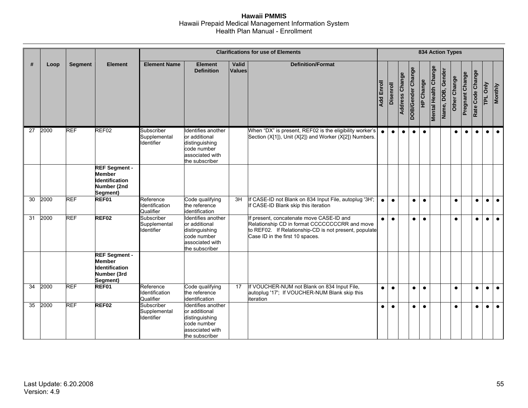|                 |      |                |                                                                                           |                                          |                                                                                                           |                 | <b>Clarifications for use of Elements</b>                                                                                                                                             |                   |           |                |                   |                  |                             |                   | <b>834 Action Types</b> |                        |                  |           |                |
|-----------------|------|----------------|-------------------------------------------------------------------------------------------|------------------------------------------|-----------------------------------------------------------------------------------------------------------|-----------------|---------------------------------------------------------------------------------------------------------------------------------------------------------------------------------------|-------------------|-----------|----------------|-------------------|------------------|-----------------------------|-------------------|-------------------------|------------------------|------------------|-----------|----------------|
| #               | Loop | <b>Segment</b> | <b>Element</b>                                                                            | <b>Element Name</b>                      | <b>Element</b><br><b>Definition</b>                                                                       | Valid<br>Values | <b>Definition/Format</b>                                                                                                                                                              | <b>Add Enroll</b> | Disenroll | Address Change | DOB/Gender Change | <b>HP Change</b> | <b>Mental Health Change</b> | Name, DOB, Gender | Other Change            | <b>Pregnant Change</b> | Rate Code Change | TPL Only  | <b>Monthly</b> |
| $\overline{27}$ | 2000 | <b>REF</b>     | REF02                                                                                     | Subscriber<br>Supplemental<br>Identifier | Identifies another<br>or additional<br>distinguishing<br>code number<br>associated with<br>the subscriber |                 | When "DX" is present, REF02 is the eligibility worker's<br>Section (X[1]), Unit (X[2]) and Worker (X[2]) Numbers.                                                                     | $\bullet$         | $\bullet$ | $\bullet$      | $\bullet$         | $\bullet$        |                             |                   | $\bullet$               | $\bullet$              | $\bullet$        |           | $\bullet$      |
|                 |      |                | <b>REF Segment -</b><br><b>Member</b><br><b>Identification</b><br>Number (2nd<br>Segment) |                                          |                                                                                                           |                 |                                                                                                                                                                                       |                   |           |                |                   |                  |                             |                   |                         |                        |                  |           |                |
| $\overline{30}$ | 2000 | <b>REF</b>     | REF01                                                                                     | Reference<br>Identification<br>Qualifier | Code qualifying<br>the reference<br>identification                                                        | 3H              | If CASE-ID not Blank on 834 Input File, autoplug '3H';<br>If CASE-ID Blank skip this iteration                                                                                        | $\bullet$         | $\bullet$ |                | $\bullet$         | $\bullet$        |                             |                   | $\bullet$               |                        | $\bullet$        | $\bullet$ | $\bullet$      |
| 31              | 2000 | <b>REF</b>     | REF <sub>02</sub>                                                                         | Subscriber<br>Supplemental<br>Identifier | Identifies another<br>or additional<br>distinguishing<br>code number<br>associated with<br>the subscriber |                 | If present, concatenate move CASE-ID and<br>Relationship CD in format CCCCCCCCRR and move<br>to REF02. If Relationship-CD is not present, populate<br>Case ID in the first 10 spaces. | $\bullet$         | $\bullet$ |                | $\bullet$         | $\bullet$        |                             |                   | $\bullet$               |                        | $\bullet$        |           | $\bullet$      |
|                 |      |                | <b>REF Segment -</b><br><b>Member</b><br>Identification<br>Number (3rd<br>Segment)        |                                          |                                                                                                           |                 |                                                                                                                                                                                       |                   |           |                |                   |                  |                             |                   |                         |                        |                  |           |                |
| $\overline{34}$ | 2000 | <b>REF</b>     | REF01                                                                                     | Reference<br>Identification<br>Qualifier | Code qualifying<br>the reference<br>identification                                                        | 17              | If VOUCHER-NUM not Blank on 834 Input File,<br>autoplug '17': If VOUCHER-NUM Blank skip this<br>iteration                                                                             | $\bullet$         | $\bullet$ |                | $\bullet$         | $\bullet$        |                             |                   | $\bullet$               |                        | $\bullet$        | $\bullet$ | $\bullet$      |
| 35              | 2000 | <b>REF</b>     | REF <sub>02</sub>                                                                         | Subscriber<br>Supplemental<br>Identifier | Identifies another<br>or additional<br>distinguishing<br>code number<br>associated with<br>the subscriber |                 |                                                                                                                                                                                       | $\bullet$         | $\bullet$ |                | $\bullet$         | $\bullet$        |                             |                   | $\bullet$               |                        | $\bullet$        | $\bullet$ | $\bullet$      |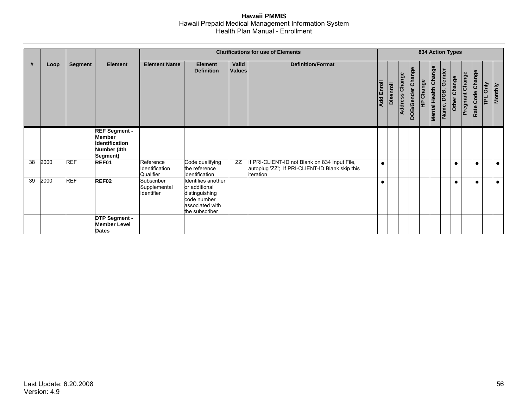|    |      |                |                                                                                    |                                                 |                                                                                                           |                 | <b>Clarifications for use of Elements</b>                                                                      |                   |           |                          |                   | <b>834 Action Types</b> |                             |                   |              |                 |                  |   |                |
|----|------|----------------|------------------------------------------------------------------------------------|-------------------------------------------------|-----------------------------------------------------------------------------------------------------------|-----------------|----------------------------------------------------------------------------------------------------------------|-------------------|-----------|--------------------------|-------------------|-------------------------|-----------------------------|-------------------|--------------|-----------------|------------------|---|----------------|
| #  | Loop | <b>Segment</b> | <b>Element</b>                                                                     | <b>Element Name</b>                             | <b>Element</b><br><b>Definition</b>                                                                       | Valid<br>Values | <b>Definition/Format</b>                                                                                       | <b>Add Enroll</b> | Disenroll | Change<br><b>Address</b> | DOB/Gender Change | HP Change               | <b>Mental Health Change</b> | Name, DOB, Gender | Other Change | Pregnant Change | Rate Code Change | E | <b>Monthly</b> |
|    |      |                | <b>REF Segment -</b><br><b>Member</b><br>Identification<br>Number (4th<br>Segment) |                                                 |                                                                                                           |                 |                                                                                                                |                   |           |                          |                   |                         |                             |                   |              |                 |                  |   |                |
| 38 | 2000 | <b>REF</b>     | REF01                                                                              | Reference<br>Identification<br>Qualifier        | Code qualifying<br>the reference<br>identification                                                        | ZZ              | If PRI-CLIENT-ID not Blank on 834 Input File,<br>autoplug 'ZZ'; If PRI-CLIENT-ID Blank skip this<br>literation | $\bullet$         |           |                          |                   |                         |                             |                   | $\bullet$    |                 | $\bullet$        |   | $\bullet$      |
| 39 | 2000 | <b>REF</b>     | <b>REF02</b>                                                                       | Subscriber<br>Supplemental<br><b>Identifier</b> | Identifies another<br>or additional<br>distinguishing<br>code number<br>associated with<br>the subscriber |                 |                                                                                                                |                   |           |                          |                   |                         |                             |                   | $\bullet$    |                 | $\bullet$        |   | $\bullet$      |
|    |      |                | <b>DTP Segment -</b><br><b>Member Level</b><br><b>Dates</b>                        |                                                 |                                                                                                           |                 |                                                                                                                |                   |           |                          |                   |                         |                             |                   |              |                 |                  |   |                |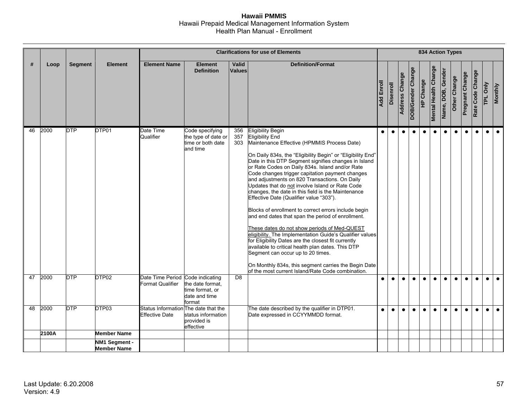|    |       |                |                                     |                                                               |                                                                         |                        | <b>Clarifications for use of Elements</b>                                                                                                                                                                                                                                                                                                                                                                                                                                                                                                                                                                                                                                                                                                                                                                                                                                                                                                                                                                                  |                   |           |                       |                   |                  |                             |                   | <b>834 Action Types</b> |                 |                  |           |                |
|----|-------|----------------|-------------------------------------|---------------------------------------------------------------|-------------------------------------------------------------------------|------------------------|----------------------------------------------------------------------------------------------------------------------------------------------------------------------------------------------------------------------------------------------------------------------------------------------------------------------------------------------------------------------------------------------------------------------------------------------------------------------------------------------------------------------------------------------------------------------------------------------------------------------------------------------------------------------------------------------------------------------------------------------------------------------------------------------------------------------------------------------------------------------------------------------------------------------------------------------------------------------------------------------------------------------------|-------------------|-----------|-----------------------|-------------------|------------------|-----------------------------|-------------------|-------------------------|-----------------|------------------|-----------|----------------|
| #  | Loop  | <b>Segment</b> | <b>Element</b>                      | <b>Element Name</b>                                           | <b>Element</b><br><b>Definition</b>                                     | Valid<br><b>Values</b> | <b>Definition/Format</b>                                                                                                                                                                                                                                                                                                                                                                                                                                                                                                                                                                                                                                                                                                                                                                                                                                                                                                                                                                                                   | <b>Add Enroll</b> | Disenroll | <b>Address Change</b> | DOB/Gender Change | <b>HP Change</b> | <b>Mental Health Change</b> | Name, DOB, Gender | Other Change            | Pregnant Change | Rate Code Change | TPL Only  | <b>Monthly</b> |
| 46 | 2000  | <b>DTP</b>     | DTP01                               | Date Time<br>Qualifier                                        | Code specifying<br>the type of date or<br>time or both date<br>and time | 356<br>357<br>303      | <b>Eligibility Begin</b><br><b>Eligibility End</b><br>Maintenance Effective (HPMMIS Process Date)<br>On Daily 834s, the "Eligibility Begin" or "Eligibility End"<br>Date in this DTP Segment signifies changes in Island<br>or Rate Codes on Daily 834s. Island and/or Rate<br>Code changes trigger capitation payment changes<br>and adjustments on 820 Transactions. On Daily<br>Updates that do not involve Island or Rate Code<br>changes, the date in this field is the Maintenance<br>Effective Date (Qualifier value "303").<br>Blocks of enrollment to correct errors include begin<br>and end dates that span the period of enrollment.<br>These dates do not show periods of Med-QUEST<br>eligibility. The Implementation Guide's Qualifier values<br>for Eligibility Dates are the closest fit currently<br>available to critical health plan dates. This DTP<br>Segment can occur up to 20 times.<br>On Monthly 834s, this segment carries the Begin Date<br>of the most current Island/Rate Code combination. | $\bullet$         | $\bullet$ | $\bullet$             | $\bullet$         | $\bullet$        | $\bullet$                   | $\bullet$         | $\bullet$               | $\bullet$       | $\bullet$        | $\bullet$ | $\bullet$      |
| 47 | 2000  | <b>DTP</b>     | DTP <sub>02</sub>                   | Date Time Period Code indicating<br>Format Qualifier          | the date format.<br>time format, or<br>date and time<br>format          | D <sub>8</sub>         |                                                                                                                                                                                                                                                                                                                                                                                                                                                                                                                                                                                                                                                                                                                                                                                                                                                                                                                                                                                                                            | $\bullet$         | $\bullet$ | $\bullet$             | $\bullet$         | $\bullet$        | $\bullet$                   | $\bullet$         | $\bullet$               | $\bullet$       | $\bullet$        |           | $\bullet$      |
| 48 | 2000  | <b>DTP</b>     | DTP03                               | Status Information The date that the<br><b>Effective Date</b> | status information<br>provided is<br>effective                          |                        | The date described by the qualifier in DTP01.<br>Date expressed in CCYYMMDD format.                                                                                                                                                                                                                                                                                                                                                                                                                                                                                                                                                                                                                                                                                                                                                                                                                                                                                                                                        | $\bullet$         | $\bullet$ | $\bullet$             | $\bullet$         | $\bullet$        | $\bullet$                   | $\bullet$         | $\bullet$               | $\bullet$       | $\bullet$        | $\bullet$ | $\bullet$      |
|    | 2100A |                | <b>Member Name</b>                  |                                                               |                                                                         |                        |                                                                                                                                                                                                                                                                                                                                                                                                                                                                                                                                                                                                                                                                                                                                                                                                                                                                                                                                                                                                                            |                   |           |                       |                   |                  |                             |                   |                         |                 |                  |           |                |
|    |       |                | NM1 Segment -<br><b>Member Name</b> |                                                               |                                                                         |                        |                                                                                                                                                                                                                                                                                                                                                                                                                                                                                                                                                                                                                                                                                                                                                                                                                                                                                                                                                                                                                            |                   |           |                       |                   |                  |                             |                   |                         |                 |                  |           |                |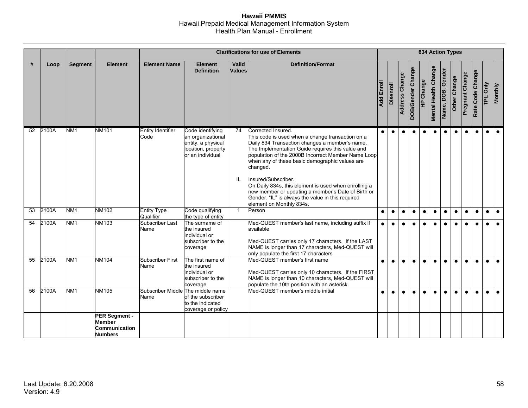|                 |          |                 |                                                                                          |                                           |                                                                                                       |                 | <b>Clarifications for use of Elements</b>                                                                                                                                                                                                                                                                                                                                                                                                                                                                              |            |           |                       |                   |                  |                             |                   | <b>834 Action Types</b> |                        |                  |           |                |
|-----------------|----------|-----------------|------------------------------------------------------------------------------------------|-------------------------------------------|-------------------------------------------------------------------------------------------------------|-----------------|------------------------------------------------------------------------------------------------------------------------------------------------------------------------------------------------------------------------------------------------------------------------------------------------------------------------------------------------------------------------------------------------------------------------------------------------------------------------------------------------------------------------|------------|-----------|-----------------------|-------------------|------------------|-----------------------------|-------------------|-------------------------|------------------------|------------------|-----------|----------------|
| #               | Loop     | <b>Segment</b>  | <b>Element</b>                                                                           | <b>Element Name</b>                       | <b>Element</b><br><b>Definition</b>                                                                   | Valid<br>Values | <b>Definition/Format</b>                                                                                                                                                                                                                                                                                                                                                                                                                                                                                               | Add Enroll | Disenroll | <b>Address Change</b> | DOB/Gender Change | <b>HP Change</b> | <b>Mental Health Change</b> | Name, DOB, Gender | Other Change            | <b>Pregnant Change</b> | Rate Code Change | TPL Only  | <b>Monthly</b> |
|                 | 52 2100A | NM <sub>1</sub> | <b>NM101</b>                                                                             | <b>Entity Identifier</b><br>Code          | Code identifying<br>an organizational<br>entity, a physical<br>location, property<br>or an individual | 74<br>IL        | Corrected Insured.<br>This code is used when a change transaction on a<br>Daily 834 Transaction changes a member's name.<br>The Implementation Guide requires this value and<br>population of the 2000B Incorrect Member Name Loop<br>when any of these basic demographic values are<br>changed.<br>Insured/Subscriber.<br>On Daily 834s, this element is used when enrolling a<br>new member or updating a member's Date of Birth or<br>Gender. "IL" is always the value in this required<br>element on Monthly 834s. | $\bullet$  | $\bullet$ | $\bullet$             | $\bullet$         | $\bullet$        | $\bullet$                   | $\bullet$         | $\bullet$               | $\bullet$              | $\bullet$        |           | $\bullet$      |
| $\overline{53}$ | 2100A    | NM1             | <b>NM102</b>                                                                             | <b>Entity Type</b><br>Qualifier           | Code qualifying<br>the type of entity                                                                 | $\mathbf{1}$    | Person                                                                                                                                                                                                                                                                                                                                                                                                                                                                                                                 | $\bullet$  | $\bullet$ | $\bullet$             | $\bullet$         | $\bullet$        | $\bullet$                   | $\bullet$         | $\bullet$               | $\bullet$              | $\bullet$        | $\bullet$ | $\bullet$      |
| $\overline{54}$ | 2100A    | NM <sub>1</sub> | NM103                                                                                    | <b>Subscriber Last</b><br>Name            | The surname of<br>the insured<br>individual or<br>subscriber to the<br>coverage                       |                 | Med-QUEST member's last name, including suffix if<br>available<br>Med-QUEST carries only 17 characters. If the LAST<br>NAME is longer than 17 characters, Med-QUEST will<br>only populate the first 17 characters                                                                                                                                                                                                                                                                                                      | $\bullet$  | $\bullet$ | $\bullet$             | $\bullet$         | $\bullet$        | $\bullet$                   | $\bullet$         | $\bullet$               | $\bullet$              | $\bullet$        | $\bullet$ | $\bullet$      |
| 55              | 2100A    | NM <sub>1</sub> | <b>NM104</b>                                                                             | <b>Subscriber First</b><br>Name           | The first name of<br>the insured<br>individual or<br>subscriber to the<br>coverage                    |                 | Med-QUEST member's first name<br>Med-QUEST carries only 10 characters. If the FIRST<br>NAME is longer than 10 characters, Med-QUEST will<br>populate the 10th position with an asterisk.                                                                                                                                                                                                                                                                                                                               | $\bullet$  | $\bullet$ | $\bullet$             |                   | $\bullet$        | $\bullet$                   | $\bullet$         | $\bullet$               | $\bullet$              | $\bullet$        | $\bullet$ | $\bullet$      |
| 56              | 2100A    | NM <sub>1</sub> | <b>NM105</b><br><b>PER Segment -</b><br><b>Member</b><br>Communication<br><b>Numbers</b> | Subscriber Middle The middle name<br>Name | of the subscriber<br>to the indicated<br>coverage or policy                                           |                 | Med-QUEST member's middle initial                                                                                                                                                                                                                                                                                                                                                                                                                                                                                      | $\bullet$  | $\bullet$ | $\bullet$             |                   | $\bullet$        | $\bullet$                   | $\bullet$         | $\bullet$               | $\bullet$              | $\bullet$        |           | $\bullet$      |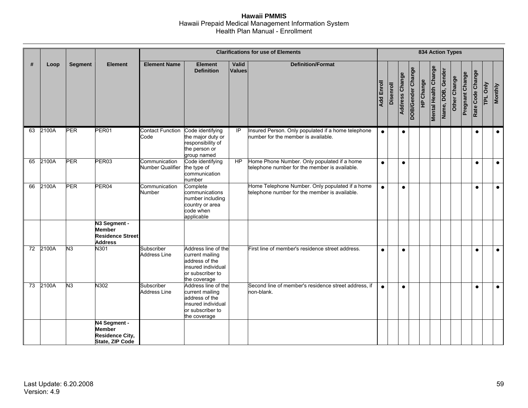|    |       |                |                                                                            |                                   |                                                                                                                    |                 | <b>Clarifications for use of Elements</b>                                                        |            |           |                       |                   | <b>834 Action Types</b> |                             |                   |              |                        |                  |          |                |
|----|-------|----------------|----------------------------------------------------------------------------|-----------------------------------|--------------------------------------------------------------------------------------------------------------------|-----------------|--------------------------------------------------------------------------------------------------|------------|-----------|-----------------------|-------------------|-------------------------|-----------------------------|-------------------|--------------|------------------------|------------------|----------|----------------|
| #  | Loop  | <b>Segment</b> | <b>Element</b>                                                             | <b>Element Name</b>               | <b>Element</b><br><b>Definition</b>                                                                                | Valid<br>Values | <b>Definition/Format</b>                                                                         | Add Enroll | Disenroll | <b>Address Change</b> | DOB/Gender Change | HP Change               | <b>Mental Health Change</b> | Name, DOB, Gender | Other Change | <b>Pregnant Change</b> | Rate Code Change | TPL Only | <b>Monthly</b> |
| 63 | 2100A | PER            | PER01                                                                      | <b>Contact Function</b><br>Code   | Code identifying<br>the major duty or<br>responsibility of<br>the person or<br>group named                         | IP              | Insured Person. Only populated if a home telephone<br>number for the member is available.        | $\bullet$  |           | $\bullet$             |                   |                         |                             |                   |              |                        | $\bullet$        |          | $\bullet$      |
| 65 | 2100A | <b>PER</b>     | PER03                                                                      | Communication<br>Number Qualifier | Code identifying<br>the type of<br>communication<br>number                                                         | HP              | Home Phone Number. Only populated if a home<br>telephone number for the member is available.     | $\bullet$  |           | $\bullet$             |                   |                         |                             |                   |              |                        | $\bullet$        |          | $\bullet$      |
| 66 | 2100A | PER            | PER04                                                                      | Communication<br>Number           | Complete<br>communications<br>number including<br>country or area<br>code when<br>applicable                       |                 | Home Telephone Number. Only populated if a home<br>telephone number for the member is available. | $\bullet$  |           | $\bullet$             |                   |                         |                             |                   |              |                        | $\bullet$        |          | $\bullet$      |
|    |       |                | N3 Segment -<br>Member<br><b>Residence Street</b><br><b>Address</b>        |                                   |                                                                                                                    |                 |                                                                                                  |            |           |                       |                   |                         |                             |                   |              |                        |                  |          |                |
| 72 | 2100A | N <sub>3</sub> | N301                                                                       | Subscriber<br><b>Address Line</b> | Address line of the<br>current mailing<br>address of the<br>insured individual<br>or subscriber to<br>the coverage |                 | First line of member's residence street address.                                                 | $\bullet$  |           | $\bullet$             |                   |                         |                             |                   |              |                        | $\bullet$        |          | $\bullet$      |
| 73 | 2100A | N <sub>3</sub> | N302                                                                       | Subscriber<br><b>Address Line</b> | Address line of the<br>current mailing<br>address of the<br>insured individual<br>or subscriber to<br>the coverage |                 | Second line of member's residence street address, if<br>non-blank.                               | $\bullet$  |           | $\bullet$             |                   |                         |                             |                   |              |                        | $\bullet$        |          | $\bullet$      |
|    |       |                | N4 Segment -<br><b>Member</b><br><b>Residence City,</b><br>State, ZIP Code |                                   |                                                                                                                    |                 |                                                                                                  |            |           |                       |                   |                         |                             |                   |              |                        |                  |          |                |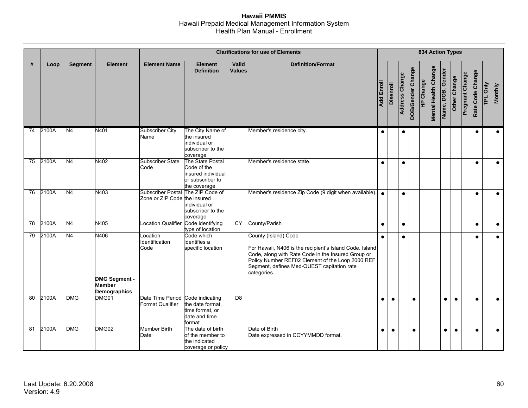|    |       |                |                                                       |                                                                   |                                                                                           |                 | <b>Clarifications for use of Elements</b>                                                                                                                                                                                                              |            |           |                |                   | <b>834 Action Types</b> |                             |                   |              |                        |                  |                        |                |
|----|-------|----------------|-------------------------------------------------------|-------------------------------------------------------------------|-------------------------------------------------------------------------------------------|-----------------|--------------------------------------------------------------------------------------------------------------------------------------------------------------------------------------------------------------------------------------------------------|------------|-----------|----------------|-------------------|-------------------------|-----------------------------|-------------------|--------------|------------------------|------------------|------------------------|----------------|
| #  | Loop  | <b>Segment</b> | <b>Element</b>                                        | <b>Element Name</b>                                               | <b>Element</b><br><b>Definition</b>                                                       | Valid<br>Values | <b>Definition/Format</b>                                                                                                                                                                                                                               | Add Enroll | Disenroll | Address Change | DOB/Gender Change | HP Change               | <b>Mental Health Change</b> | Name, DOB, Gender | Other Change | <b>Pregnant Change</b> | Rate Code Change | Only<br>$\overline{P}$ | <b>Monthly</b> |
| 74 | 2100A | N <sub>4</sub> | N401                                                  | <b>Subscriber City</b><br>Name                                    | The City Name of<br>the insured<br>individual or<br>subscriber to the<br>coverage         |                 | Member's residence city.                                                                                                                                                                                                                               | $\bullet$  |           | $\bullet$      |                   |                         |                             |                   |              |                        | $\bullet$        |                        | $\bullet$      |
| 75 | 2100A | N <sub>4</sub> | N402                                                  | <b>Subscriber State</b><br>Code                                   | The State Postal<br>Code of the<br>insured individual<br>or subscriber to<br>the coverage |                 | Member's residence state.                                                                                                                                                                                                                              | $\bullet$  |           | $\bullet$      |                   |                         |                             |                   |              |                        | $\bullet$        |                        | $\bullet$      |
| 76 | 2100A | N4             | N403                                                  | Subscriber Postal The ZIP Code of<br>Zone or ZIP Code the insured | individual or<br>subscriber to the<br>coverage                                            |                 | Member's residence Zip Code (9 digit when available).                                                                                                                                                                                                  | $\bullet$  |           | $\bullet$      |                   |                         |                             |                   |              |                        | $\bullet$        |                        | $\bullet$      |
| 78 | 2100A | N <sub>4</sub> | N405                                                  | Location Qualifier Code identifying                               | type of location                                                                          | CY              | County/Parish                                                                                                                                                                                                                                          | $\bullet$  |           | $\bullet$      |                   |                         |                             |                   |              |                        | $\bullet$        |                        | $\bullet$      |
| 79 | 2100A | N4             | N406                                                  | Location<br>Identification<br>Code                                | Code which<br>identifies a<br>specific location                                           |                 | County (Island) Code<br>For Hawaii, N406 is the recipient's Island Code. Island<br>Code, along with Rate Code in the Insured Group or<br>Policy Number REF02 Element of the Loop 2000 REF<br>Segment, defines Med-QUEST capitation rate<br>categories. | $\bullet$  |           | $\bullet$      |                   |                         |                             |                   |              |                        | $\bullet$        |                        | $\bullet$      |
|    |       |                | <b>DMG Segment -</b><br><b>Member</b><br>Demographics |                                                                   |                                                                                           |                 |                                                                                                                                                                                                                                                        |            |           |                |                   |                         |                             |                   |              |                        |                  |                        |                |
| 80 | 2100A | <b>DMG</b>     | DMG01                                                 | Date Time Period Code indicating<br><b>Format Qualifier</b>       | the date format.<br>time format, or<br>date and time<br>format                            | $\overline{DB}$ |                                                                                                                                                                                                                                                        | $\bullet$  | $\bullet$ |                | $\bullet$         |                         |                             | $\bullet$         | $\bullet$    |                        | $\bullet$        |                        | $\bullet$      |
| 81 | 2100A | <b>DMG</b>     | DMG02                                                 | <b>Member Birth</b><br>Date                                       | The date of birth<br>of the member to<br>the indicated<br>coverage or policy              |                 | Date of Birth<br>Date expressed in CCYYMMDD format.                                                                                                                                                                                                    | $\bullet$  | $\bullet$ |                | $\bullet$         |                         |                             | $\bullet$         | $\bullet$    |                        | $\bullet$        |                        | $\bullet$      |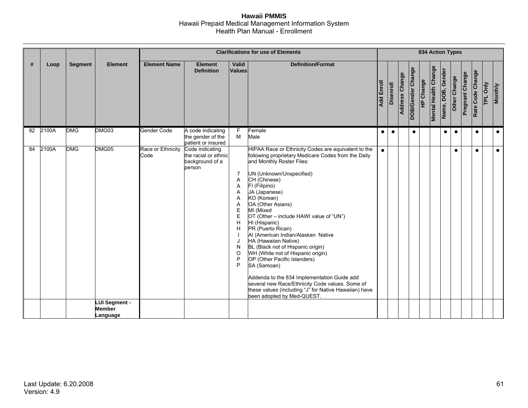|    |       |                |                                            |                           |                                                                      |                                                                                      | <b>Clarifications for use of Elements</b>                                                                                                                                                                                                                                                                                                                                                                                                                                                                                                                                                                                                                                                                                               |            |                  |                |                   |                  |                             |                   | <b>834 Action Types</b> |                        |                  |          |                |
|----|-------|----------------|--------------------------------------------|---------------------------|----------------------------------------------------------------------|--------------------------------------------------------------------------------------|-----------------------------------------------------------------------------------------------------------------------------------------------------------------------------------------------------------------------------------------------------------------------------------------------------------------------------------------------------------------------------------------------------------------------------------------------------------------------------------------------------------------------------------------------------------------------------------------------------------------------------------------------------------------------------------------------------------------------------------------|------------|------------------|----------------|-------------------|------------------|-----------------------------|-------------------|-------------------------|------------------------|------------------|----------|----------------|
| #  | Loop  | <b>Segment</b> | <b>Element</b>                             | <b>Element Name</b>       | <b>Element</b><br><b>Definition</b>                                  | Valid<br>Values                                                                      | <b>Definition/Format</b>                                                                                                                                                                                                                                                                                                                                                                                                                                                                                                                                                                                                                                                                                                                | Add Enroll | <b>Disenroll</b> | Address Change | DOB/Gender Change | <b>HP Change</b> | <b>Mental Health Change</b> | Name, DOB, Gender | Other Change            | <b>Pregnant Change</b> | Rate Code Change | TPL Only | <b>Monthly</b> |
| 82 | 2100A | <b>DMG</b>     | DMG03                                      | Gender Code               | A code indicating<br>the gender of the<br>patient or insured         | F<br>M                                                                               | Female<br>Male                                                                                                                                                                                                                                                                                                                                                                                                                                                                                                                                                                                                                                                                                                                          | $\bullet$  | $\bullet$        |                | $\bullet$         |                  |                             | $\bullet$         | $\bullet$               |                        | $\bullet$        |          | $\bullet$      |
| 84 | 2100A | <b>DMG</b>     | DMG05                                      | Race or Ethnicity<br>Code | Code indicating<br>the racial or ethnic<br>background of a<br>person | $\overline{7}$<br>A<br>Α<br>A<br>A<br>Α<br>E<br>E<br>H<br>H<br>J<br>N<br>O<br>P<br>P | HIPAA Race or Ethnicity Codes are equivalent to the<br>following proprietary Medicare Codes from the Daily<br>and Monthly Roster Files:<br>UN (Unknown/Unspecified)<br>CH (Chinese)<br>FI (Filipino)<br>JA (Japanese)<br>KO (Korean)<br>OA (Other Asians)<br>MI (Mixed<br>OT (Other – include HAWI value of "UN")<br>HI (Hispanic)<br>PR (Puerto Rican)<br>Al (American Indian/Alaskan Native<br>HA (Hawaiian Native)<br>BL (Black not of Hispanic origin)<br>WH (White not of Hispanic origin)<br>OP (Other Pacific Islanders)<br>SA (Samoan)<br>Addenda to the 834 Implementation Guide add<br>several new Race/Ethnicity Code values. Some of<br>these values (including "J" for Native Hawaiian) have<br>been adopted by Med-QUEST. | $\bullet$  |                  |                |                   |                  |                             |                   | $\bullet$               |                        | $\bullet$        |          | $\bullet$      |
|    |       |                | LUI Segment -<br><b>Member</b><br>Language |                           |                                                                      |                                                                                      |                                                                                                                                                                                                                                                                                                                                                                                                                                                                                                                                                                                                                                                                                                                                         |            |                  |                |                   |                  |                             |                   |                         |                        |                  |          |                |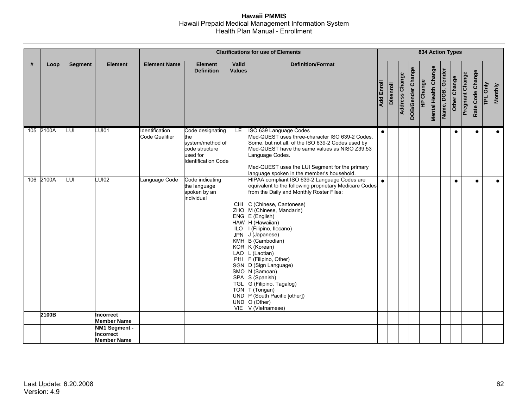|   |           |                |                                                         |                                         |                                                                                                         |                                                                            | <b>Clarifications for use of Elements</b>                                                                                                                                                                                                                                                                                                                                                                                                                                                                                                           |                   |                  |                |                   |           |                             | <b>834 Action Types</b> |              |                        |                  |          |                |
|---|-----------|----------------|---------------------------------------------------------|-----------------------------------------|---------------------------------------------------------------------------------------------------------|----------------------------------------------------------------------------|-----------------------------------------------------------------------------------------------------------------------------------------------------------------------------------------------------------------------------------------------------------------------------------------------------------------------------------------------------------------------------------------------------------------------------------------------------------------------------------------------------------------------------------------------------|-------------------|------------------|----------------|-------------------|-----------|-----------------------------|-------------------------|--------------|------------------------|------------------|----------|----------------|
| # | Loop      | <b>Segment</b> | <b>Element</b>                                          | <b>Element Name</b>                     | <b>Element</b><br><b>Definition</b>                                                                     | Valid<br>Values                                                            | <b>Definition/Format</b>                                                                                                                                                                                                                                                                                                                                                                                                                                                                                                                            | <b>Add Enroll</b> | <b>Disenroll</b> | Address Change | DOB/Gender Change | HP Change | <b>Mental Health Change</b> | Name, DOB, Gender       | Other Change | <b>Pregnant Change</b> | Rate Code Change | TPL Only | <b>Monthly</b> |
|   | 105 2100A | LUI            | LUI01                                                   | <b>Identification</b><br>Code Qualifier | Code designating<br>the<br>system/method of<br>code structure<br>used for<br><b>Identification Code</b> | LE.                                                                        | ISO 639 Language Codes<br>Med-QUEST uses three-character ISO 639-2 Codes.<br>Some, but not all, of the ISO 639-2 Codes used by<br>Med-QUEST have the same values as NISO Z39.53<br>Language Codes.<br>Med-QUEST uses the LUI Segment for the primary<br>language spoken in the member's household.                                                                                                                                                                                                                                                  | $\bullet$         |                  |                |                   |           |                             |                         | $\bullet$    |                        | $\bullet$        |          | $\bullet$      |
|   | 106 2100A | LUI            | <b>LUI02</b>                                            | Language Code                           | Code indicating<br>the language<br>spoken by an<br>individual                                           | CHI<br>ILO.<br><b>JPN</b><br>LAO<br>PHI<br><b>UND</b><br><b>UND</b><br>VIE | HIPAA compliant ISO 639-2 Language Codes are<br>equivalent to the following proprietary Medicare Codes<br>from the Daily and Monthly Roster Files:<br>C (Chinese, Cantonese)<br>ZHO M (Chinese, Mandarin)<br>$ENG$ $E$ (English)<br>HAW H (Hawaiian)<br>I (Filipino, Ilocano)<br>J (Japanese)<br>KMH B (Cambodian)<br>KOR K (Korean)<br>L (Laotian)<br>F (Filipino, Other)<br>SGN D (Sign Language)<br>SMO N (Samoan)<br>SPA S (Spanish)<br>TGL G (Filipino, Tagalog)<br>TON T (Tongan)<br>P (South Pacific [other])<br>O (Other)<br>V (Vietnamese) | $\bullet$         |                  |                |                   |           |                             |                         | $\bullet$    |                        | $\bullet$        |          | $\bullet$      |
|   | 2100B     |                | Incorrect<br><b>Member Name</b>                         |                                         |                                                                                                         |                                                                            |                                                                                                                                                                                                                                                                                                                                                                                                                                                                                                                                                     |                   |                  |                |                   |           |                             |                         |              |                        |                  |          |                |
|   |           |                | NM1 Segment -<br><b>Incorrect</b><br><b>Member Name</b> |                                         |                                                                                                         |                                                                            |                                                                                                                                                                                                                                                                                                                                                                                                                                                                                                                                                     |                   |                  |                |                   |           |                             |                         |              |                        |                  |          |                |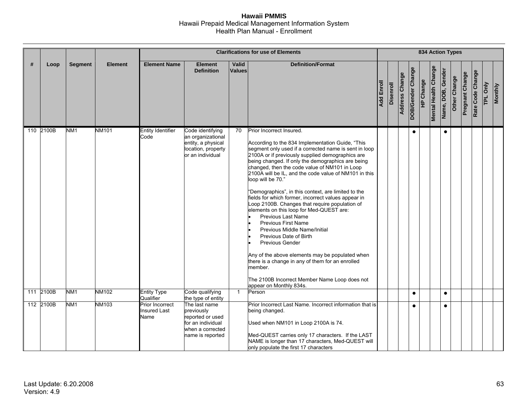|   |           |                 |                |                                                |                                                                                                              |                 | <b>Clarifications for use of Elements</b>                                                                                                                                                                                                                                                                                                                                                                                                                                                                                                                                                                                                                                                                                                                                                                                                                                                                                              |                   |                  |                |                   |           |                             |                   | <b>834 Action Types</b> |                        |                  |          |                |
|---|-----------|-----------------|----------------|------------------------------------------------|--------------------------------------------------------------------------------------------------------------|-----------------|----------------------------------------------------------------------------------------------------------------------------------------------------------------------------------------------------------------------------------------------------------------------------------------------------------------------------------------------------------------------------------------------------------------------------------------------------------------------------------------------------------------------------------------------------------------------------------------------------------------------------------------------------------------------------------------------------------------------------------------------------------------------------------------------------------------------------------------------------------------------------------------------------------------------------------------|-------------------|------------------|----------------|-------------------|-----------|-----------------------------|-------------------|-------------------------|------------------------|------------------|----------|----------------|
| # | Loop      | <b>Segment</b>  | <b>Element</b> | <b>Element Name</b>                            | <b>Element</b><br><b>Definition</b>                                                                          | Valid<br>Values | <b>Definition/Format</b>                                                                                                                                                                                                                                                                                                                                                                                                                                                                                                                                                                                                                                                                                                                                                                                                                                                                                                               | <b>Add Enroll</b> | <b>Disenroll</b> | Address Change | DOB/Gender Change | HP Change | <b>Mental Health Change</b> | Name, DOB, Gender | Other Change            | <b>Pregnant Change</b> | Rate Code Change | TPL Only | <b>Monthly</b> |
|   | 110 2100B | NM <sub>1</sub> | <b>NM101</b>   | <b>Entity Identifier</b><br>Code               | Code identifying<br>an organizational<br>entity, a physical<br>location, property<br>or an individual        | 70              | Prior Incorrect Insured.<br>According to the 834 Implementation Guide, "This<br>segment only used if a corrected name is sent in loop<br>2100A or if previously supplied demographics are<br>being changed. If only the demographics are being<br>changed, then the code value of NM101 in Loop<br>2100A will be IL, and the code value of NM101 in this<br>loop will be 70."<br>"Demographics", in this context, are limited to the<br>fields for which former, incorrect values appear in<br>Loop 2100B. Changes that require population of<br>elements on this loop for Med-QUEST are:<br><b>Previous Last Name</b><br><b>Previous First Name</b><br>Previous Middle Name/Initial<br>Previous Date of Birth<br><b>Previous Gender</b><br>Any of the above elements may be populated when<br>there is a change in any of them for an enrolled<br>member.<br>The 2100B Incorrect Member Name Loop does not<br>appear on Monthly 834s. |                   |                  |                | $\bullet$         |           |                             | $\bullet$         |                         |                        |                  |          |                |
|   | 111 2100B | NM <sub>1</sub> | <b>NM102</b>   | <b>Entity Type</b><br>Qualifier                | Code qualifying<br>the type of entity                                                                        | $\mathbf{1}$    | Person                                                                                                                                                                                                                                                                                                                                                                                                                                                                                                                                                                                                                                                                                                                                                                                                                                                                                                                                 |                   |                  |                | $\bullet$         |           |                             | $\bullet$         |                         |                        |                  |          |                |
|   | 112 2100B | NM <sub>1</sub> | NM103          | Prior Incorrect<br><b>Insured Last</b><br>Name | The last name<br>previously<br>reported or used<br>for an individual<br>when a corrected<br>name is reported |                 | Prior Incorrect Last Name. Incorrect information that is<br>being changed.<br>Used when NM101 in Loop 2100A is 74.<br>Med-QUEST carries only 17 characters. If the LAST<br>NAME is longer than 17 characters, Med-QUEST will<br>only populate the first 17 characters                                                                                                                                                                                                                                                                                                                                                                                                                                                                                                                                                                                                                                                                  |                   |                  |                |                   |           |                             | $\bullet$         |                         |                        |                  |          |                |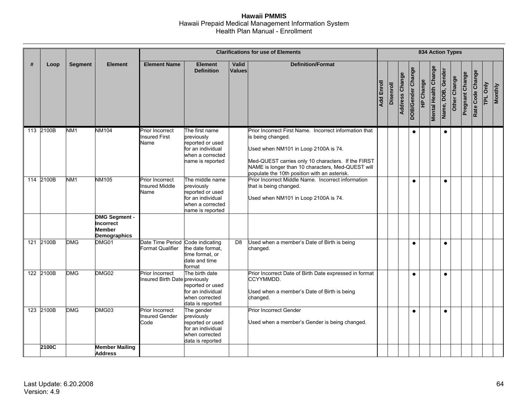|   |           |                 |                                            |                                                             |                                                                                                                |                        | <b>Clarifications for use of Elements</b>                                                                                                                                                                                                                                      |            |                  |                |                   | <b>834 Action Types</b> |                             |                   |              |                 |                  |          |                |
|---|-----------|-----------------|--------------------------------------------|-------------------------------------------------------------|----------------------------------------------------------------------------------------------------------------|------------------------|--------------------------------------------------------------------------------------------------------------------------------------------------------------------------------------------------------------------------------------------------------------------------------|------------|------------------|----------------|-------------------|-------------------------|-----------------------------|-------------------|--------------|-----------------|------------------|----------|----------------|
| # | Loop      | <b>Segment</b>  | <b>Element</b>                             | <b>Element Name</b>                                         | <b>Element</b><br><b>Definition</b>                                                                            | Valid<br><b>Values</b> | <b>Definition/Format</b>                                                                                                                                                                                                                                                       | Add Enroll | <b>Disenroll</b> | Address Change | DOB/Gender Change | <b>HP Change</b>        | <b>Mental Health Change</b> | Name, DOB, Gender | Other Change | Pregnant Change | Rate Code Change | TPL Only | <b>Monthly</b> |
|   | 113 2100B | NM <sub>1</sub> | <b>NM104</b>                               | <b>Prior Incorrect</b><br><b>Insured First</b><br>Name      | The first name<br>previously<br>reported or used<br>for an individual<br>when a corrected<br>name is reported  |                        | Prior Incorrect First Name. Incorrect information that<br>is being changed.<br>Used when NM101 in Loop 2100A is 74.<br>Med-QUEST carries only 10 characters. If the FIRST<br>NAME is longer than 10 characters, Med-QUEST will<br>populate the 10th position with an asterisk. |            |                  |                | $\bullet$         |                         |                             | $\bullet$         |              |                 |                  |          |                |
|   | 114 2100B | NM <sub>1</sub> | <b>NM105</b><br><b>DMG Segment -</b>       | Prior Incorrect<br><b>Insured Middle</b><br>Name            | The middle name<br>previously<br>reported or used<br>for an individual<br>when a corrected<br>name is reported |                        | Prior Incorrect Middle Name. Incorrect information<br>that is being changed.<br>Used when NM101 in Loop 2100A is 74.                                                                                                                                                           |            |                  |                | $\bullet$         |                         |                             | $\bullet$         |              |                 |                  |          |                |
|   |           |                 | Incorrect<br><b>Member</b><br>Demographics |                                                             |                                                                                                                |                        |                                                                                                                                                                                                                                                                                |            |                  |                |                   |                         |                             |                   |              |                 |                  |          |                |
|   | 121 2100B | <b>DMG</b>      | DMG01                                      | Date Time Period Code indicating<br><b>Format Qualifier</b> | the date format.<br>time format, or<br>date and time<br>format                                                 | D <sub>8</sub>         | Used when a member's Date of Birth is being<br>changed.                                                                                                                                                                                                                        |            |                  |                | $\bullet$         |                         |                             | $\bullet$         |              |                 |                  |          |                |
|   | 122 2100B | <b>DMG</b>      | DMG02                                      | <b>Prior Incorrect</b><br>Insured Birth Date previously     | The birth date<br>reported or used<br>for an individual<br>when corrected<br>data is reported                  |                        | Prior Incorrect Date of Birth Date expressed in format<br>CCYYMMDD.<br>Used when a member's Date of Birth is being<br>changed.                                                                                                                                                 |            |                  |                | $\bullet$         |                         |                             | $\bullet$         |              |                 |                  |          |                |
|   | 123 2100B | DMG             | DMG03                                      | <b>Prior Incorrect</b><br><b>Insured Gender</b><br>Code     | The gender<br>previously<br>reported or used<br>for an individual<br>when corrected<br>data is reported        |                        | Prior Incorrect Gender<br>Used when a member's Gender is being changed.                                                                                                                                                                                                        |            |                  |                | $\bullet$         |                         |                             | $\bullet$         |              |                 |                  |          |                |
|   | 2100C     |                 | <b>Member Mailing</b><br><b>Address</b>    |                                                             |                                                                                                                |                        |                                                                                                                                                                                                                                                                                |            |                  |                |                   |                         |                             |                   |              |                 |                  |          |                |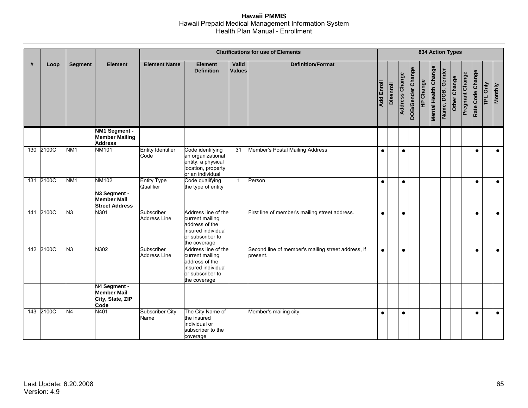|     |           |                 |                                                                |                                   |                                                                                                                    |                        | <b>Clarifications for use of Elements</b>                      |                   |           |                       |                   | <b>834 Action Types</b> |                             |                   |              |                 |                  |          |                |
|-----|-----------|-----------------|----------------------------------------------------------------|-----------------------------------|--------------------------------------------------------------------------------------------------------------------|------------------------|----------------------------------------------------------------|-------------------|-----------|-----------------------|-------------------|-------------------------|-----------------------------|-------------------|--------------|-----------------|------------------|----------|----------------|
| #   | Loop      | <b>Segment</b>  | <b>Element</b>                                                 | <b>Element Name</b>               | <b>Element</b><br><b>Definition</b>                                                                                | Valid<br><b>Values</b> | <b>Definition/Format</b>                                       | <b>Add Enroll</b> | Disenroll | <b>Address Change</b> | DOB/Gender Change | <b>HP Change</b>        | <b>Mental Health Change</b> | Name, DOB, Gender | Other Change | Pregnant Change | Rate Code Change | TPL Only | <b>Monthly</b> |
|     |           |                 | NM1 Segment -<br><b>Member Mailing</b><br><b>Address</b>       |                                   |                                                                                                                    |                        |                                                                |                   |           |                       |                   |                         |                             |                   |              |                 |                  |          |                |
|     | 130 2100C | NM <sub>1</sub> | <b>NM101</b>                                                   | <b>Entity Identifier</b><br>Code  | Code identifying<br>an organizational<br>entity, a physical<br>location, property<br>or an individual              | 31                     | Member's Postal Mailing Address                                | $\bullet$         |           | $\bullet$             |                   |                         |                             |                   |              |                 | $\bullet$        |          | $\bullet$      |
|     | 131 2100C | NM <sub>1</sub> | <b>NM102</b>                                                   | <b>Entity Type</b><br>Qualifier   | Code qualifying<br>the type of entity                                                                              | $\mathbf{1}$           | Person                                                         | $\bullet$         |           | $\bullet$             |                   |                         |                             |                   |              |                 | $\bullet$        |          | $\bullet$      |
|     |           |                 | N3 Segment -<br><b>Member Mail</b><br><b>Street Address</b>    |                                   |                                                                                                                    |                        |                                                                |                   |           |                       |                   |                         |                             |                   |              |                 |                  |          |                |
| 141 | 2100C     | N <sub>3</sub>  | N301                                                           | Subscriber<br><b>Address Line</b> | Address line of the<br>current mailing<br>address of the<br>insured individual<br>or subscriber to<br>the coverage |                        | First line of member's mailing street address.                 | $\bullet$         |           | $\bullet$             |                   |                         |                             |                   |              |                 | $\bullet$        |          | $\bullet$      |
|     | 142 2100C | N <sub>3</sub>  | N302                                                           | Subscriber<br><b>Address Line</b> | Address line of the<br>current mailing<br>address of the<br>insured individual<br>or subscriber to<br>the coverage |                        | Second line of member's mailing street address, if<br>present. | $\bullet$         |           | $\bullet$             |                   |                         |                             |                   |              |                 | $\bullet$        |          | $\bullet$      |
|     |           |                 | N4 Segment -<br><b>Member Mail</b><br>City, State, ZIP<br>Code |                                   |                                                                                                                    |                        |                                                                |                   |           |                       |                   |                         |                             |                   |              |                 |                  |          |                |
|     | 143 2100C | N <sub>4</sub>  | N401                                                           | <b>Subscriber City</b><br>Name    | The City Name of<br>the insured<br>individual or<br>subscriber to the<br>coverage                                  |                        | Member's mailing city.                                         | $\bullet$         |           | $\bullet$             |                   |                         |                             |                   |              |                 | $\bullet$        |          | $\bullet$      |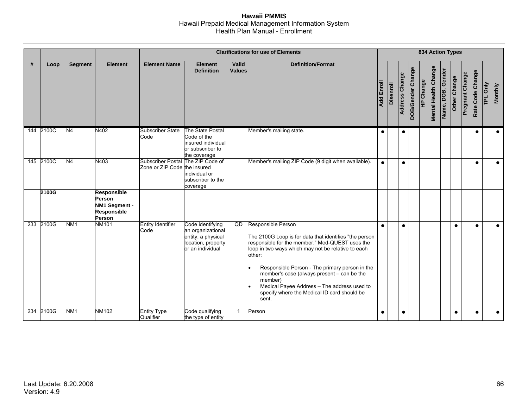|   |           |                 |                                               |                                                                   |                                                                                                       |                        | <b>Clarifications for use of Elements</b>                                                                                                                                                                                                                                                                                                                                                                         |            |                  |                       |                   | <b>834 Action Types</b> |                             |                   |              |                        |                  |          |                |
|---|-----------|-----------------|-----------------------------------------------|-------------------------------------------------------------------|-------------------------------------------------------------------------------------------------------|------------------------|-------------------------------------------------------------------------------------------------------------------------------------------------------------------------------------------------------------------------------------------------------------------------------------------------------------------------------------------------------------------------------------------------------------------|------------|------------------|-----------------------|-------------------|-------------------------|-----------------------------|-------------------|--------------|------------------------|------------------|----------|----------------|
| # | Loop      | <b>Segment</b>  | <b>Element</b>                                | <b>Element Name</b>                                               | <b>Element</b><br><b>Definition</b>                                                                   | Valid<br><b>Values</b> | <b>Definition/Format</b>                                                                                                                                                                                                                                                                                                                                                                                          | Add Enroll | <b>Disenroll</b> | <b>Address Change</b> | DOB/Gender Change | <b>HP Change</b>        | <b>Mental Health Change</b> | Name, DOB, Gender | Other Change | <b>Pregnant Change</b> | Rate Code Change | TPL Only | <b>Monthly</b> |
|   | 144 2100C | N4              | N402                                          | <b>Subscriber State</b><br>Code                                   | The State Postal<br>Code of the<br>insured individual<br>or subscriber to<br>the coverage             |                        | Member's mailing state.                                                                                                                                                                                                                                                                                                                                                                                           | $\bullet$  |                  | $\bullet$             |                   |                         |                             |                   |              |                        | $\bullet$        |          | $\bullet$      |
|   | 145 2100C | N <sub>4</sub>  | N403                                          | Subscriber Postal The ZIP Code of<br>Zone or ZIP Code the insured | individual or<br>subscriber to the<br>coverage                                                        |                        | Member's mailing ZIP Code (9 digit when available).                                                                                                                                                                                                                                                                                                                                                               | $\bullet$  |                  | $\bullet$             |                   |                         |                             |                   |              |                        | $\bullet$        |          | $\bullet$      |
|   | 2100G     |                 | <b>Responsible</b><br>Person                  |                                                                   |                                                                                                       |                        |                                                                                                                                                                                                                                                                                                                                                                                                                   |            |                  |                       |                   |                         |                             |                   |              |                        |                  |          |                |
|   |           |                 | NM1 Segment -<br><b>Responsible</b><br>Person |                                                                   |                                                                                                       |                        |                                                                                                                                                                                                                                                                                                                                                                                                                   |            |                  |                       |                   |                         |                             |                   |              |                        |                  |          |                |
|   | 233 2100G | NM <sub>1</sub> | <b>NM101</b>                                  | <b>Entity Identifier</b><br>Code                                  | Code identifying<br>an organizational<br>entity, a physical<br>location, property<br>or an individual | QD                     | Responsible Person<br>The 2100G Loop is for data that identifies "the person<br>responsible for the member." Med-QUEST uses the<br>loop in two ways which may not be relative to each<br>other:<br>Responsible Person - The primary person in the<br>member's case (always present - can be the<br>member)<br>Medical Payee Address - The address used to<br>specify where the Medical ID card should be<br>sent. | $\bullet$  |                  | $\bullet$             |                   |                         |                             |                   | $\bullet$    |                        | $\bullet$        |          | $\bullet$      |
|   | 234 2100G | NM1             | <b>NM102</b>                                  | <b>Entity Type</b><br>Qualifier                                   | Code qualifying<br>the type of entity                                                                 | $\mathbf{1}$           | Person                                                                                                                                                                                                                                                                                                                                                                                                            | $\bullet$  |                  | $\bullet$             |                   |                         |                             |                   | $\bullet$    |                        | $\bullet$        |          | $\bullet$      |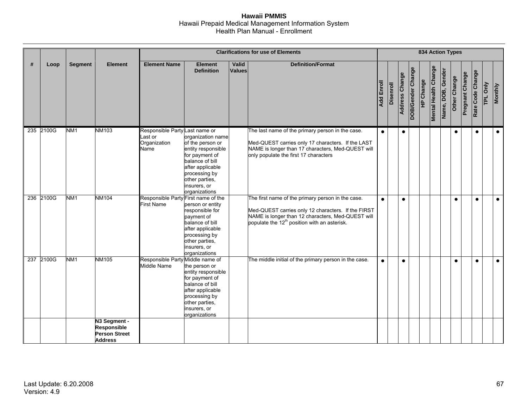|     |           |                 |                                                                |                                                                   |                                                                                                                                                                                          |                 | <b>Clarifications for use of Elements</b>                                                                                                                                                                                |                   |                  |                |                   | <b>834 Action Types</b> |                             |                   |              |                 |                  |          |                |
|-----|-----------|-----------------|----------------------------------------------------------------|-------------------------------------------------------------------|------------------------------------------------------------------------------------------------------------------------------------------------------------------------------------------|-----------------|--------------------------------------------------------------------------------------------------------------------------------------------------------------------------------------------------------------------------|-------------------|------------------|----------------|-------------------|-------------------------|-----------------------------|-------------------|--------------|-----------------|------------------|----------|----------------|
| #   | Loop      | <b>Segment</b>  | <b>Element</b>                                                 | <b>Element Name</b>                                               | <b>Element</b><br><b>Definition</b>                                                                                                                                                      | Valid<br>Values | <b>Definition/Format</b>                                                                                                                                                                                                 | <b>Add Enroll</b> | <b>Disenroll</b> | Address Change | DOB/Gender Change | <b>HP Change</b>        | <b>Mental Health Change</b> | Name, DOB, Gender | Other Change | Pregnant Change | Rate Code Change | TPL Only | <b>Monthly</b> |
|     | 235 2100G | NM <sub>1</sub> | <b>NM103</b>                                                   | Responsible Party Last name or<br>Last or<br>Organization<br>Name | organization name<br>of the person or<br>entity responsible<br>for payment of<br>balance of bill<br>after applicable<br>processing by<br>other parties,<br>insurers, or<br>organizations |                 | The last name of the primary person in the case.<br>Med-QUEST carries only 17 characters. If the LAST<br>NAME is longer than 17 characters, Med-QUEST will<br>only populate the first 17 characters                      | $\bullet$         |                  | $\bullet$      |                   |                         |                             |                   | $\bullet$    |                 | $\bullet$        |          | $\bullet$      |
| 236 | 2100G     | NM <sub>1</sub> | <b>NM104</b>                                                   | Responsible Party First name of the<br><b>First Name</b>          | person or entity<br>responsible for<br>payment of<br>balance of bill<br>after applicable<br>processing by<br>other parties,<br>insurers, or<br>organizations                             |                 | The first name of the primary person in the case.<br>Med-QUEST carries only 12 characters. If the FIRST<br>NAME is longer than 12 characters, Med-QUEST will<br>populate the 12 <sup>th</sup> position with an asterisk. | $\bullet$         |                  | $\bullet$      |                   |                         |                             |                   | $\bullet$    |                 | $\bullet$        |          | $\bullet$      |
|     | 237 2100G | NM <sub>1</sub> | <b>NM105</b>                                                   | Responsible Party Middle name of<br>Middle Name                   | the person or<br>entity responsible<br>for payment of<br>balance of bill<br>after applicable<br>processing by<br>other parties,<br>insurers, or<br>organizations                         |                 | The middle initial of the primary person in the case.                                                                                                                                                                    | $\bullet$         |                  | $\bullet$      |                   |                         |                             |                   | $\bullet$    |                 | $\bullet$        |          | $\bullet$      |
|     |           |                 | N3 Segment -<br>Responsible<br>Person Street<br><b>Address</b> |                                                                   |                                                                                                                                                                                          |                 |                                                                                                                                                                                                                          |                   |                  |                |                   |                         |                             |                   |              |                 |                  |          |                |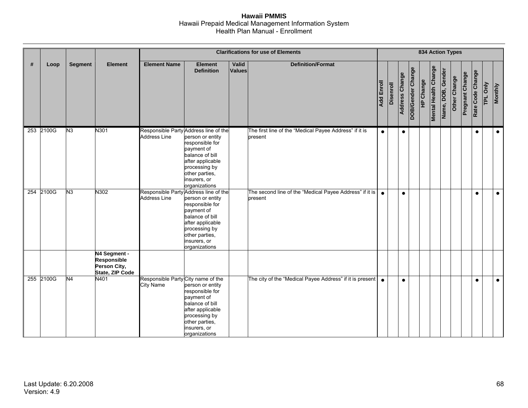|   |           |                |                                                                       |                                                              | <b>834 Action Types</b>                                                                                                                                      |                        |                                                                    |                   |           |                       |                   |                  |                             |                   |              |                 |                  |          |                |
|---|-----------|----------------|-----------------------------------------------------------------------|--------------------------------------------------------------|--------------------------------------------------------------------------------------------------------------------------------------------------------------|------------------------|--------------------------------------------------------------------|-------------------|-----------|-----------------------|-------------------|------------------|-----------------------------|-------------------|--------------|-----------------|------------------|----------|----------------|
| # | Loop      | <b>Segment</b> | <b>Element</b>                                                        | <b>Element Name</b>                                          | <b>Element</b><br><b>Definition</b>                                                                                                                          | Valid<br><b>Values</b> | <b>Definition/Format</b>                                           | <b>Add Enroll</b> | Disenroll | <b>Address Change</b> | DOB/Gender Change | <b>HP Change</b> | <b>Mental Health Change</b> | Name, DOB, Gender | Other Change | Pregnant Change | Rate Code Change | TPL Only | <b>Monthly</b> |
|   | 253 2100G | N <sub>3</sub> | N301                                                                  | Responsible Party Address line of the<br><b>Address Line</b> | person or entity<br>responsible for<br>payment of<br>balance of bill<br>after applicable<br>processing by<br>other parties,<br>insurers, or<br>organizations |                        | The first line of the "Medical Payee Address" if it is<br>present  | $\bullet$         |           | $\bullet$             |                   |                  |                             |                   |              |                 | $\bullet$        |          | $\bullet$      |
|   | 254 2100G | N3             | N302                                                                  | Responsible Party Address line of the<br><b>Address Line</b> | person or entity<br>responsible for<br>payment of<br>balance of bill<br>after applicable<br>processing by<br>other parties,<br>insurers, or<br>organizations |                        | The second line of the "Medical Payee Address" if it is<br>present | $\bullet$         |           | $\bullet$             |                   |                  |                             |                   |              |                 | $\bullet$        |          | $\bullet$      |
|   |           |                | N4 Segment -<br><b>Responsible</b><br>Person City,<br>State, ZIP Code |                                                              |                                                                                                                                                              |                        |                                                                    |                   |           |                       |                   |                  |                             |                   |              |                 |                  |          |                |
|   | 255 2100G | N4             | N401                                                                  | Responsible Party City name of the<br><b>City Name</b>       | person or entity<br>responsible for<br>payment of<br>balance of bill<br>after applicable<br>processing by<br>other parties,<br>insurers, or<br>organizations |                        | The city of the "Medical Payee Address" if it is present           | $\bullet$         |           | $\bullet$             |                   |                  |                             |                   |              |                 | $\bullet$        |          | $\bullet$      |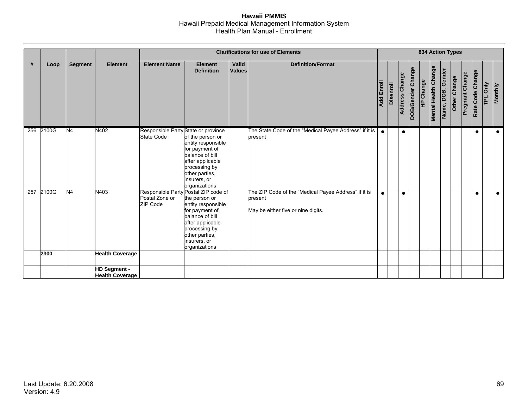|     |           |                |                                               |                                                                    | <b>Clarifications for use of Elements</b>                                                                                                                           |                        |                                                                                                       |                   |                  |                       |                   |           |                             | 834 Action Types  |              |                        |                  |                           |                |  |  |  |  |  |  |
|-----|-----------|----------------|-----------------------------------------------|--------------------------------------------------------------------|---------------------------------------------------------------------------------------------------------------------------------------------------------------------|------------------------|-------------------------------------------------------------------------------------------------------|-------------------|------------------|-----------------------|-------------------|-----------|-----------------------------|-------------------|--------------|------------------------|------------------|---------------------------|----------------|--|--|--|--|--|--|
| #   | Loop      | <b>Segment</b> | <b>Element</b>                                | <b>Element Name</b>                                                | <b>Element</b><br><b>Definition</b>                                                                                                                                 | Valid<br><b>Values</b> | <b>Definition/Format</b>                                                                              | <b>Add Enroll</b> | <b>Disenroll</b> | <b>Address Change</b> | DOB/Gender Change | HP Change | <b>Mental Health Change</b> | Name, DOB, Gender | Other Change | <b>Pregnant Change</b> | Rate Code Change | <b>Only</b><br><b>TPL</b> | <b>Monthly</b> |  |  |  |  |  |  |
|     | 256 2100G | N <sub>4</sub> | N402                                          | Responsible Party State or province<br><b>State Code</b>           | of the person or<br>entity responsible<br>for payment of<br>balance of bill<br>after applicable<br>processing by<br>other parties,<br>insurers, or<br>organizations |                        | The State Code of the "Medical Payee Address" if it is<br>present                                     | $\bullet$         |                  | $\bullet$             |                   |           |                             |                   |              |                        | $\bullet$        |                           | $\bullet$      |  |  |  |  |  |  |
| 257 | 2100G     | N <sub>4</sub> | N403                                          | Responsible Party Postal ZIP code of<br>Postal Zone or<br>ZIP Code | the person or<br>entity responsible<br>for payment of<br>balance of bill<br>after applicable<br>processing by<br>other parties,<br>insurers, or<br>organizations    |                        | The ZIP Code of the "Medical Payee Address" if it is<br>present<br>May be either five or nine digits. |                   |                  |                       |                   |           |                             |                   |              |                        | $\bullet$        |                           | $\bullet$      |  |  |  |  |  |  |
|     | 2300      |                | <b>Health Coverage</b>                        |                                                                    |                                                                                                                                                                     |                        |                                                                                                       |                   |                  |                       |                   |           |                             |                   |              |                        |                  |                           |                |  |  |  |  |  |  |
|     |           |                | <b>HD Segment -</b><br><b>Health Coverage</b> |                                                                    |                                                                                                                                                                     |                        |                                                                                                       |                   |                  |                       |                   |           |                             |                   |              |                        |                  |                           |                |  |  |  |  |  |  |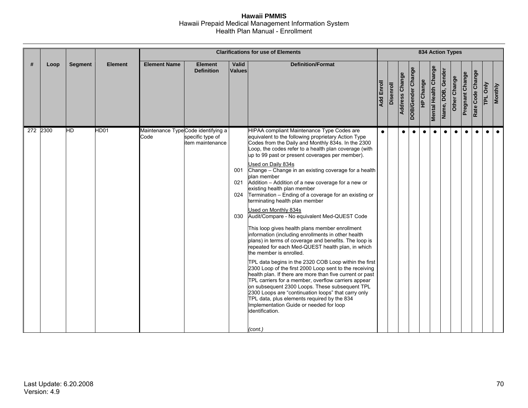|   |          |                |                |                                            |                                      |                        |                                                                                                                                                                                                                                                                                                                                                                                                                                                                                                                                                                                                                                                                                                                                                                                                                                                                                                                                                                                                                                                                                                                                                                                                                                                                                                                                                      |                   |                  |                | 834 Action Types  |                  |                             |                   |              |                 |                  |           |                |
|---|----------|----------------|----------------|--------------------------------------------|--------------------------------------|------------------------|------------------------------------------------------------------------------------------------------------------------------------------------------------------------------------------------------------------------------------------------------------------------------------------------------------------------------------------------------------------------------------------------------------------------------------------------------------------------------------------------------------------------------------------------------------------------------------------------------------------------------------------------------------------------------------------------------------------------------------------------------------------------------------------------------------------------------------------------------------------------------------------------------------------------------------------------------------------------------------------------------------------------------------------------------------------------------------------------------------------------------------------------------------------------------------------------------------------------------------------------------------------------------------------------------------------------------------------------------|-------------------|------------------|----------------|-------------------|------------------|-----------------------------|-------------------|--------------|-----------------|------------------|-----------|----------------|
| # | Loop     | <b>Segment</b> | <b>Element</b> | <b>Element Name</b>                        | <b>Element</b><br><b>Definition</b>  | Valid<br><b>Values</b> | <b>Definition/Format</b>                                                                                                                                                                                                                                                                                                                                                                                                                                                                                                                                                                                                                                                                                                                                                                                                                                                                                                                                                                                                                                                                                                                                                                                                                                                                                                                             | <b>Add Enroll</b> | <b>Disenroll</b> | Address Change | DOB/Gender Change | <b>HP Change</b> | <b>Mental Health Change</b> | Name, DOB, Gender | Other Change | Pregnant Change | Rate Code Change | TPL Only  | <b>Monthly</b> |
|   | 272 2300 | $H$ D          | HD01           | Maintenance TypeCode identifying a<br>Code | specific type of<br>item maintenance | 001<br>024<br>030      | HIPAA compliant Maintenance Type Codes are<br>equivalent to the following proprietary Action Type<br>Codes from the Daily and Monthly 834s. In the 2300<br>Loop, the codes refer to a health plan coverage (with<br>up to 99 past or present coverages per member).<br>Used on Daily 834s<br>Change - Change in an existing coverage for a health<br>plan member<br>021 Addition - Addition of a new coverage for a new or<br>existing health plan member<br>Termination - Ending of a coverage for an existing or<br>terminating health plan member<br>Used on Monthly 834s<br>Audit/Compare - No equivalent Med-QUEST Code<br>This loop gives health plans member enrollment<br>information (including enrollments in other health<br>plans) in terms of coverage and benefits. The loop is<br>repeated for each Med-QUEST health plan, in which<br>the member is enrolled.<br>TPL data begins in the 2320 COB Loop within the first<br>2300 Loop of the first 2000 Loop sent to the receiving<br>health plan. If there are more than five current or past<br>TPL carriers for a member, overflow carriers appear<br>on subsequent 2300 Loops. These subsequent TPL<br>2300 Loops are "continuation loops" that carry only<br>TPL data, plus elements required by the 834<br>Implementation Guide or needed for loop<br>identification.<br>(cont.) | $\bullet$         |                  | $\bullet$      |                   | $\bullet$        | $\bullet$                   | $\bullet$         | $\bullet$    | $\bullet$       | $\bullet$        | $\bullet$ | $\bullet$      |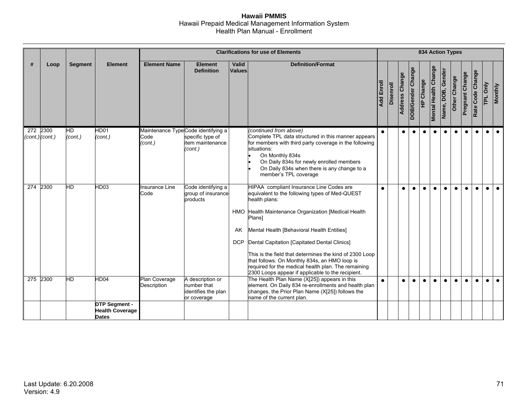|                  |                                 |                |                                                                        |                                                       | <b>Clarifications for use of Elements</b>                             |                        |                                                                                                                                                                                                                                                                                                                                                                                                                                                                                                    |            |                  |                | <b>834 Action Types</b> |                  |                             |                   |              |                        |                  |           |                |
|------------------|---------------------------------|----------------|------------------------------------------------------------------------|-------------------------------------------------------|-----------------------------------------------------------------------|------------------------|----------------------------------------------------------------------------------------------------------------------------------------------------------------------------------------------------------------------------------------------------------------------------------------------------------------------------------------------------------------------------------------------------------------------------------------------------------------------------------------------------|------------|------------------|----------------|-------------------------|------------------|-----------------------------|-------------------|--------------|------------------------|------------------|-----------|----------------|
| Ш                | Loop                            | <b>Segment</b> | <b>Element</b>                                                         | <b>Element Name</b>                                   | <b>Element</b><br><b>Definition</b>                                   | Valid<br><b>Values</b> | <b>Definition/Format</b>                                                                                                                                                                                                                                                                                                                                                                                                                                                                           | Add Enroll | <b>Disenroll</b> | Address Change | DOB/Gender Change       | <b>HP Change</b> | <b>Mental Health Change</b> | Name, DOB, Gender | Other Change | <b>Pregnant Change</b> | Rate Code Change | TPL Only  | <b>Monthly</b> |
|                  | 272 2300<br>$(cont.)$ $(cont.)$ | НD<br>(cont.)  | HD01<br>(cont.)                                                        | Maintenance TypeCode identifying a<br>Code<br>(cont.) | specific type of<br>item maintenance<br>(cont.)                       |                        | (continued from above)<br>Complete TPL data structured in this manner appears<br>for members with third party coverage in the following<br>situations:<br>On Monthly 834s<br>On Daily 834s for newly enrolled members<br>On Daily 834s when there is any change to a<br>member's TPL coverage                                                                                                                                                                                                      | $\bullet$  |                  | $\bullet$      | $\bullet$               | $\bullet$        | $\bullet$                   | $\bullet$         | $\bullet$    | $\bullet$              | $\bullet$        | $\bullet$ | $\bullet$      |
| $\overline{274}$ | 2300                            | HD             | HD03                                                                   | Insurance Line<br>Code                                | Code identifying a<br>group of insurance<br>products                  | AK<br><b>DCP</b>       | HIPAA compliant Insurance Line Codes are<br>equivalent to the following types of Med-QUEST<br>health plans:<br>HMO Health Maintenance Organization [Medical Health<br>Plans]<br>Mental Health [Behavioral Health Entities]<br>Dental Capitation [Capitated Dental Clinics]<br>This is the field that determines the kind of 2300 Loop<br>that follows. On Monthly 834s, an HMO loop is<br>required for the medical health plan. The remaining<br>2300 Loops appear if applicable to the recipient. | $\bullet$  |                  | $\bullet$      | $\bullet$               | $\bullet$        | $\bullet$                   | $\bullet$         | $\bullet$    | $\bullet$              | $\bullet$        | $\bullet$ | $\bullet$      |
| 275              | 2300                            | НD             | HD04<br><b>DTP Segment -</b><br><b>Health Coverage</b><br><b>Dates</b> | Plan Coverage<br>Description                          | A description or<br>number that<br>identifies the plan<br>or coverage |                        | The Health Plan Name (X[25]) appears in this<br>element. On Daily 834 re-enrollments and health plan<br>changes, the Prior Plan Name (X[25]) follows the<br>name of the current plan.                                                                                                                                                                                                                                                                                                              | $\bullet$  |                  | $\bullet$      | $\bullet$               | $\bullet$        | $\bullet$                   | $\bullet$         | $\bullet$    | $\bullet$              | $\bullet$        |           | $\bullet$      |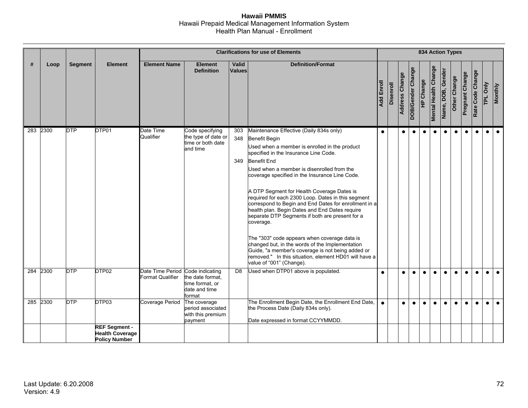|     |          |            |                                                                                 |                                                             |                                                                         |                        |                                                                                                                                                                                                                                                                                                                                                                                                                                                                                                                                                                                                                                                                                                                                                                                                      |            |                  |                       |                   | <b>834 Action Types</b> |                             |                   |              |                        |                  |           |                |
|-----|----------|------------|---------------------------------------------------------------------------------|-------------------------------------------------------------|-------------------------------------------------------------------------|------------------------|------------------------------------------------------------------------------------------------------------------------------------------------------------------------------------------------------------------------------------------------------------------------------------------------------------------------------------------------------------------------------------------------------------------------------------------------------------------------------------------------------------------------------------------------------------------------------------------------------------------------------------------------------------------------------------------------------------------------------------------------------------------------------------------------------|------------|------------------|-----------------------|-------------------|-------------------------|-----------------------------|-------------------|--------------|------------------------|------------------|-----------|----------------|
| #   | Loop     | Segment    | <b>Element</b>                                                                  | <b>Element Name</b>                                         | <b>Element</b><br><b>Definition</b>                                     | Valid<br><b>Values</b> | <b>Definition/Format</b>                                                                                                                                                                                                                                                                                                                                                                                                                                                                                                                                                                                                                                                                                                                                                                             | Add Enroll | <b>Disenroll</b> | <b>Address Change</b> | DOB/Gender Change | HP Change               | <b>Mental Health Change</b> | Name, DOB, Gender | Other Change | <b>Pregnant Change</b> | Rate Code Change | TPL Only  | <b>Monthly</b> |
|     | 283 2300 | <b>DTP</b> | DTP01                                                                           | Date Time<br>Qualifier                                      | Code specifying<br>the type of date or<br>time or both date<br>and time | 303<br>348<br>349      | Maintenance Effective (Daily 834s only)<br>Benefit Begin<br>Used when a member is enrolled in the product<br>specified in the Insurance Line Code.<br><b>Benefit End</b><br>Used when a member is disenrolled from the<br>coverage specified in the Insurance Line Code.<br>A DTP Segment for Health Coverage Dates is<br>required for each 2300 Loop. Dates in this segment<br>correspond to Begin and End Dates for enrollment in a<br>health plan. Begin Dates and End Dates require<br>separate DTP Segments if both are present for a<br>coverage.<br>The "303" code appears when coverage data is<br>changed but, in the words of the Implementation<br>Guide, "a member's coverage is not being added or<br>removed." In this situation, element HD01 will have a<br>value of "001" (Change). | $\bullet$  |                  | $\bullet$             | $\bullet$         | $\bullet$               | $\bullet$                   | $\bullet$         | $\bullet$    | $\bullet$              | $\bullet$        | $\bullet$ | $\bullet$      |
| 284 | 2300     | <b>DTP</b> | DTP02                                                                           | Date Time Period Code indicating<br><b>Format Qualifier</b> | the date format.<br>time format, or<br>date and time<br>format          | D <sub>8</sub>         | Used when DTP01 above is populated.                                                                                                                                                                                                                                                                                                                                                                                                                                                                                                                                                                                                                                                                                                                                                                  | $\bullet$  |                  | 0                     | $\bullet$         | $\bullet$               | $\bullet$                   | $\bullet$         | $\bullet$    | $\bullet$              | $\bullet$        | $\bullet$ | $\bullet$      |
| 285 | 2300     | <b>DTP</b> | DTP03<br><b>REF Segment -</b><br><b>Health Coverage</b><br><b>Policy Number</b> | Coverage Period                                             | The coverage<br>period associated<br>with this premium<br>payment       |                        | The Enrollment Begin Date, the Enrollment End Date,<br>the Process Date (Daily 834s only).<br>Date expressed in format CCYYMMDD.                                                                                                                                                                                                                                                                                                                                                                                                                                                                                                                                                                                                                                                                     | $\bullet$  |                  | $\bullet$             | $\bullet$         | $\bullet$               | $\bullet$                   | $\bullet$         | $\bullet$    | $\bullet$              | $\bullet$        | $\bullet$ | $\bullet$      |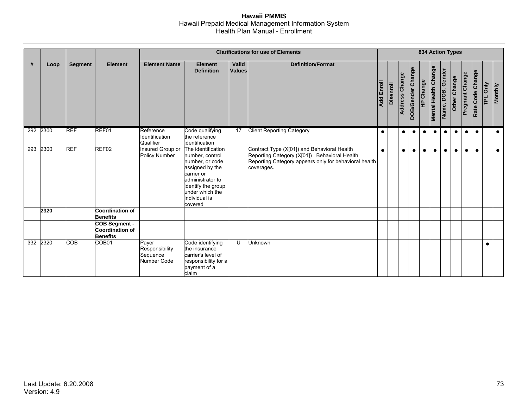|     |          |                |                                                                   | <b>Clarifications for use of Elements</b>                 |                                                                                                                                                                                    |                        |                                                                                                                                                                      |                   |                  |                       |                   |           | <b>834 Action Types</b>     |                   |              |                        |                  |                    |                |
|-----|----------|----------------|-------------------------------------------------------------------|-----------------------------------------------------------|------------------------------------------------------------------------------------------------------------------------------------------------------------------------------------|------------------------|----------------------------------------------------------------------------------------------------------------------------------------------------------------------|-------------------|------------------|-----------------------|-------------------|-----------|-----------------------------|-------------------|--------------|------------------------|------------------|--------------------|----------------|
| #   | Loop     | <b>Segment</b> | <b>Element</b>                                                    | <b>Element Name</b>                                       | <b>Element</b><br><b>Definition</b>                                                                                                                                                | Valid<br><b>Values</b> | <b>Definition/Format</b>                                                                                                                                             | <b>Add Enroll</b> | <b>Disenroll</b> | <b>Address Change</b> | DOB/Gender Change | HP Change | <b>Mental Health Change</b> | Name, DOB, Gender | Other Change | <b>Pregnant Change</b> | Rate Code Change | Only<br><b>TPL</b> | <b>Monthly</b> |
|     | 292 2300 | <b>REF</b>     | REF01                                                             | Reference<br>Identification<br>Qualifier                  | Code qualifying<br>the reference<br>identification                                                                                                                                 | 17                     | <b>Client Reporting Category</b>                                                                                                                                     | $\bullet$         |                  | $\bullet$             | $\bullet$         | $\bullet$ | $\bullet$                   | $\bullet$         | $\bullet$    | $\bullet$              | $\bullet$        |                    | $\bullet$      |
| 293 | 2300     | <b>REF</b>     | REF02                                                             | Insured Group or<br>Policy Number                         | The identification<br>number, control<br>number, or code<br>assigned by the<br>carrier or<br>administrator to<br>identify the group<br>under which the<br>individual is<br>covered |                        | Contract Type (X[01]) and Behavioral Health<br>Reporting Category (X[01]) . Behavioral Health<br>Reporting Category appears only for behavioral health<br>coverages. | $\bullet$         |                  | $\bullet$             | $\bullet$         | $\bullet$ | $\bullet$                   | $\bullet$         | $\bullet$    | $\bullet$              | $\bullet$        |                    | $\bullet$      |
|     | 2320     |                | <b>Coordination of</b><br><b>Benefits</b>                         |                                                           |                                                                                                                                                                                    |                        |                                                                                                                                                                      |                   |                  |                       |                   |           |                             |                   |              |                        |                  |                    |                |
|     |          |                | <b>COB Segment -</b><br><b>Coordination of</b><br><b>Benefits</b> |                                                           |                                                                                                                                                                                    |                        |                                                                                                                                                                      |                   |                  |                       |                   |           |                             |                   |              |                        |                  |                    |                |
|     | 332 2320 | COB            | COB <sub>01</sub>                                                 | Payer<br>Responsibility<br>Sequence<br><b>Number Code</b> | Code identifying<br>the insurance<br>carrier's level of<br>responsibility for a<br>payment of a<br>claim                                                                           | U                      | Unknown                                                                                                                                                              |                   |                  |                       |                   |           |                             |                   |              |                        |                  |                    |                |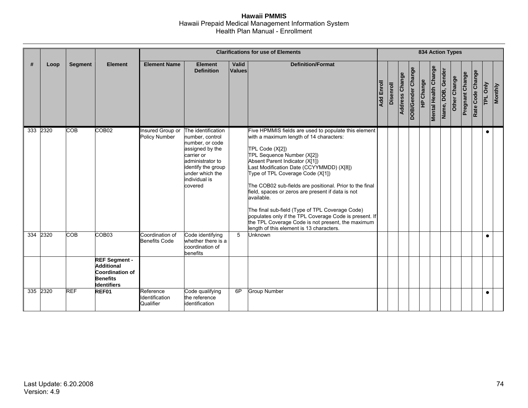|                 |      |                |                                                                                                              |                                          |                                                                                                                                                                                    |                        | <b>Clarifications for use of Elements</b>                                                                                                                                                                                                                                                                                                                                                                                                                                                                                                                                                                      |                   |           |                       |                   | <b>834 Action Types</b> |                             |                   |              |                        |                  |                |                |
|-----------------|------|----------------|--------------------------------------------------------------------------------------------------------------|------------------------------------------|------------------------------------------------------------------------------------------------------------------------------------------------------------------------------------|------------------------|----------------------------------------------------------------------------------------------------------------------------------------------------------------------------------------------------------------------------------------------------------------------------------------------------------------------------------------------------------------------------------------------------------------------------------------------------------------------------------------------------------------------------------------------------------------------------------------------------------------|-------------------|-----------|-----------------------|-------------------|-------------------------|-----------------------------|-------------------|--------------|------------------------|------------------|----------------|----------------|
| #               | Loop | <b>Segment</b> | <b>Element</b>                                                                                               | <b>Element Name</b>                      | <b>Element</b><br><b>Definition</b>                                                                                                                                                | Valid<br><b>Values</b> | <b>Definition/Format</b>                                                                                                                                                                                                                                                                                                                                                                                                                                                                                                                                                                                       | <b>Add Enroll</b> | Disenroll | <b>Address Change</b> | DOB/Gender Change | HP Change               | <b>Mental Health Change</b> | Name, DOB, Gender | Other Change | <b>Pregnant Change</b> | Rate Code Change | $\overline{P}$ | <b>Monthly</b> |
| 333 2320        |      | <b>COB</b>     | COB <sub>02</sub>                                                                                            | Insured Group or<br><b>Policy Number</b> | The identification<br>number, control<br>number, or code<br>assigned by the<br>carrier or<br>administrator to<br>identify the group<br>under which the<br>individual is<br>covered |                        | Five HPMMIS fields are used to populate this element<br>with a maximum length of 14 characters:<br>TPL Code (X[2])<br>TPL Sequence Number (X[2])<br>Absent Parent Indicator (X[1])<br>Last Modification Date (CCYYMMDD) (X[8])<br>Type of TPL Coverage Code (X[1])<br>The COB02 sub-fields are positional. Prior to the final<br>field, spaces or zeros are present if data is not<br>available.<br>The final sub-field (Type of TPL Coverage Code)<br>populates only if the TPL Coverage Code is present. If<br>the TPL Coverage Code is not present, the maximum<br>length of this element is 13 characters. |                   |           |                       |                   |                         |                             |                   |              |                        |                  |                |                |
| $\frac{1}{334}$ | 2320 | <b>COB</b>     | COB <sub>03</sub>                                                                                            | Coordination of<br><b>Benefits Code</b>  | Code identifying<br>whether there is a<br>coordination of<br>benefits                                                                                                              | 5                      | Unknown                                                                                                                                                                                                                                                                                                                                                                                                                                                                                                                                                                                                        |                   |           |                       |                   |                         |                             |                   |              |                        |                  | $\bullet$      |                |
|                 |      |                | <b>REF Segment -</b><br><b>Additional</b><br><b>Coordination of</b><br><b>Benefits</b><br><b>Identifiers</b> |                                          |                                                                                                                                                                                    |                        |                                                                                                                                                                                                                                                                                                                                                                                                                                                                                                                                                                                                                |                   |           |                       |                   |                         |                             |                   |              |                        |                  |                |                |
| 335 2320        |      | <b>REF</b>     | REF01                                                                                                        | Reference<br>Identification<br>Qualifier | Code qualifying<br>the reference<br>identification                                                                                                                                 | 6P                     | <b>Group Number</b>                                                                                                                                                                                                                                                                                                                                                                                                                                                                                                                                                                                            |                   |           |                       |                   |                         |                             |                   |              |                        |                  | $\bullet$      |                |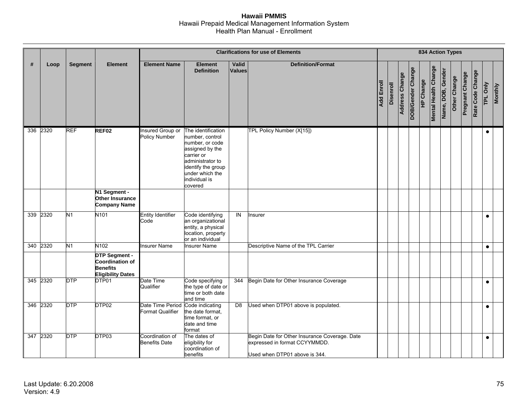|          |      |                |                                                                                        | <b>Clarifications for use of Elements</b>   |                                                                                                                                                                                    |                        |                                                                                                                 |            |                  | <b>834 Action Types</b> |                   |           |                             |                   |              |                 |                  |           |                |
|----------|------|----------------|----------------------------------------------------------------------------------------|---------------------------------------------|------------------------------------------------------------------------------------------------------------------------------------------------------------------------------------|------------------------|-----------------------------------------------------------------------------------------------------------------|------------|------------------|-------------------------|-------------------|-----------|-----------------------------|-------------------|--------------|-----------------|------------------|-----------|----------------|
| #        | Loop | <b>Segment</b> | <b>Element</b>                                                                         | <b>Element Name</b>                         | <b>Element</b><br><b>Definition</b>                                                                                                                                                | Valid<br><b>Values</b> | <b>Definition/Format</b>                                                                                        | Add Enroll | <b>Disenroll</b> | <b>Address Change</b>   | DOB/Gender Change | HP Change | <b>Mental Health Change</b> | Name, DOB, Gender | Other Change | Pregnant Change | Rate Code Change | TPL Only  | <b>Monthly</b> |
| 336 2320 |      | <b>REF</b>     | REF <sub>02</sub>                                                                      | Insured Group or<br><b>Policy Number</b>    | The identification<br>number, control<br>number, or code<br>assigned by the<br>carrier or<br>administrator to<br>identify the group<br>under which the<br>individual is<br>covered |                        | TPL Policy Number (X[15])                                                                                       |            |                  |                         |                   |           |                             |                   |              |                 |                  | $\bullet$ |                |
|          |      |                | N1 Segment -<br>Other Insurance<br><b>Company Name</b>                                 |                                             |                                                                                                                                                                                    |                        |                                                                                                                 |            |                  |                         |                   |           |                             |                   |              |                 |                  |           |                |
| 339      | 2320 | N <sub>1</sub> | N <sub>101</sub>                                                                       | <b>Entity Identifier</b><br>Code            | Code identifying<br>an organizational<br>entity, a physical<br>location, property<br>or an individual                                                                              | $\overline{z}$         | Insurer                                                                                                         |            |                  |                         |                   |           |                             |                   |              |                 |                  | $\bullet$ |                |
| 340 2320 |      | N1             | N102                                                                                   | <b>Insurer Name</b>                         | nsurer Name                                                                                                                                                                        |                        | Descriptive Name of the TPL Carrier                                                                             |            |                  |                         |                   |           |                             |                   |              |                 |                  | $\bullet$ |                |
|          |      |                | <b>DTP Segment -</b><br>Coordination of<br><b>Benefits</b><br><b>Eligibility Dates</b> |                                             |                                                                                                                                                                                    |                        |                                                                                                                 |            |                  |                         |                   |           |                             |                   |              |                 |                  |           |                |
| 345 2320 |      | <b>DTP</b>     | DTP01                                                                                  | Date Time<br>Qualifier                      | Code specifying<br>the type of date or<br>time or both date<br>and time                                                                                                            | 344                    | Begin Date for Other Insurance Coverage                                                                         |            |                  |                         |                   |           |                             |                   |              |                 |                  | $\bullet$ |                |
| 346      | 2320 | <b>DTP</b>     | DTP02                                                                                  | Date Time Period<br><b>Format Qualifier</b> | Code indicating<br>the date format.<br>time format, or<br>date and time<br>format                                                                                                  | D <sub>8</sub>         | Used when DTP01 above is populated.                                                                             |            |                  |                         |                   |           |                             |                   |              |                 |                  | $\bullet$ |                |
| 347 2320 |      | <b>DTP</b>     | DTP03                                                                                  | Coordination of<br><b>Benefits Date</b>     | The dates of<br>eligibility for<br>coordination of<br>benefits                                                                                                                     |                        | Begin Date for Other Insurance Coverage. Date<br>expressed in format CCYYMMDD.<br>Used when DTP01 above is 344. |            |                  |                         |                   |           |                             |                   |              |                 |                  | $\bullet$ |                |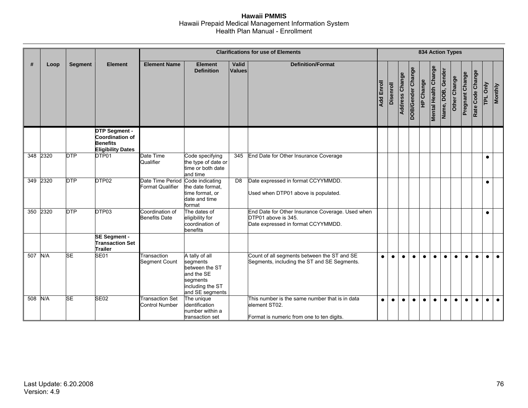|          |      |                |                                                                                               |                                                             |                                                                                                               |                        | <b>Clarifications for use of Elements</b>                                                                     |                   |           |                       |                   |           |                             |                   | <b>834 Action Types</b> |                        |                  |                |                |
|----------|------|----------------|-----------------------------------------------------------------------------------------------|-------------------------------------------------------------|---------------------------------------------------------------------------------------------------------------|------------------------|---------------------------------------------------------------------------------------------------------------|-------------------|-----------|-----------------------|-------------------|-----------|-----------------------------|-------------------|-------------------------|------------------------|------------------|----------------|----------------|
| #        | Loop | <b>Segment</b> | <b>Element</b>                                                                                | <b>Element Name</b>                                         | <b>Element</b><br><b>Definition</b>                                                                           | Valid<br><b>Values</b> | <b>Definition/Format</b>                                                                                      | <b>Add Enroll</b> | Disenroll | <b>Address Change</b> | DOB/Gender Change | HP Change | <b>Mental Health Change</b> | Name, DOB, Gender | Other Change            | <b>Pregnant Change</b> | Rate Code Change | $\overline{P}$ | <b>Monthly</b> |
|          |      |                | <b>DTP Segment -</b><br><b>Coordination of</b><br><b>Benefits</b><br><b>Eligibility Dates</b> |                                                             |                                                                                                               |                        |                                                                                                               |                   |           |                       |                   |           |                             |                   |                         |                        |                  |                |                |
| 348 2320 |      | <b>DTP</b>     | DTP01                                                                                         | Date Time<br>Qualifier                                      | Code specifying<br>the type of date or<br>time or both date<br>and time                                       | 345                    | End Date for Other Insurance Coverage                                                                         |                   |           |                       |                   |           |                             |                   |                         |                        |                  |                |                |
| 349      | 2320 | <b>DTP</b>     | DTP02                                                                                         | Date Time Period Code indicating<br><b>Format Qualifier</b> | the date format.<br>time format, or<br>date and time<br>format                                                | D <sub>8</sub>         | Date expressed in format CCYYMMDD.<br>Used when DTP01 above is populated.                                     |                   |           |                       |                   |           |                             |                   |                         |                        |                  |                |                |
| 350      | 2320 | <b>DTP</b>     | DTP03                                                                                         | Coordination of<br><b>Benefits Date</b>                     | The dates of<br>eligibility for<br>coordination of<br>benefits                                                |                        | End Date for Other Insurance Coverage. Used when<br>DTP01 above is 345.<br>Date expressed in format CCYYMMDD. |                   |           |                       |                   |           |                             |                   |                         |                        |                  | $\bullet$      |                |
|          |      |                | <b>SE Segment -</b><br><b>Transaction Set</b><br><b>Trailer</b>                               |                                                             |                                                                                                               |                        |                                                                                                               |                   |           |                       |                   |           |                             |                   |                         |                        |                  |                |                |
| 507 N/A  |      | <b>SE</b>      | <b>SE01</b>                                                                                   | <b>Transaction</b><br>Segment Count                         | A tally of all<br>segments<br>between the ST<br>and the SE<br>segments<br>including the ST<br>and SE segments |                        | Count of all segments between the ST and SE<br>Segments, including the ST and SE Segments.                    | $\bullet$         | $\bullet$ | $\bullet$             | $\bullet$         | $\bullet$ | $\bullet$                   | $\bullet$         | $\bullet$               | $\bullet$              | $\bullet$        | $\bullet$      | $\bullet$      |
| 508      | N/A  | <b>SE</b>      | <b>SE02</b>                                                                                   | <b>Transaction Set</b><br><b>Control Number</b>             | The unique<br>identification<br>number within a<br>transaction set                                            |                        | This number is the same number that is in data<br>element ST02.<br>Format is numeric from one to ten digits.  | $\bullet$         | $\bullet$ | $\bullet$             | $\bullet$         | $\bullet$ | $\bullet$                   | $\bullet$         | $\bullet$               | $\bullet$              | $\bullet$        |                |                |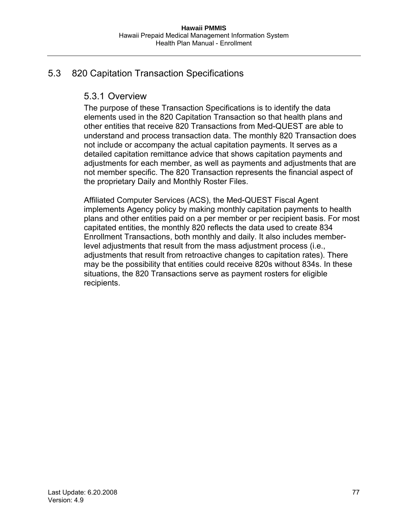## 5.3 820 Capitation Transaction Specifications

## 5.3.1 Overview

The purpose of these Transaction Specifications is to identify the data elements used in the 820 Capitation Transaction so that health plans and other entities that receive 820 Transactions from Med-QUEST are able to understand and process transaction data. The monthly 820 Transaction does not include or accompany the actual capitation payments. It serves as a detailed capitation remittance advice that shows capitation payments and adjustments for each member, as well as payments and adjustments that are not member specific. The 820 Transaction represents the financial aspect of the proprietary Daily and Monthly Roster Files.

Affiliated Computer Services (ACS), the Med-QUEST Fiscal Agent implements Agency policy by making monthly capitation payments to health plans and other entities paid on a per member or per recipient basis. For most capitated entities, the monthly 820 reflects the data used to create 834 Enrollment Transactions, both monthly and daily. It also includes memberlevel adjustments that result from the mass adjustment process (i.e., adjustments that result from retroactive changes to capitation rates). There may be the possibility that entities could receive 820s without 834s. In these situations, the 820 Transactions serve as payment rosters for eligible recipients.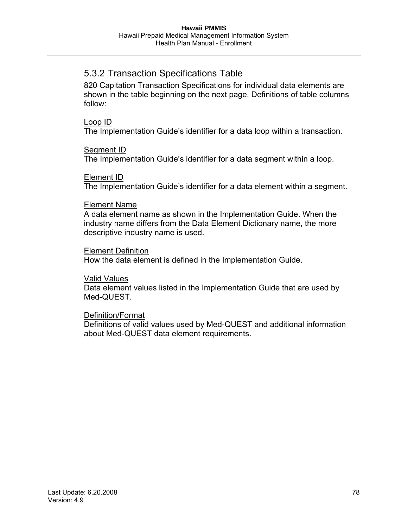## 5.3.2 Transaction Specifications Table

820 Capitation Transaction Specifications for individual data elements are shown in the table beginning on the next page. Definitions of table columns follow:

### Loop ID

The Implementation Guide's identifier for a data loop within a transaction.

### Segment ID

The Implementation Guide's identifier for a data segment within a loop.

### Element ID

The Implementation Guide's identifier for a data element within a segment.

### Element Name

A data element name as shown in the Implementation Guide. When the industry name differs from the Data Element Dictionary name, the more descriptive industry name is used.

### Element Definition

How the data element is defined in the Implementation Guide.

### Valid Values

Data element values listed in the Implementation Guide that are used by Med-QUEST.

## Definition/Format

Definitions of valid values used by Med-QUEST and additional information about Med-QUEST data element requirements.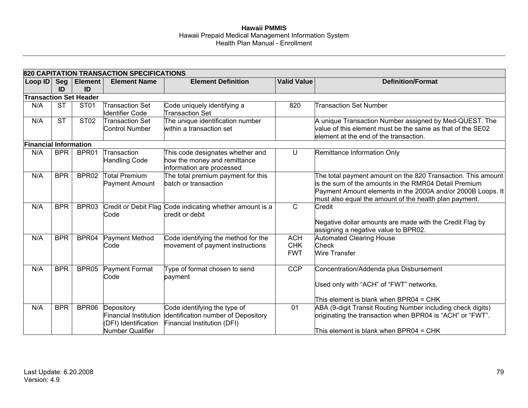|                               |            |                | 820 CAPITATION TRANSACTION SPECIFICATIONS |                                                          |                    |                                                              |
|-------------------------------|------------|----------------|-------------------------------------------|----------------------------------------------------------|--------------------|--------------------------------------------------------------|
| Loop ID                       | Seg        | <b>Element</b> | <b>Element Name</b>                       | <b>Element Definition</b>                                | <b>Valid Value</b> | <b>Definition/Format</b>                                     |
|                               | ID         | ID             |                                           |                                                          |                    |                                                              |
| <b>Transaction Set Header</b> |            |                |                                           |                                                          |                    |                                                              |
| N/A                           | <b>ST</b>  | <b>ST01</b>    | <b>Transaction Set</b>                    | Code uniquely identifying a                              | 820                | <b>Transaction Set Number</b>                                |
|                               |            |                | <b>Identifier Code</b>                    | <b>Transaction Set</b>                                   |                    |                                                              |
| N/A                           | <b>ST</b>  | <b>ST02</b>    | <b>Transaction Set</b>                    | The unique identification number                         |                    | A unique Transaction Number assigned by Med-QUEST. The       |
|                               |            |                | <b>Control Number</b>                     | within a transaction set                                 |                    | value of this element must be the same as that of the SE02   |
|                               |            |                |                                           |                                                          |                    | element at the end of the transaction.                       |
| <b>Financial Information</b>  |            |                |                                           |                                                          |                    |                                                              |
| N/A                           | <b>BPR</b> | BPR01          | Transaction                               | This code designates whether and                         | U                  | Remittance Information Only                                  |
|                               |            |                | <b>Handling Code</b>                      | how the money and remittance                             |                    |                                                              |
|                               |            |                |                                           | information are processed                                |                    |                                                              |
| N/A                           | <b>BPR</b> | BPR02          | <b>Total Premium</b>                      | The total premium payment for this                       |                    | The total payment amount on the 820 Transaction. This amount |
|                               |            |                | Payment Amount                            | batch or transaction                                     |                    | is the sum of the amounts in the RMR04 Detail Premium        |
|                               |            |                |                                           |                                                          |                    | Payment Amount elements in the 2000A and/or 2000B Loops. It  |
|                               |            |                |                                           |                                                          |                    | must also equal the amount of the health plan payment.       |
| N/A                           | <b>BPR</b> | BPR03          |                                           | Credit or Debit Flag Code indicating whether amount is a | $\mathsf{C}$       | Credit                                                       |
|                               |            |                | Code                                      | credit or debit                                          |                    |                                                              |
|                               |            |                |                                           |                                                          |                    | Negative dollar amounts are made with the Credit Flag by     |
|                               |            |                |                                           |                                                          |                    | assigning a negative value to BPR02.                         |
| N/A                           | <b>BPR</b> | BPR04          | Payment Method                            | Code identifying the method for the                      | <b>ACH</b>         | <b>Automated Clearing House</b>                              |
|                               |            |                | Code                                      | movement of payment instructions                         | <b>CHK</b>         | <b>Check</b>                                                 |
|                               |            |                |                                           |                                                          | <b>FWT</b>         | Wire Transfer                                                |
| N/A                           | <b>BPR</b> | BPR05          | <b>Payment Format</b>                     | Type of format chosen to send                            | <b>CCP</b>         | Concentration/Addenda plus Disbursement                      |
|                               |            |                | Code                                      | payment                                                  |                    |                                                              |
|                               |            |                |                                           |                                                          |                    | Used only with "ACH" of "FWT" networks.                      |
|                               |            |                |                                           |                                                          |                    | This element is blank when BPR04 = CHK                       |
| N/A                           | <b>BPR</b> | BPR06          | Depository                                | Code identifying the type of                             | 01                 | ABA (9-digit Transit Routing Number including check digits)  |
|                               |            |                | <b>Financial Institution</b>              | identification number of Depository                      |                    | originating the transaction when BPR04 is "ACH" or "FWT".    |
|                               |            |                | (DFI) Identification                      | Financial Institution (DFI)                              |                    |                                                              |
|                               |            |                | Number Qualifier                          |                                                          |                    | This element is blank when BPR04 = CHK                       |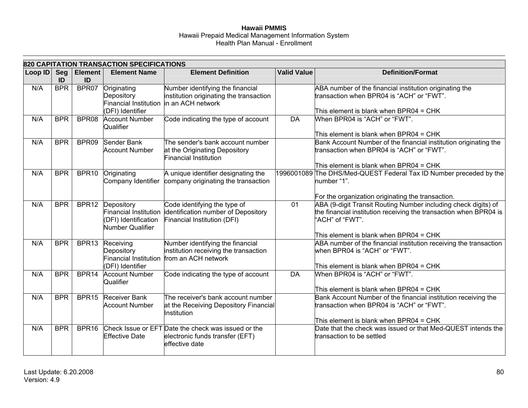|         |            |                      | 820 CAPITATION TRANSACTION SPECIFICATIONS                           |                                                                                                                          |                    |                                                                                                                                                                                                  |
|---------|------------|----------------------|---------------------------------------------------------------------|--------------------------------------------------------------------------------------------------------------------------|--------------------|--------------------------------------------------------------------------------------------------------------------------------------------------------------------------------------------------|
| Loop ID | Seg<br>ID  | <b>Element</b><br>ID | <b>Element Name</b>                                                 | <b>Element Definition</b>                                                                                                | <b>Valid Value</b> | <b>Definition/Format</b>                                                                                                                                                                         |
| N/A     | <b>BPR</b> | BPR07                | Originating<br>Depository<br>(DFI) Identifier                       | Number identifying the financial<br>institution originating the transaction<br>Financial Institution  in an ACH network  |                    | ABA number of the financial institution originating the<br>transaction when BPR04 is "ACH" or "FWT".<br>This element is blank when BPR04 = CHK                                                   |
| N/A     | <b>BPR</b> | BPR08                | <b>Account Number</b><br>Qualifier                                  | Code indicating the type of account                                                                                      | $\overline{DA}$    | When BPR04 is "ACH" or "FWT".<br>This element is blank when BPR04 = CHK                                                                                                                          |
| N/A     | <b>BPR</b> | BPR09                | Sender Bank<br><b>Account Number</b>                                | The sender's bank account number<br>at the Originating Depository<br>Financial Institution                               |                    | Bank Account Number of the financial institution originating the<br>transaction when BPR04 is "ACH" or "FWT".<br>This element is blank when BPR04 = CHK                                          |
| N/A     | <b>BPR</b> | BPR10                | Originating                                                         | A unique identifier designating the<br>Company Identifier company originating the transaction                            |                    | 1996001089 The DHS/Med-QUEST Federal Tax ID Number preceded by the<br>number "1".<br>For the organization originating the transaction.                                                           |
| N/A     | <b>BPR</b> |                      | BPR12 Depository<br>(DFI) Identification<br><b>Number Qualifier</b> | Code identifying the type of<br>Financial Institution identification number of Depository<br>Financial Institution (DFI) | $\overline{01}$    | ABA (9-digit Transit Routing Number including check digits) of<br>the financial institution receiving the transaction when BPR04 is<br>"ACH" of "FWT".<br>This element is blank when BPR04 = CHK |
| N/A     | <b>BPR</b> | BPR13                | Receiving<br>Depository<br>(DFI) Identifier                         | Number identifying the financial<br>institution receiving the transaction<br>Financial Institution from an ACH network   |                    | ABA number of the financial institution receiving the transaction<br>when BPR04 is "ACH" or "FWT".<br>This element is blank when BPR04 = CHK                                                     |
| N/A     | <b>BPR</b> | BPR <sub>14</sub>    | <b>Account Number</b><br>Qualifier                                  | Code indicating the type of account                                                                                      | <b>DA</b>          | When BPR04 is "ACH" or "FWT".<br>This element is blank when BPR04 = CHK                                                                                                                          |
| N/A     | <b>BPR</b> | BPR <sub>15</sub>    | Receiver Bank<br><b>Account Number</b>                              | The receiver's bank account number<br>at the Receiving Depository Financial<br>Institution                               |                    | Bank Account Number of the financial institution receiving the<br>transaction when BPR04 is "ACH" or "FWT".<br>This element is blank when BPR04 = CHK                                            |
| N/A     | <b>BPR</b> | BPR <sub>16</sub>    | <b>Effective Date</b>                                               | Check Issue or EFT Date the check was issued or the<br>electronic funds transfer (EFT)<br>effective date                 |                    | Date that the check was issued or that Med-QUEST intends the<br>transaction to be settled                                                                                                        |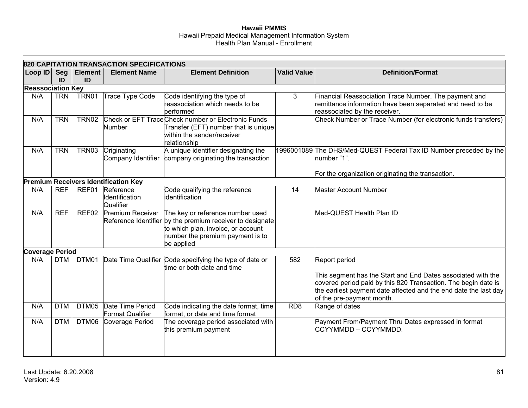|                          |            |                      | 820 CAPITATION TRANSACTION SPECIFICATIONS   |                                                                                                                                                                                       |                    |                                                                                                                                                                                                                                                  |
|--------------------------|------------|----------------------|---------------------------------------------|---------------------------------------------------------------------------------------------------------------------------------------------------------------------------------------|--------------------|--------------------------------------------------------------------------------------------------------------------------------------------------------------------------------------------------------------------------------------------------|
| Loop ID                  | Seg<br>ID  | <b>Element</b><br>ID | <b>Element Name</b>                         | <b>Element Definition</b>                                                                                                                                                             | <b>Valid Value</b> | <b>Definition/Format</b>                                                                                                                                                                                                                         |
| <b>Reassociation Key</b> |            |                      |                                             |                                                                                                                                                                                       |                    |                                                                                                                                                                                                                                                  |
| N/A                      | <b>TRN</b> | TRN01                | Trace Type Code                             | Code identifying the type of<br>reassociation which needs to be<br>performed                                                                                                          | 3                  | Financial Reassociation Trace Number. The payment and<br>remittance information have been separated and need to be<br>reassociated by the receiver.                                                                                              |
| N/A                      | <b>TRN</b> | TRN02                | Number                                      | Check or EFT Trace Check number or Electronic Funds<br>Transfer (EFT) number that is unique<br>within the sender/receiver<br>relationship                                             |                    | Check Number or Trace Number (for electronic funds transfers)                                                                                                                                                                                    |
| N/A                      | <b>TRN</b> | TRN03                | Originating<br>Company Identifier           | A unique identifier designating the<br>company originating the transaction                                                                                                            |                    | 1996001089 The DHS/Med-QUEST Federal Tax ID Number preceded by the<br>number "1".                                                                                                                                                                |
|                          |            |                      | <b>Premium Receivers Identification Key</b> |                                                                                                                                                                                       |                    | For the organization originating the transaction.                                                                                                                                                                                                |
| N/A                      | <b>REF</b> | REF01                | Reference                                   | Code qualifying the reference                                                                                                                                                         | 14                 | <b>Master Account Number</b>                                                                                                                                                                                                                     |
|                          |            |                      | Identification<br>Qualifier                 | identification                                                                                                                                                                        |                    |                                                                                                                                                                                                                                                  |
| N/A                      | <b>REF</b> | REF02                | Premium Receiver                            | The key or reference number used<br>Reference Identifier by the premium receiver to designate<br>to which plan, invoice, or account<br>number the premium payment is to<br>be applied |                    | Med-QUEST Health Plan ID                                                                                                                                                                                                                         |
| <b>Coverage Period</b>   |            |                      |                                             |                                                                                                                                                                                       |                    |                                                                                                                                                                                                                                                  |
| N/A                      | <b>DTM</b> | DTM01                |                                             | Date Time Qualifier Code specifying the type of date or<br>time or both date and time                                                                                                 | 582                | Report period<br>This segment has the Start and End Dates associated with the<br>covered period paid by this 820 Transaction. The begin date is<br>the earliest payment date affected and the end date the last day<br>of the pre-payment month. |
| N/A                      | <b>DTM</b> | DTM05                | Date Time Period<br><b>Format Qualifier</b> | Code indicating the date format, time<br>format, or date and time format                                                                                                              | RD <sub>8</sub>    | Range of dates                                                                                                                                                                                                                                   |
| N/A                      | <b>DTM</b> | DTM06                | Coverage Period                             | The coverage period associated with<br>this premium payment                                                                                                                           |                    | Payment From/Payment Thru Dates expressed in format<br>CCYYMMDD – CCYYMMDD.                                                                                                                                                                      |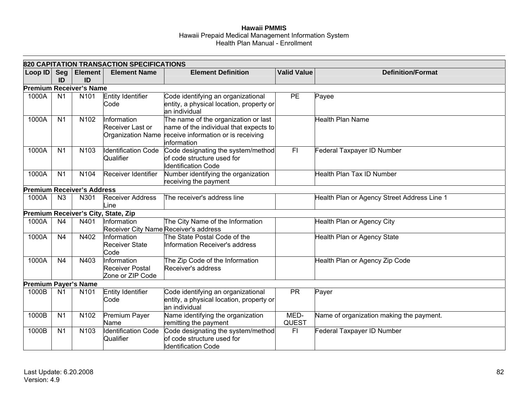|                             |                  |                                   | 820 CAPITATION TRANSACTION SPECIFICATIONS            |                                                                                                                                                         |                    |                                             |
|-----------------------------|------------------|-----------------------------------|------------------------------------------------------|---------------------------------------------------------------------------------------------------------------------------------------------------------|--------------------|---------------------------------------------|
| Loop ID                     | <b>Seg</b><br>ID | <b>Element</b><br>ID              | <b>Element Name</b>                                  | <b>Element Definition</b>                                                                                                                               | <b>Valid Value</b> | <b>Definition/Format</b>                    |
|                             |                  | <b>Premium Receiver's Name</b>    |                                                      |                                                                                                                                                         |                    |                                             |
| 1000A                       | N <sub>1</sub>   | N101                              | <b>Entity Identifier</b><br>Code                     | Code identifying an organizational<br>entity, a physical location, property or<br>an individual                                                         | PE                 | Payee                                       |
| 1000A                       | N <sub>1</sub>   | N102                              | Information<br>Receiver Last or                      | The name of the organization or last<br>name of the individual that expects to<br>Organization Name receive information or is receiving<br>linformation |                    | Health Plan Name                            |
| 1000A                       | N <sub>1</sub>   | N103                              | <b>Identification Code</b><br>Qualifier              | Code designating the system/method<br>of code structure used for<br><b>Identification Code</b>                                                          | F <sub>1</sub>     | Federal Taxpayer ID Number                  |
| 1000A                       | N <sub>1</sub>   | N104                              | Receiver Identifier                                  | Number identifying the organization<br>receiving the payment                                                                                            |                    | Health Plan Tax ID Number                   |
|                             |                  | <b>Premium Receiver's Address</b> |                                                      |                                                                                                                                                         |                    |                                             |
| 1000A                       | N3               | N301                              | <b>Receiver Address</b><br>Line                      | The receiver's address line                                                                                                                             |                    | Health Plan or Agency Street Address Line 1 |
|                             |                  |                                   | Premium Receiver's City, State, Zip                  |                                                                                                                                                         |                    |                                             |
| 1000A                       | N <sub>4</sub>   | N401                              | Information<br>Receiver City Name Receiver's address | The City Name of the Information                                                                                                                        |                    | Health Plan or Agency City                  |
| 1000A                       | N <sub>4</sub>   | N402                              | Information<br><b>Receiver State</b><br>Code         | The State Postal Code of the<br>Information Receiver's address                                                                                          |                    | Health Plan or Agency State                 |
| 1000A                       | N <sub>4</sub>   | N403                              | Information<br>Receiver Postal<br>Zone or ZIP Code   | The Zip Code of the Information<br>Receiver's address                                                                                                   |                    | Health Plan or Agency Zip Code              |
| <b>Premium Payer's Name</b> |                  |                                   |                                                      |                                                                                                                                                         |                    |                                             |
| 1000B                       | N <sub>1</sub>   | N <sub>101</sub>                  | Entity Identifier<br>Code                            | Code identifying an organizational<br>entity, a physical location, property or<br>an individual                                                         | <b>PR</b>          | Payer                                       |
| 1000B                       | N <sub>1</sub>   | N102                              | Premium Payer<br>Name                                | Name identifying the organization<br>remitting the payment                                                                                              | MED-<br>QUEST      | Name of organization making the payment.    |
| 1000B                       | N <sub>1</sub>   | N103                              | Identification Code<br>Qualifier                     | Code designating the system/method<br>of code structure used for<br><b>Identification Code</b>                                                          | F <sub>1</sub>     | Federal Taxpayer ID Number                  |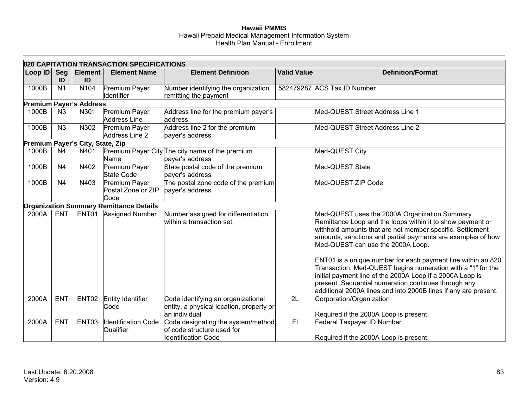|         |                  |                                  | 820 CAPITATION TRANSACTION SPECIFICATIONS      |                                                                                                  |                    |                                                                                                                                                                                                                                                                                                                     |
|---------|------------------|----------------------------------|------------------------------------------------|--------------------------------------------------------------------------------------------------|--------------------|---------------------------------------------------------------------------------------------------------------------------------------------------------------------------------------------------------------------------------------------------------------------------------------------------------------------|
| Loop ID | <b>Seg</b><br>ID | <b>Element</b><br>ID             | <b>Element Name</b>                            | <b>Element Definition</b>                                                                        | <b>Valid Value</b> | <b>Definition/Format</b>                                                                                                                                                                                                                                                                                            |
| 1000B   | N <sub>1</sub>   | N104                             | Premium Payer<br>Identifier                    | Number identifying the organization<br>remitting the payment                                     |                    | 582479287 ACS Tax ID Number                                                                                                                                                                                                                                                                                         |
|         |                  | <b>Premium Payer's Address</b>   |                                                |                                                                                                  |                    |                                                                                                                                                                                                                                                                                                                     |
| 1000B   | N <sub>3</sub>   | N301                             | Premium Payer<br><b>Address Line</b>           | Address line for the premium payer's<br>address                                                  |                    | Med-QUEST Street Address Line 1                                                                                                                                                                                                                                                                                     |
| 1000B   | N3               | N302                             | <b>Premium Payer</b><br>Address Line 2         | Address line 2 for the premium<br>payer's address                                                |                    | Med-QUEST Street Address Line 2                                                                                                                                                                                                                                                                                     |
|         |                  | Premium Payer's City, State, Zip |                                                |                                                                                                  |                    |                                                                                                                                                                                                                                                                                                                     |
| 1000B   | N <sub>4</sub>   | N401                             | Name                                           | Premium Payer City The city name of the premium<br>payer's address                               |                    | Med-QUEST City                                                                                                                                                                                                                                                                                                      |
| 1000B   | N <sub>4</sub>   | N402                             | Premium Payer<br><b>State Code</b>             | State postal code of the premium<br>payer's address                                              |                    | Med-QUEST State                                                                                                                                                                                                                                                                                                     |
| 1000B   | N <sub>4</sub>   | N403                             | Premium Payer<br>Postal Zone or ZIP<br>Code    | The postal zone code of the premium<br>payer's address                                           |                    | Med-QUEST ZIP Code                                                                                                                                                                                                                                                                                                  |
|         |                  |                                  | <b>Organization Summary Remittance Details</b> |                                                                                                  |                    |                                                                                                                                                                                                                                                                                                                     |
| 2000A   | <b>ENT</b>       |                                  | ENT01 Assigned Number                          | Number assigned for differentiation<br>within a transaction set.                                 |                    | Med-QUEST uses the 2000A Organization Summary<br>Remittance Loop and the loops within it to show payment or<br>withhold amounts that are not member specific. Settlement<br>amounts, sanctions and partial payments are examples of how<br>Med-QUEST can use the 2000A Loop.                                        |
|         |                  |                                  |                                                |                                                                                                  |                    | ENT01 is a unique number for each payment line within an 820<br>Transaction. Med-QUEST begins numeration with a "1" for the<br>initial payment line of the 2000A Loop if a 2000A Loop is<br>present. Sequential numeration continues through any<br>additional 2000A lines and into 2000B lines if any are present. |
| 2000A   | <b>ENT</b>       | ENT02                            | Entity Identifier<br>Code                      | Code identifying an organizational<br>entity, a physical location, property or<br>lan individual | 2L                 | Corporation/Organization<br>Required if the 2000A Loop is present.                                                                                                                                                                                                                                                  |
| 2000A   | <b>ENT</b>       | ENT03                            | Identification Code<br>Qualifier               | Code designating the system/method<br>of code structure used for<br><b>Identification Code</b>   | $\overline{F}$     | Federal Taxpayer ID Number<br>Required if the 2000A Loop is present.                                                                                                                                                                                                                                                |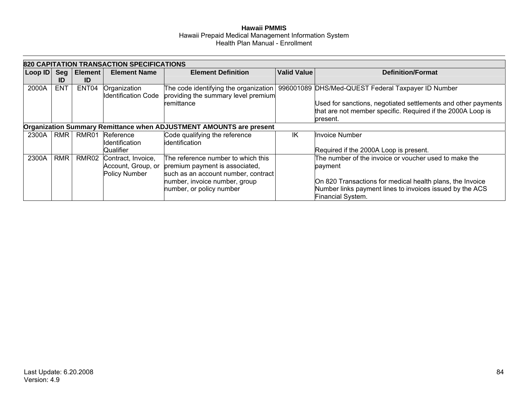|         |            |                | <b>820 CAPITATION TRANSACTION SPECIFICATIONS</b> |                                                                     |                    |                                                               |
|---------|------------|----------------|--------------------------------------------------|---------------------------------------------------------------------|--------------------|---------------------------------------------------------------|
| Loop ID | Seg        | <b>Element</b> | <b>Element Name</b>                              | <b>Element Definition</b>                                           | <b>Valid Value</b> | <b>Definition/Format</b>                                      |
|         | ID         | ID             |                                                  |                                                                     |                    |                                                               |
| 2000A   | <b>ENT</b> | ENT04          | Organization                                     | The code identifying the organization                               |                    | 996001089 DHS/Med-QUEST Federal Taxpayer ID Number            |
|         |            |                | <b>Identification Code</b>                       | providing the summary level premium                                 |                    |                                                               |
|         |            |                |                                                  | remittance                                                          |                    | Used for sanctions, negotiated settlements and other payments |
|         |            |                |                                                  |                                                                     |                    | that are not member specific. Required if the 2000A Loop is   |
|         |            |                |                                                  |                                                                     |                    | present.                                                      |
|         |            |                |                                                  | Organization Summary Remittance when ADJUSTMENT AMOUNTS are present |                    |                                                               |
| 2300A   | RMR I      | RMR01          | Reference                                        | Code qualifying the reference                                       | ΙK                 | <b>Invoice Number</b>                                         |
|         |            |                | Identification                                   | lidentification                                                     |                    |                                                               |
|         |            |                | Qualifier                                        |                                                                     |                    | Required if the 2000A Loop is present.                        |
| 2300A   | <b>RMR</b> | RMR02          | Contract, Invoice,                               | The reference number to which this                                  |                    | The number of the invoice or voucher used to make the         |
|         |            |                | Account, Group, or                               | premium payment is associated,                                      |                    | payment                                                       |
|         |            |                | Policy Number                                    | such as an account number, contract                                 |                    |                                                               |
|         |            |                |                                                  | number, invoice number, group                                       |                    | On 820 Transactions for medical health plans, the Invoice     |
|         |            |                |                                                  | number, or policy number                                            |                    | Number links payment lines to invoices issued by the ACS      |
|         |            |                |                                                  |                                                                     |                    | Financial System.                                             |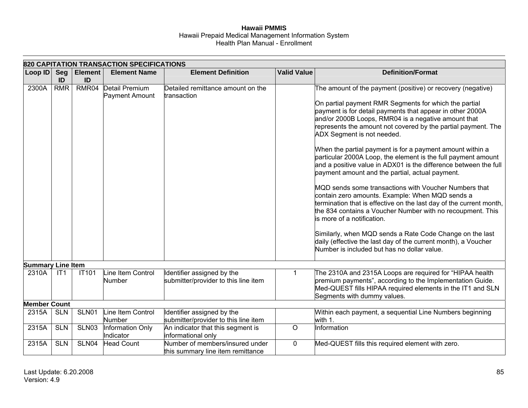|                          |                  |                      | <b>820 CAPITATION TRANSACTION SPECIFICATIONS</b> |                                                                      |                    |                                                                                                                                                                                                                                                                                                                                                                                                                                                                                                                                                                                                                                                                                                                                                                                                                                                                                                                                                                                                                                                           |
|--------------------------|------------------|----------------------|--------------------------------------------------|----------------------------------------------------------------------|--------------------|-----------------------------------------------------------------------------------------------------------------------------------------------------------------------------------------------------------------------------------------------------------------------------------------------------------------------------------------------------------------------------------------------------------------------------------------------------------------------------------------------------------------------------------------------------------------------------------------------------------------------------------------------------------------------------------------------------------------------------------------------------------------------------------------------------------------------------------------------------------------------------------------------------------------------------------------------------------------------------------------------------------------------------------------------------------|
| Loop ID                  | <b>Seg</b><br>ID | <b>Element</b><br>ID | <b>Element Name</b>                              | <b>Element Definition</b>                                            | <b>Valid Value</b> | <b>Definition/Format</b>                                                                                                                                                                                                                                                                                                                                                                                                                                                                                                                                                                                                                                                                                                                                                                                                                                                                                                                                                                                                                                  |
| 2300A                    | <b>RMR</b>       | RMR04                | Detail Premium<br>Payment Amount                 | Detailed remittance amount on the<br>transaction                     |                    | The amount of the payment (positive) or recovery (negative)<br>On partial payment RMR Segments for which the partial<br>payment is for detail payments that appear in other 2000A<br>and/or 2000B Loops, RMR04 is a negative amount that<br>represents the amount not covered by the partial payment. The<br>ADX Segment is not needed.<br>When the partial payment is for a payment amount within a<br>particular 2000A Loop, the element is the full payment amount<br>and a positive value in ADX01 is the difference between the full<br>payment amount and the partial, actual payment.<br>MQD sends some transactions with Voucher Numbers that<br>contain zero amounts. Example: When MQD sends a<br>termination that is effective on the last day of the current month,<br>the 834 contains a Voucher Number with no recoupment. This<br>lis more of a notification.<br>Similarly, when MQD sends a Rate Code Change on the last<br>daily (effective the last day of the current month), a Voucher<br>Number is included but has no dollar value. |
| <b>Summary Line Item</b> |                  |                      |                                                  |                                                                      |                    |                                                                                                                                                                                                                                                                                                                                                                                                                                                                                                                                                                                                                                                                                                                                                                                                                                                                                                                                                                                                                                                           |
| 2310A                    | IT1              | <b>IT101</b>         | Line Item Control<br>Number                      | Identifier assigned by the<br>submitter/provider to this line item   | 1                  | The 2310A and 2315A Loops are required for "HIPAA health<br>premium payments", according to the Implementation Guide.<br>Med-QUEST fills HIPAA required elements in the IT1 and SLN<br>Segments with dummy values.                                                                                                                                                                                                                                                                                                                                                                                                                                                                                                                                                                                                                                                                                                                                                                                                                                        |
| <b>Member Count</b>      |                  |                      |                                                  |                                                                      |                    |                                                                                                                                                                                                                                                                                                                                                                                                                                                                                                                                                                                                                                                                                                                                                                                                                                                                                                                                                                                                                                                           |
| 2315A                    | <b>SLN</b>       | SLN01                | Line Item Control<br><b>Number</b>               | Identifier assigned by the<br>submitter/provider to this line item   |                    | Within each payment, a sequential Line Numbers beginning<br>with 1.                                                                                                                                                                                                                                                                                                                                                                                                                                                                                                                                                                                                                                                                                                                                                                                                                                                                                                                                                                                       |
| 2315A                    | <b>SLN</b>       | SLN03                | Information Only<br>Indicator                    | An indicator that this segment is<br>informational only              | $\circ$            | Information                                                                                                                                                                                                                                                                                                                                                                                                                                                                                                                                                                                                                                                                                                                                                                                                                                                                                                                                                                                                                                               |
| 2315A                    | <b>SLN</b>       | SLN04                | <b>Head Count</b>                                | Number of members/insured under<br>this summary line item remittance | 0                  | Med-QUEST fills this required element with zero.                                                                                                                                                                                                                                                                                                                                                                                                                                                                                                                                                                                                                                                                                                                                                                                                                                                                                                                                                                                                          |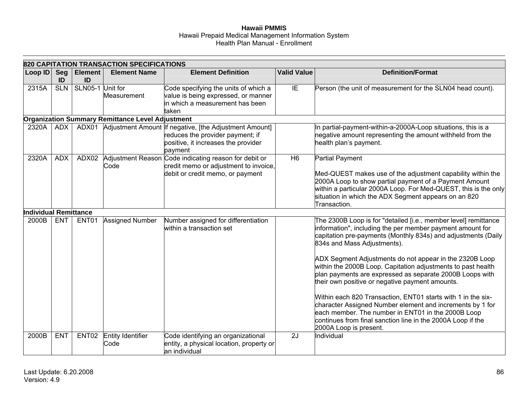|                              |                  |                      | 820 CAPITATION TRANSACTION SPECIFICATIONS        |                                                                                                                                                    |                    |                                                                                                                                                                                                                                                                                                                                                                                                                                                                                                                                                                                                                                                                                                                                                    |
|------------------------------|------------------|----------------------|--------------------------------------------------|----------------------------------------------------------------------------------------------------------------------------------------------------|--------------------|----------------------------------------------------------------------------------------------------------------------------------------------------------------------------------------------------------------------------------------------------------------------------------------------------------------------------------------------------------------------------------------------------------------------------------------------------------------------------------------------------------------------------------------------------------------------------------------------------------------------------------------------------------------------------------------------------------------------------------------------------|
| Loop ID                      | <b>Seg</b><br>ID | <b>Element</b><br>ID | <b>Element Name</b>                              | <b>Element Definition</b>                                                                                                                          | <b>Valid Value</b> | <b>Definition/Format</b>                                                                                                                                                                                                                                                                                                                                                                                                                                                                                                                                                                                                                                                                                                                           |
| 2315A                        | <b>SLN</b>       | SLN05-1 Unit for     | Measurement                                      | Code specifying the units of which a<br>value is being expressed, or manner<br>lin which a measurement has been<br>taken                           | IE                 | Person (the unit of measurement for the SLN04 head count).                                                                                                                                                                                                                                                                                                                                                                                                                                                                                                                                                                                                                                                                                         |
|                              |                  |                      | Organization Summary Remittance Level Adjustment |                                                                                                                                                    |                    |                                                                                                                                                                                                                                                                                                                                                                                                                                                                                                                                                                                                                                                                                                                                                    |
| 2320A                        | ADX              |                      |                                                  | ADX01 Adjustment Amount If negative, [the Adjustment Amount]<br>reduces the provider payment; if<br>positive, it increases the provider<br>payment |                    | In partial-payment-within-a-2000A-Loop situations, this is a<br>negative amount representing the amount withheld from the<br>health plan's payment.                                                                                                                                                                                                                                                                                                                                                                                                                                                                                                                                                                                                |
| 2320A                        | <b>ADX</b>       | ADX02                | Code                                             | Adjustment Reason Code indicating reason for debit or<br>credit memo or adjustment to invoice,<br>debit or credit memo, or payment                 | H <sub>6</sub>     | <b>Partial Payment</b><br>Med-QUEST makes use of the adjustment capability within the<br>2000A Loop to show partial payment of a Payment Amount<br>within a particular 2000A Loop. For Med-QUEST, this is the only<br>situation in which the ADX Segment appears on an 820<br>Transaction.                                                                                                                                                                                                                                                                                                                                                                                                                                                         |
| <b>Individual Remittance</b> |                  |                      |                                                  |                                                                                                                                                    |                    |                                                                                                                                                                                                                                                                                                                                                                                                                                                                                                                                                                                                                                                                                                                                                    |
| 2000B                        | <b>ENT</b>       | ENT01                | <b>Assigned Number</b>                           | Number assigned for differentiation<br>within a transaction set                                                                                    |                    | The 2300B Loop is for "detailed [i.e., member level] remittance<br>information", including the per member payment amount for<br>capitation pre-payments (Monthly 834s) and adjustments (Daily<br>834s and Mass Adjustments).<br>ADX Segment Adjustments do not appear in the 2320B Loop<br>within the 2000B Loop. Capitation adjustments to past health<br>plan payments are expressed as separate 2000B Loops with<br>their own positive or negative payment amounts.<br>Within each 820 Transaction, ENT01 starts with 1 in the six-<br>character Assigned Number element and increments by 1 for<br>each member. The number in ENT01 in the 2000B Loop<br>continues from final sanction line in the 2000A Loop if the<br>2000A Loop is present. |
| 2000B                        | <b>ENT</b>       | ENT02                | Entity Identifier<br>Code                        | Code identifying an organizational<br>entity, a physical location, property or<br>an individual                                                    | 2J                 | Individual                                                                                                                                                                                                                                                                                                                                                                                                                                                                                                                                                                                                                                                                                                                                         |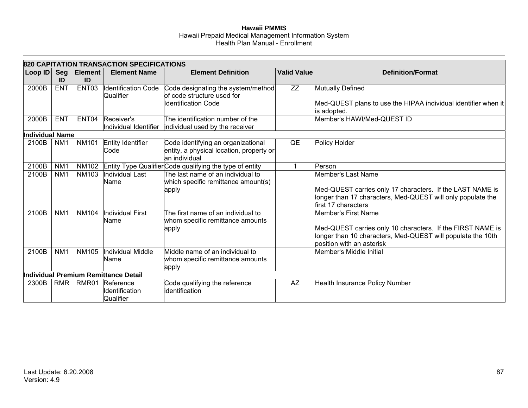|                        | 820 CAPITATION TRANSACTION SPECIFICATIONS |                      |                                                |                                                                                                 |                    |                                                                                                                                                                               |
|------------------------|-------------------------------------------|----------------------|------------------------------------------------|-------------------------------------------------------------------------------------------------|--------------------|-------------------------------------------------------------------------------------------------------------------------------------------------------------------------------|
| Loop ID                | Seg<br>ID                                 | <b>Element</b><br>ID | <b>Element Name</b>                            | <b>Element Definition</b>                                                                       | <b>Valid Value</b> | <b>Definition/Format</b>                                                                                                                                                      |
| 2000B                  | <b>ENT</b>                                | ENT03                | Identification Code<br>Qualifier               | Code designating the system/method<br>of code structure used for<br><b>Identification Code</b>  | ZZ                 | Mutually Defined<br>Med-QUEST plans to use the HIPAA individual identifier when it<br>is adopted.                                                                             |
| 2000B                  | <b>ENT</b>                                | ENT04                | Receiver's<br>Individual Identifier            | The identification number of the<br>individual used by the receiver                             |                    | Member's HAWI/Med-QUEST ID                                                                                                                                                    |
| <b>Individual Name</b> |                                           |                      |                                                |                                                                                                 |                    |                                                                                                                                                                               |
| 2100B                  | NM <sub>1</sub>                           | <b>NM101</b>         | Entity Identifier<br>Code                      | Code identifying an organizational<br>entity, a physical location, property or<br>an individual | QE                 | Policy Holder                                                                                                                                                                 |
| 2100B                  | NM <sub>1</sub>                           |                      |                                                | NM102 Entity Type Qualifier Code qualifying the type of entity                                  |                    | Person                                                                                                                                                                        |
| 2100B                  | NM <sub>1</sub>                           | <b>NM103</b>         | Individual Last<br>Name                        | The last name of an individual to<br>which specific remittance amount(s)<br>apply               |                    | Member's Last Name<br>Med-QUEST carries only 17 characters. If the LAST NAME is<br>longer than 17 characters, Med-QUEST will only populate the<br>first 17 characters         |
| 2100B                  | NM <sub>1</sub>                           | <b>NM104</b>         | Individual First<br>Name                       | The first name of an individual to<br>whom specific remittance amounts<br>apply                 |                    | Member's First Name<br>Med-QUEST carries only 10 characters. If the FIRST NAME is<br>longer than 10 characters, Med-QUEST will populate the 10th<br>position with an asterisk |
| 2100B                  | NM <sub>1</sub>                           | <b>NM105</b>         | Individual Middle<br>Name                      | Middle name of an individual to<br>whom specific remittance amounts<br>apply                    |                    | Member's Middle Initial                                                                                                                                                       |
|                        |                                           |                      | Individual Premium Remittance Detail           |                                                                                                 |                    |                                                                                                                                                                               |
| 2300B                  | <b>RMR</b>                                |                      | RMR01 Reference<br>Identification<br>Qualifier | Code qualifying the reference<br>lidentification                                                | <b>AZ</b>          | <b>Health Insurance Policy Number</b>                                                                                                                                         |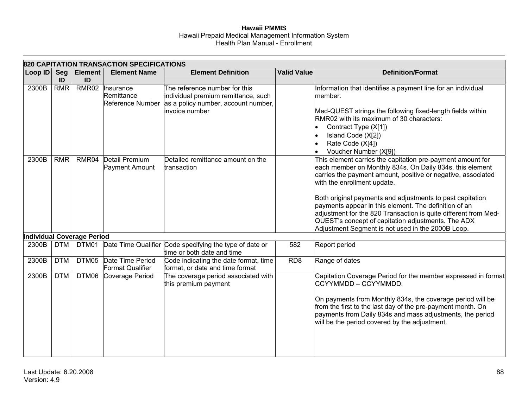|         | 820 CAPITATION TRANSACTION SPECIFICATIONS |                            |                                             |                                                                                                                               |                    |                                                                                                                                                                                                                                                                                                                                                                                                                                                                                                                           |  |
|---------|-------------------------------------------|----------------------------|---------------------------------------------|-------------------------------------------------------------------------------------------------------------------------------|--------------------|---------------------------------------------------------------------------------------------------------------------------------------------------------------------------------------------------------------------------------------------------------------------------------------------------------------------------------------------------------------------------------------------------------------------------------------------------------------------------------------------------------------------------|--|
| Loop ID | Seg<br>ID                                 | <b>Element</b><br>ID       | <b>Element Name</b>                         | <b>Element Definition</b>                                                                                                     | <b>Valid Value</b> | <b>Definition/Format</b>                                                                                                                                                                                                                                                                                                                                                                                                                                                                                                  |  |
| 2300B   | <b>RMR</b>                                | RMR02                      | Insurance<br>Remittance<br>Reference Number | The reference number for this<br>individual premium remittance, such<br>as a policy number, account number,<br>invoice number |                    | Information that identifies a payment line for an individual<br>member.<br>Med-QUEST strings the following fixed-length fields within<br>RMR02 with its maximum of 30 characters:<br>Contract Type (X[1])<br>Island Code (X[2])<br>Rate Code (X[4])<br>Voucher Number (X[9])                                                                                                                                                                                                                                              |  |
| 2300B   | <b>RMR</b>                                | RMR04                      | <b>Detail Premium</b><br>Payment Amount     | Detailed remittance amount on the<br>transaction                                                                              |                    | This element carries the capitation pre-payment amount for<br>each member on Monthly 834s. On Daily 834s, this element<br>carries the payment amount, positive or negative, associated<br>with the enrollment update.<br>Both original payments and adjustments to past capitation<br>payments appear in this element. The definition of an<br>adjustment for the 820 Transaction is quite different from Med-<br>QUEST's concept of capitation adjustments. The ADX<br>Adjustment Segment is not used in the 2000B Loop. |  |
|         |                                           | Individual Coverage Period |                                             |                                                                                                                               |                    |                                                                                                                                                                                                                                                                                                                                                                                                                                                                                                                           |  |
| 2300B   | <b>DTM</b>                                | DTM01                      |                                             | Date Time Qualifier Code specifying the type of date or<br>time or both date and time                                         | 582                | Report period                                                                                                                                                                                                                                                                                                                                                                                                                                                                                                             |  |
| 2300B   | <b>DTM</b>                                | DTM05                      | Date Time Period<br>Format Qualifier        | Code indicating the date format, time<br>format, or date and time format                                                      | RD <sub>8</sub>    | Range of dates                                                                                                                                                                                                                                                                                                                                                                                                                                                                                                            |  |
| 2300B   | <b>DTM</b>                                | DTM06                      | Coverage Period                             | The coverage period associated with<br>this premium payment                                                                   |                    | Capitation Coverage Period for the member expressed in format<br>CCYYMMDD - CCYYMMDD.<br>On payments from Monthly 834s, the coverage period will be<br>from the first to the last day of the pre-payment month. On<br>payments from Daily 834s and mass adjustments, the period<br>will be the period covered by the adjustment.                                                                                                                                                                                          |  |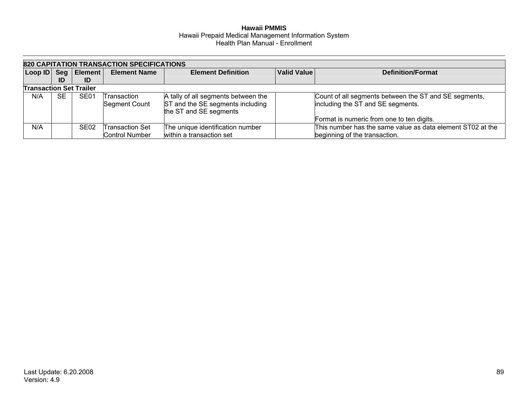|                                                                                                      | 820 CAPITATION TRANSACTION SPECIFICATIONS |                          |                                                 |                                                                                                   |  |                                                                                             |  |
|------------------------------------------------------------------------------------------------------|-------------------------------------------|--------------------------|-------------------------------------------------|---------------------------------------------------------------------------------------------------|--|---------------------------------------------------------------------------------------------|--|
| <b>Valid Value</b><br>Seg   Element  <br>Loop ID<br><b>Element Definition</b><br><b>Element Name</b> |                                           | <b>Definition/Format</b> |                                                 |                                                                                                   |  |                                                                                             |  |
|                                                                                                      | ID                                        | ID                       |                                                 |                                                                                                   |  |                                                                                             |  |
| <b>Transaction Set Trailer</b>                                                                       |                                           |                          |                                                 |                                                                                                   |  |                                                                                             |  |
| N/A                                                                                                  | <b>SE</b>                                 | SE <sub>01</sub>         | Transaction<br>Segment Count                    | A tally of all segments between the<br>ST and the SE segments including<br>the ST and SE segments |  | Count of all segments between the ST and SE segments,<br>including the ST and SE segments.  |  |
|                                                                                                      |                                           |                          |                                                 |                                                                                                   |  | Format is numeric from one to ten digits.                                                   |  |
| N/A                                                                                                  |                                           | SE <sub>02</sub>         | <b>Transaction Set</b><br><b>Control Number</b> | The unique identification number<br>within a transaction set                                      |  | This number has the same value as data element ST02 at the<br>beginning of the transaction. |  |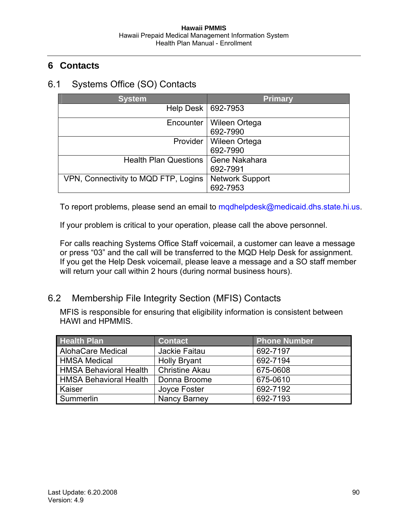# **6 Contacts**

# 6.1 Systems Office (SO) Contacts

| <b>System</b>                        | <b>Primary</b>                     |
|--------------------------------------|------------------------------------|
| Help Desk                            | 692-7953                           |
| Encounter                            | Wileen Ortega<br>692-7990          |
| Provider                             | Wileen Ortega<br>692-7990          |
| <b>Health Plan Questions</b>         | Gene Nakahara<br>692-7991          |
| VPN, Connectivity to MQD FTP, Logins | <b>Network Support</b><br>692-7953 |

To report problems, please send an email to [mqdhelpdesk@medicaid.dhs.state.hi.us](mailto:mqdhelpdesk@medicaid.dhs.state.hi.us).

If your problem is critical to your operation, please call the above personnel.

For calls reaching Systems Office Staff voicemail, a customer can leave a message or press "03" and the call will be transferred to the MQD Help Desk for assignment. If you get the Help Desk voicemail, please leave a message and a SO staff member will return your call within 2 hours (during normal business hours).

## 6.2 Membership File Integrity Section (MFIS) Contacts

MFIS is responsible for ensuring that eligibility information is consistent between HAWI and HPMMIS.

| <b>Health Plan</b>            | <b>Contact</b>        | <b>Phone Number</b> |
|-------------------------------|-----------------------|---------------------|
| <b>AlohaCare Medical</b>      | Jackie Faitau         | 692-7197            |
| <b>HMSA Medical</b>           | <b>Holly Bryant</b>   | 692-7194            |
| <b>HMSA Behavioral Health</b> | <b>Christine Akau</b> | 675-0608            |
| <b>HMSA Behavioral Health</b> | Donna Broome          | 675-0610            |
| Kaiser                        | Joyce Foster          | 692-7192            |
| Summerlin                     | Nancy Barney          | 692-7193            |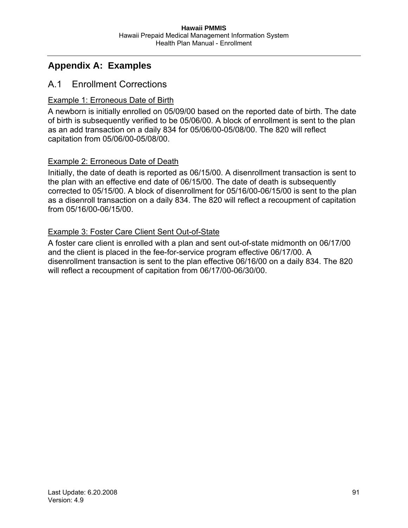# **Appendix A: Examples**

## A.1 Enrollment Corrections

## Example 1: Erroneous Date of Birth

A newborn is initially enrolled on 05/09/00 based on the reported date of birth. The date of birth is subsequently verified to be 05/06/00. A block of enrollment is sent to the plan as an add transaction on a daily 834 for 05/06/00-05/08/00. The 820 will reflect capitation from 05/06/00-05/08/00.

## **Example 2: Erroneous Date of Death**

Initially, the date of death is reported as 06/15/00. A disenrollment transaction is sent to the plan with an effective end date of 06/15/00. The date of death is subsequently corrected to 05/15/00. A block of disenrollment for 05/16/00-06/15/00 is sent to the plan as a disenroll transaction on a daily 834. The 820 will reflect a recoupment of capitation from 05/16/00-06/15/00.

### Example 3: Foster Care Client Sent Out-of-State

A foster care client is enrolled with a plan and sent out-of-state midmonth on 06/17/00 and the client is placed in the fee-for-service program effective 06/17/00. A disenrollment transaction is sent to the plan effective 06/16/00 on a daily 834. The 820 will reflect a recoupment of capitation from 06/17/00-06/30/00.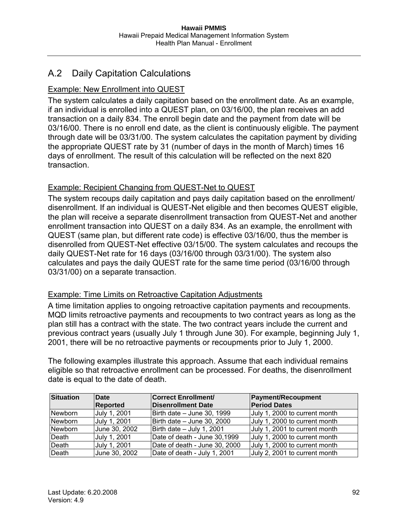# A.2 Daily Capitation Calculations

## Example: New Enrollment into QUEST

The system calculates a daily capitation based on the enrollment date. As an example, if an individual is enrolled into a QUEST plan, on 03/16/00, the plan receives an add transaction on a daily 834. The enroll begin date and the payment from date will be 03/16/00. There is no enroll end date, as the client is continuously eligible. The payment through date will be 03/31/00. The system calculates the capitation payment by dividing the appropriate QUEST rate by 31 (number of days in the month of March) times 16 days of enrollment. The result of this calculation will be reflected on the next 820 transaction.

## Example: Recipient Changing from QUEST-Net to QUEST

The system recoups daily capitation and pays daily capitation based on the enrollment/ disenrollment. If an individual is QUEST-Net eligible and then becomes QUEST eligible, the plan will receive a separate disenrollment transaction from QUEST-Net and another enrollment transaction into QUEST on a daily 834. As an example, the enrollment with QUEST (same plan, but different rate code) is effective 03/16/00, thus the member is disenrolled from QUEST-Net effective 03/15/00. The system calculates and recoups the daily QUEST-Net rate for 16 days (03/16/00 through 03/31/00). The system also calculates and pays the daily QUEST rate for the same time period (03/16/00 through 03/31/00) on a separate transaction.

## Example: Time Limits on Retroactive Capitation Adjustments

A time limitation applies to ongoing retroactive capitation payments and recoupments. MQD limits retroactive payments and recoupments to two contract years as long as the plan still has a contract with the state. The two contract years include the current and previous contract years (usually July 1 through June 30). For example, beginning July 1, 2001, there will be no retroactive payments or recoupments prior to July 1, 2000.

The following examples illustrate this approach. Assume that each individual remains eligible so that retroactive enrollment can be processed. For deaths, the disenrollment date is equal to the date of death.

| <b>Situation</b> | Date            | <b>Correct Enrollment/</b>    | <b>Payment/Recoupment</b>     |
|------------------|-----------------|-------------------------------|-------------------------------|
|                  | <b>Reported</b> | <b>Disenrollment Date</b>     | <b>Period Dates</b>           |
| Newborn          | July 1, 2001    | Birth date - June 30, 1999    | July 1, 2000 to current month |
| Newborn          | July 1, 2001    | Birth date - June 30, 2000    | July 1, 2000 to current month |
| Newborn          | June 30, 2002   | Birth date $-$ July 1, 2001   | July 1, 2001 to current month |
| Death            | July 1, 2001    | Date of death - June 30,1999  | July 1, 2000 to current month |
| Death            | July 1, 2001    | Date of death - June 30, 2000 | July 1, 2000 to current month |
| Death            | June 30, 2002   | Date of death - July 1, 2001  | July 2, 2001 to current month |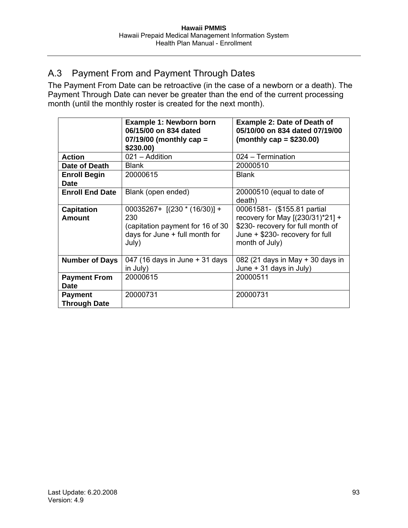# A.3 Payment From and Payment Through Dates

The Payment From Date can be retroactive (in the case of a newborn or a death). The Payment Through Date can never be greater than the end of the current processing month (until the monthly roster is created for the next month).

|                                       | <b>Example 1: Newborn born</b><br>06/15/00 on 834 dated<br>$07/19/00$ (monthly cap =<br>\$230.00                     | <b>Example 2: Date of Death of</b><br>05/10/00 on 834 dated 07/19/00<br>(monthly $cap = $230.00$ )                                                        |
|---------------------------------------|----------------------------------------------------------------------------------------------------------------------|-----------------------------------------------------------------------------------------------------------------------------------------------------------|
| <b>Action</b>                         | 021 - Addition                                                                                                       | 024 - Termination                                                                                                                                         |
| Date of Death                         | <b>Blank</b>                                                                                                         | 20000510                                                                                                                                                  |
| <b>Enroll Begin</b><br><b>Date</b>    | 20000615                                                                                                             | <b>Blank</b>                                                                                                                                              |
| <b>Enroll End Date</b>                | Blank (open ended)                                                                                                   | 20000510 (equal to date of<br>death)                                                                                                                      |
| <b>Capitation</b><br><b>Amount</b>    | $00035267+$ [(230 * (16/30)] +<br>230<br>(capitation payment for 16 of 30<br>days for June + full month for<br>July) | 00061581- (\$155.81 partial<br>recovery for May [(230/31)*21] +<br>\$230- recovery for full month of<br>June + \$230- recovery for full<br>month of July) |
| <b>Number of Days</b>                 | 047 (16 days in June + 31 days<br>in July)                                                                           | 082 (21 days in May $+$ 30 days in<br>June + 31 days in July)                                                                                             |
| <b>Payment From</b><br><b>Date</b>    | 20000615                                                                                                             | 20000511                                                                                                                                                  |
| <b>Payment</b><br><b>Through Date</b> | 20000731                                                                                                             | 20000731                                                                                                                                                  |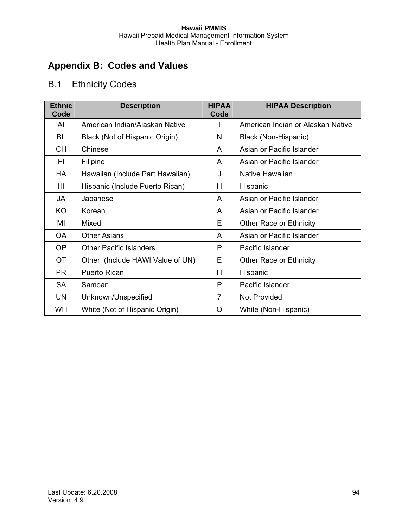# **Appendix B: Codes and Values**

# B.1 Ethnicity Codes

| <b>Ethnic</b><br>Code | <b>Description</b>               | <b>HIPAA</b><br>Code | <b>HIPAA Description</b>          |
|-----------------------|----------------------------------|----------------------|-----------------------------------|
| AI                    | American Indian/Alaskan Native   |                      | American Indian or Alaskan Native |
| BL                    | Black (Not of Hispanic Origin)   | N                    | Black (Non-Hispanic)              |
| <b>CH</b>             | Chinese                          | A                    | Asian or Pacific Islander         |
| FI                    | Filipino                         | A                    | Asian or Pacific Islander         |
| <b>HA</b>             | Hawaiian (Include Part Hawaiian) | J                    | Native Hawaiian                   |
| HI                    | Hispanic (Include Puerto Rican)  | H                    | Hispanic                          |
| JA                    | Japanese                         | A                    | Asian or Pacific Islander         |
| KO                    | Korean                           | A                    | Asian or Pacific Islander         |
| MI                    | Mixed                            | Е                    | Other Race or Ethnicity           |
| OA                    | <b>Other Asians</b>              | A                    | Asian or Pacific Islander         |
| OP                    | <b>Other Pacific Islanders</b>   | P                    | Pacific Islander                  |
| <b>OT</b>             | Other (Include HAWI Value of UN) | Е                    | <b>Other Race or Ethnicity</b>    |
| <b>PR</b>             | <b>Puerto Rican</b>              | H                    | Hispanic                          |
| <b>SA</b>             | Samoan                           | P                    | Pacific Islander                  |
| <b>UN</b>             | Unknown/Unspecified              | $\overline{7}$       | <b>Not Provided</b>               |
| <b>WH</b>             | White (Not of Hispanic Origin)   | $\Omega$             | White (Non-Hispanic)              |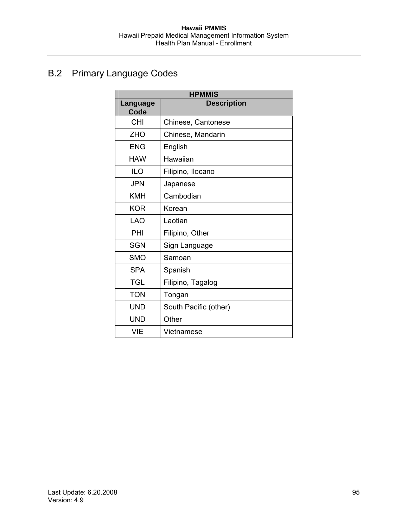# B.2 Primary Language Codes

| <b>HPMMIS</b>           |                       |  |  |  |
|-------------------------|-----------------------|--|--|--|
| <b>Language</b><br>Code | <b>Description</b>    |  |  |  |
| <b>CHI</b>              | Chinese, Cantonese    |  |  |  |
| <b>ZHO</b>              | Chinese, Mandarin     |  |  |  |
| <b>ENG</b>              | English               |  |  |  |
| <b>HAW</b>              | Hawaiian              |  |  |  |
| <b>ILO</b>              | Filipino, Ilocano     |  |  |  |
| <b>JPN</b>              | Japanese              |  |  |  |
| <b>KMH</b>              | Cambodian             |  |  |  |
| <b>KOR</b>              | Korean                |  |  |  |
| <b>LAO</b>              | Laotian               |  |  |  |
| PHI                     | Filipino, Other       |  |  |  |
| <b>SGN</b>              | Sign Language         |  |  |  |
| <b>SMO</b>              | Samoan                |  |  |  |
| <b>SPA</b>              | Spanish               |  |  |  |
| TGL                     | Filipino, Tagalog     |  |  |  |
| <b>TON</b>              | Tongan                |  |  |  |
| <b>UND</b>              | South Pacific (other) |  |  |  |
| <b>UND</b>              | Other                 |  |  |  |
| <b>VIE</b>              | Vietnamese            |  |  |  |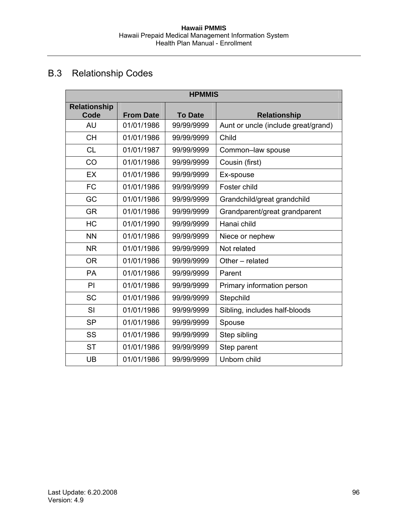# B.3 Relationship Codes

| <b>HPMMIS</b>               |                  |                |                                     |  |  |  |
|-----------------------------|------------------|----------------|-------------------------------------|--|--|--|
| <b>Relationship</b><br>Code | <b>From Date</b> | <b>To Date</b> | <b>Relationship</b>                 |  |  |  |
| <b>AU</b>                   | 01/01/1986       | 99/99/9999     | Aunt or uncle (include great/grand) |  |  |  |
| <b>CH</b>                   | 01/01/1986       | 99/99/9999     | Child                               |  |  |  |
| <b>CL</b>                   | 01/01/1987       | 99/99/9999     | Common-law spouse                   |  |  |  |
| CO                          | 01/01/1986       | 99/99/9999     | Cousin (first)                      |  |  |  |
| <b>EX</b>                   | 01/01/1986       | 99/99/9999     | Ex-spouse                           |  |  |  |
| <b>FC</b>                   | 01/01/1986       | 99/99/9999     | Foster child                        |  |  |  |
| GC                          | 01/01/1986       | 99/99/9999     | Grandchild/great grandchild         |  |  |  |
| <b>GR</b>                   | 01/01/1986       | 99/99/9999     | Grandparent/great grandparent       |  |  |  |
| <b>HC</b>                   | 01/01/1990       | 99/99/9999     | Hanai child                         |  |  |  |
| <b>NN</b>                   | 01/01/1986       | 99/99/9999     | Niece or nephew                     |  |  |  |
| <b>NR</b>                   | 01/01/1986       | 99/99/9999     | Not related                         |  |  |  |
| <b>OR</b>                   | 01/01/1986       | 99/99/9999     | Other - related                     |  |  |  |
| PA                          | 01/01/1986       | 99/99/9999     | Parent                              |  |  |  |
| PI                          | 01/01/1986       | 99/99/9999     | Primary information person          |  |  |  |
| <b>SC</b>                   | 01/01/1986       | 99/99/9999     | Stepchild                           |  |  |  |
| SI                          | 01/01/1986       | 99/99/9999     | Sibling, includes half-bloods       |  |  |  |
| <b>SP</b>                   | 01/01/1986       | 99/99/9999     | Spouse                              |  |  |  |
| SS                          | 01/01/1986       | 99/99/9999     | Step sibling                        |  |  |  |
| <b>ST</b>                   | 01/01/1986       | 99/99/9999     | Step parent                         |  |  |  |
| UB                          | 01/01/1986       | 99/99/9999     | Unborn child                        |  |  |  |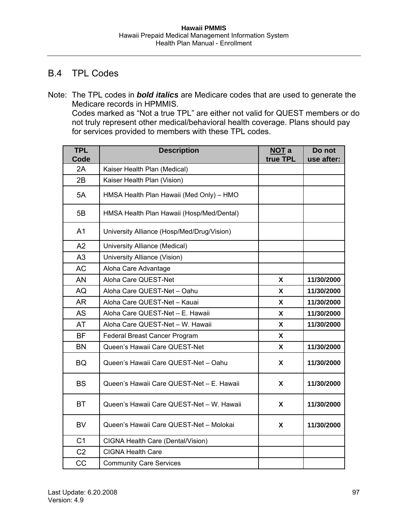## B.4 TPL Codes

Note: The TPL codes in *bold italics* are Medicare codes that are used to generate the Medicare records in HPMMIS. Codes marked as "Not a true TPL" are either not valid for QUEST members or do not truly represent other medical/behavioral health coverage. Plans should pay for services provided to members with these TPL codes.

| <b>TPL</b><br>Code | <b>Description</b>                         | <b>NOT a</b><br>true TPL | Do not<br>use after: |
|--------------------|--------------------------------------------|--------------------------|----------------------|
| 2A                 | Kaiser Health Plan (Medical)               |                          |                      |
| 2B                 | Kaiser Health Plan (Vision)                |                          |                      |
| 5A                 | HMSA Health Plan Hawaii (Med Only) - HMO   |                          |                      |
| 5B                 | HMSA Health Plan Hawaii (Hosp/Med/Dental)  |                          |                      |
| A <sub>1</sub>     | University Alliance (Hosp/Med/Drug/Vision) |                          |                      |
| A2                 | University Alliance (Medical)              |                          |                      |
| A3                 | University Alliance (Vision)               |                          |                      |
| <b>AC</b>          | Aloha Care Advantage                       |                          |                      |
| <b>AN</b>          | Aloha Care QUEST-Net                       | X                        | 11/30/2000           |
| AQ                 | Aloha Care QUEST-Net - Oahu                | X                        | 11/30/2000           |
| <b>AR</b>          | Aloha Care QUEST-Net - Kauai               | X                        | 11/30/2000           |
| <b>AS</b>          | Aloha Care QUEST-Net - E. Hawaii           | X                        | 11/30/2000           |
| <b>AT</b>          | Aloha Care QUEST-Net - W. Hawaii           | X                        | 11/30/2000           |
| <b>BF</b>          | Federal Breast Cancer Program              | X                        |                      |
| <b>BN</b>          | Queen's Hawaii Care QUEST-Net              | X                        | 11/30/2000           |
| <b>BQ</b>          | Queen's Hawaii Care QUEST-Net - Oahu       | X                        | 11/30/2000           |
| <b>BS</b>          | Queen's Hawaii Care QUEST-Net - E. Hawaii  | X                        | 11/30/2000           |
| <b>BT</b>          | Queen's Hawaii Care QUEST-Net - W. Hawaii  | X                        | 11/30/2000           |
| <b>BV</b>          | Queen's Hawaii Care QUEST-Net - Molokai    | X                        | 11/30/2000           |
| C <sub>1</sub>     | CIGNA Health Care (Dental/Vision)          |                          |                      |
| C <sub>2</sub>     | <b>CIGNA Health Care</b>                   |                          |                      |
| CC                 | <b>Community Care Services</b>             |                          |                      |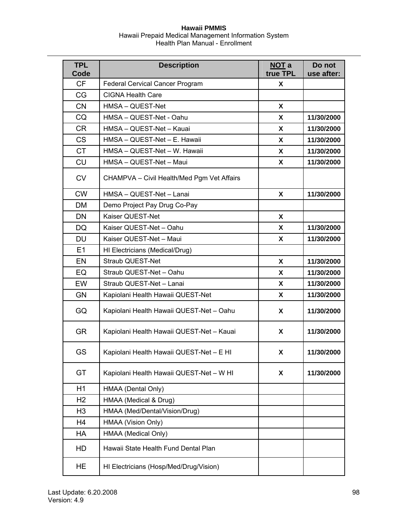| <b>TPL</b><br>Code | <b>Description</b>                         | NOT a<br>true TPL | Do not<br>use after: |
|--------------------|--------------------------------------------|-------------------|----------------------|
| <b>CF</b>          | Federal Cervical Cancer Program            | X                 |                      |
| CG                 | <b>CIGNA Health Care</b>                   |                   |                      |
| <b>CN</b>          | HMSA - QUEST-Net                           | X                 |                      |
| CQ                 | HMSA - QUEST-Net - Oahu                    | X                 | 11/30/2000           |
| <b>CR</b>          | HMSA - QUEST-Net - Kauai                   | X                 | 11/30/2000           |
| <b>CS</b>          | HMSA - QUEST-Net - E. Hawaii               | X                 | 11/30/2000           |
| <b>CT</b>          | HMSA - QUEST-Net - W. Hawaii               | X                 | 11/30/2000           |
| <b>CU</b>          | HMSA - QUEST-Net - Maui                    | X                 | 11/30/2000           |
| <b>CV</b>          | CHAMPVA - Civil Health/Med Pgm Vet Affairs |                   |                      |
| <b>CW</b>          | HMSA - QUEST-Net - Lanai                   | X                 | 11/30/2000           |
| <b>DM</b>          | Demo Project Pay Drug Co-Pay               |                   |                      |
| <b>DN</b>          | Kaiser QUEST-Net                           | X                 |                      |
| DQ                 | Kaiser QUEST-Net - Oahu                    | X                 | 11/30/2000           |
| <b>DU</b>          | Kaiser QUEST-Net - Maui                    | X                 | 11/30/2000           |
| E1                 | HI Electricians (Medical/Drug)             |                   |                      |
| EN                 | Straub QUEST-Net                           | X                 | 11/30/2000           |
| EQ                 | Straub QUEST-Net - Oahu                    | X                 | 11/30/2000           |
| EW                 | Straub QUEST-Net - Lanai                   | X                 | 11/30/2000           |
| <b>GN</b>          | Kapiolani Health Hawaii QUEST-Net          | X                 | 11/30/2000           |
| GQ                 | Kapiolani Health Hawaii QUEST-Net - Oahu   | X                 | 11/30/2000           |
| <b>GR</b>          | Kapiolani Health Hawaii QUEST-Net - Kauai  | X                 | 11/30/2000           |
| <b>GS</b>          | Kapiolani Health Hawaii QUEST-Net - E HI   | X                 | 11/30/2000           |
| GT                 | Kapiolani Health Hawaii QUEST-Net - W HI   | X                 | 11/30/2000           |
| H1                 | HMAA (Dental Only)                         |                   |                      |
| H <sub>2</sub>     | HMAA (Medical & Drug)                      |                   |                      |
| H <sub>3</sub>     | HMAA (Med/Dental/Vision/Drug)              |                   |                      |
| H4                 | HMAA (Vision Only)                         |                   |                      |
| HA                 | HMAA (Medical Only)                        |                   |                      |
| HD                 | Hawaii State Health Fund Dental Plan       |                   |                      |
| HE                 | HI Electricians (Hosp/Med/Drug/Vision)     |                   |                      |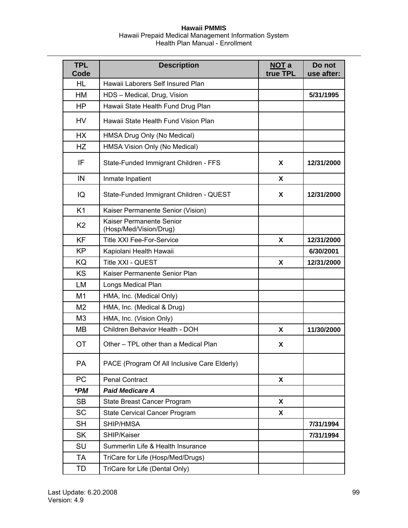| <b>TPL</b><br>Code | <b>Description</b>                                 | NOT a<br>true TPL | Do not<br>use after: |
|--------------------|----------------------------------------------------|-------------------|----------------------|
| <b>HL</b>          | Hawaii Laborers Self Insured Plan                  |                   |                      |
| HM                 | HDS - Medical, Drug, Vision                        |                   | 5/31/1995            |
| <b>HP</b>          | Hawaii State Health Fund Drug Plan                 |                   |                      |
| HV                 | Hawaii State Health Fund Vision Plan               |                   |                      |
| <b>HX</b>          | HMSA Drug Only (No Medical)                        |                   |                      |
| <b>HZ</b>          | HMSA Vision Only (No Medical)                      |                   |                      |
| IF                 | State-Funded Immigrant Children - FFS              | X                 | 12/31/2000           |
| IN                 | Inmate Inpatient                                   | X                 |                      |
| IQ                 | State-Funded Immigrant Children - QUEST            | X                 | 12/31/2000           |
| K <sub>1</sub>     | Kaiser Permanente Senior (Vision)                  |                   |                      |
| K <sub>2</sub>     | Kaiser Permanente Senior<br>(Hosp/Med/Vision/Drug) |                   |                      |
| <b>KF</b>          | <b>Title XXI Fee-For-Service</b>                   | X                 | 12/31/2000           |
| <b>KP</b>          | Kapiolani Health Hawaii                            |                   | 6/30/2001            |
| KQ                 | Title XXI - QUEST                                  | X                 | 12/31/2000           |
| <b>KS</b>          | Kaiser Permanente Senior Plan                      |                   |                      |
| LM                 | Longs Medical Plan                                 |                   |                      |
| M <sub>1</sub>     | HMA, Inc. (Medical Only)                           |                   |                      |
| M <sub>2</sub>     | HMA, Inc. (Medical & Drug)                         |                   |                      |
| M <sub>3</sub>     | HMA, Inc. (Vision Only)                            |                   |                      |
| <b>MB</b>          | Children Behavior Health - DOH                     | X                 | 11/30/2000           |
| <b>OT</b>          | Other - TPL other than a Medical Plan              | X                 |                      |
| PA                 | PACE (Program Of All Inclusive Care Elderly)       |                   |                      |
| <b>PC</b>          | <b>Penal Contract</b>                              | X                 |                      |
| *PM                | <b>Paid Medicare A</b>                             |                   |                      |
| <b>SB</b>          | State Breast Cancer Program                        | X                 |                      |
| <b>SC</b>          | <b>State Cervical Cancer Program</b>               | X                 |                      |
| <b>SH</b>          | SHIP/HMSA                                          |                   | 7/31/1994            |
| <b>SK</b>          | SHIP/Kaiser                                        |                   | 7/31/1994            |
| SU                 | Summerlin Life & Health Insurance                  |                   |                      |
| <b>TA</b>          | TriCare for Life (Hosp/Med/Drugs)                  |                   |                      |
| TD                 | TriCare for Life (Dental Only)                     |                   |                      |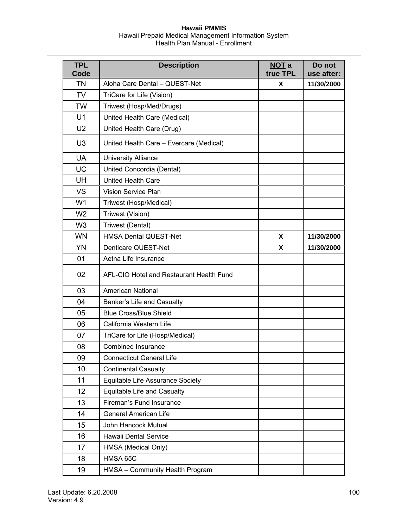| <b>TPL</b><br>Code | <b>Description</b>                       | <b>NOT a</b><br>true TPL | Do not<br>use after: |
|--------------------|------------------------------------------|--------------------------|----------------------|
| <b>TN</b>          | Aloha Care Dental - QUEST-Net            | Χ                        | 11/30/2000           |
| <b>TV</b>          | TriCare for Life (Vision)                |                          |                      |
| <b>TW</b>          | Triwest (Hosp/Med/Drugs)                 |                          |                      |
| U <sub>1</sub>     | United Health Care (Medical)             |                          |                      |
| U <sub>2</sub>     | United Health Care (Drug)                |                          |                      |
| U <sub>3</sub>     | United Health Care - Evercare (Medical)  |                          |                      |
| <b>UA</b>          | <b>University Alliance</b>               |                          |                      |
| <b>UC</b>          | United Concordia (Dental)                |                          |                      |
| UH                 | <b>United Health Care</b>                |                          |                      |
| <b>VS</b>          | <b>Vision Service Plan</b>               |                          |                      |
| W <sub>1</sub>     | Triwest (Hosp/Medical)                   |                          |                      |
| W <sub>2</sub>     | Triwest (Vision)                         |                          |                      |
| W <sub>3</sub>     | Triwest (Dental)                         |                          |                      |
| <b>WN</b>          | <b>HMSA Dental QUEST-Net</b>             | X                        | 11/30/2000           |
| <b>YN</b>          | Denticare QUEST-Net                      | X                        | 11/30/2000           |
| 01                 | Aetna Life Insurance                     |                          |                      |
| 02                 | AFL-CIO Hotel and Restaurant Health Fund |                          |                      |
| 03                 | <b>American National</b>                 |                          |                      |
| 04                 | Banker's Life and Casualty               |                          |                      |
| 05                 | <b>Blue Cross/Blue Shield</b>            |                          |                      |
| 06                 | California Western Life                  |                          |                      |
| 07                 | TriCare for Life (Hosp/Medical)          |                          |                      |
| 08                 | <b>Combined Insurance</b>                |                          |                      |
| 09                 | <b>Connecticut General Life</b>          |                          |                      |
| 10                 | <b>Continental Casualty</b>              |                          |                      |
| 11                 | Equitable Life Assurance Society         |                          |                      |
| 12                 | Equitable Life and Casualty              |                          |                      |
| 13                 | Fireman's Fund Insurance                 |                          |                      |
| 14                 | <b>General American Life</b>             |                          |                      |
| 15                 | John Hancock Mutual                      |                          |                      |
| 16                 | Hawaii Dental Service                    |                          |                      |
| 17                 | HMSA (Medical Only)                      |                          |                      |
| 18                 | HMSA 65C                                 |                          |                      |
| 19                 | HMSA - Community Health Program          |                          |                      |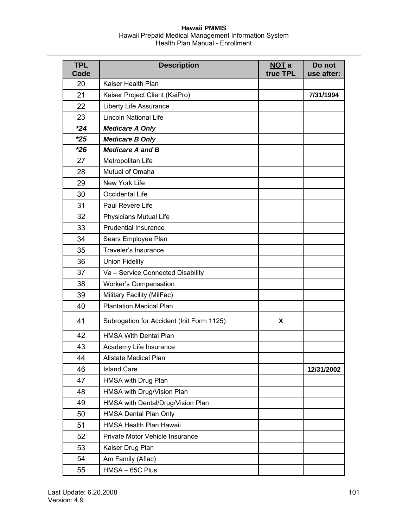| <b>TPL</b><br>Code | <b>Description</b>                        | NOT a<br>true TPL | Do not<br>use after: |
|--------------------|-------------------------------------------|-------------------|----------------------|
| 20                 | Kaiser Health Plan                        |                   |                      |
| 21                 | Kaiser Project Client (KaiPro)            |                   | 7/31/1994            |
| 22                 | Liberty Life Assurance                    |                   |                      |
| 23                 | <b>Lincoln National Life</b>              |                   |                      |
| $*24$              | <b>Medicare A Only</b>                    |                   |                      |
| $*25$              | <b>Medicare B Only</b>                    |                   |                      |
| $*26$              | <b>Medicare A and B</b>                   |                   |                      |
| 27                 | Metropolitan Life                         |                   |                      |
| 28                 | Mutual of Omaha                           |                   |                      |
| 29                 | New York Life                             |                   |                      |
| 30                 | Occidental Life                           |                   |                      |
| 31                 | Paul Revere Life                          |                   |                      |
| 32                 | Physicians Mutual Life                    |                   |                      |
| 33                 | <b>Prudential Insurance</b>               |                   |                      |
| 34                 | Sears Employee Plan                       |                   |                      |
| 35                 | Traveler's Insurance                      |                   |                      |
| 36                 | <b>Union Fidelity</b>                     |                   |                      |
| 37                 | Va - Service Connected Disability         |                   |                      |
| 38                 | Worker's Compensation                     |                   |                      |
| 39                 | Military Facility (MilFac)                |                   |                      |
| 40                 | <b>Plantation Medical Plan</b>            |                   |                      |
| 41                 | Subrogation for Accident (Init Form 1125) | X                 |                      |
| 42                 | <b>HMSA With Dental Plan</b>              |                   |                      |
| 43                 | Academy Life Insurance                    |                   |                      |
| 44                 | Allstate Medical Plan                     |                   |                      |
| 46                 | <b>Island Care</b>                        |                   | 12/31/2002           |
| 47                 | HMSA with Drug Plan                       |                   |                      |
| 48                 | HMSA with Drug/Vision Plan                |                   |                      |
| 49                 | HMSA with Dental/Drug/Vision Plan         |                   |                      |
| 50                 | HMSA Dental Plan Only                     |                   |                      |
| 51                 | HMSA Health Plan Hawaii                   |                   |                      |
| 52                 | Private Motor Vehicle Insurance           |                   |                      |
| 53                 | Kaiser Drug Plan                          |                   |                      |
| 54                 | Am Family (Aflac)                         |                   |                      |
| 55                 | HMSA-65C Plus                             |                   |                      |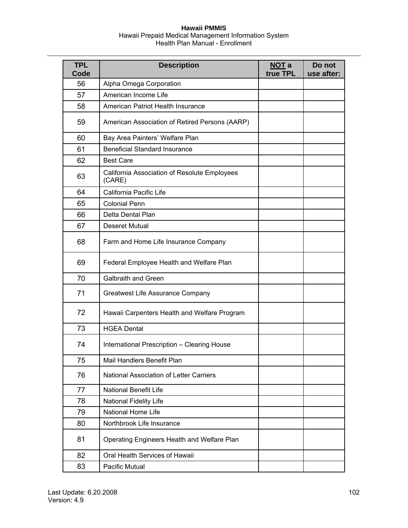| <b>TPL</b><br>Code | <b>Description</b>                                     | NOT a<br>true TPL | Do not<br>use after: |
|--------------------|--------------------------------------------------------|-------------------|----------------------|
| 56                 | Alpha Omega Corporation                                |                   |                      |
| 57                 | American Income Life                                   |                   |                      |
| 58                 | American Patriot Health Insurance                      |                   |                      |
| 59                 | American Association of Retired Persons (AARP)         |                   |                      |
| 60                 | Bay Area Painters' Welfare Plan                        |                   |                      |
| 61                 | <b>Beneficial Standard Insurance</b>                   |                   |                      |
| 62                 | <b>Best Care</b>                                       |                   |                      |
| 63                 | California Association of Resolute Employees<br>(CARE) |                   |                      |
| 64                 | California Pacific Life                                |                   |                      |
| 65                 | <b>Colonial Penn</b>                                   |                   |                      |
| 66                 | Delta Dental Plan                                      |                   |                      |
| 67                 | <b>Deseret Mutual</b>                                  |                   |                      |
| 68                 | Farm and Home Life Insurance Company                   |                   |                      |
| 69                 | Federal Employee Health and Welfare Plan               |                   |                      |
| 70                 | <b>Galbraith and Green</b>                             |                   |                      |
| 71                 | Greatwest Life Assurance Company                       |                   |                      |
| 72                 | Hawaii Carpenters Health and Welfare Program           |                   |                      |
| 73                 | <b>HGEA Dental</b>                                     |                   |                      |
| 74                 | International Prescription - Clearing House            |                   |                      |
| 75                 | Mail Handlers Benefit Plan                             |                   |                      |
| 76                 | National Association of Letter Carriers                |                   |                      |
| 77                 | <b>National Benefit Life</b>                           |                   |                      |
| 78                 | <b>National Fidelity Life</b>                          |                   |                      |
| 79                 | National Home Life                                     |                   |                      |
| 80                 | Northbrook Life Insurance                              |                   |                      |
| 81                 | Operating Engineers Health and Welfare Plan            |                   |                      |
| 82                 | Oral Health Services of Hawaii                         |                   |                      |
| 83                 | Pacific Mutual                                         |                   |                      |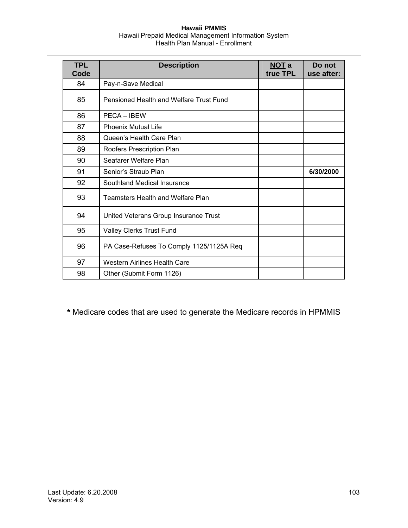| <b>TPL</b><br>Code | <b>Description</b>                       | NOT a<br>true TPL | Do not<br>use after: |
|--------------------|------------------------------------------|-------------------|----------------------|
| 84                 | Pay-n-Save Medical                       |                   |                      |
| 85                 | Pensioned Health and Welfare Trust Fund  |                   |                      |
| 86                 | PECA - IBEW                              |                   |                      |
| 87                 | <b>Phoenix Mutual Life</b>               |                   |                      |
| 88                 | Queen's Health Care Plan                 |                   |                      |
| 89                 | Roofers Prescription Plan                |                   |                      |
| 90                 | Seafarer Welfare Plan                    |                   |                      |
| 91                 | Senior's Straub Plan                     |                   | 6/30/2000            |
| 92                 | Southland Medical Insurance              |                   |                      |
| 93                 | <b>Teamsters Health and Welfare Plan</b> |                   |                      |
| 94                 | United Veterans Group Insurance Trust    |                   |                      |
| 95                 | Valley Clerks Trust Fund                 |                   |                      |
| 96                 | PA Case-Refuses To Comply 1125/1125A Req |                   |                      |
| 97                 | <b>Western Airlines Health Care</b>      |                   |                      |
| 98                 | Other (Submit Form 1126)                 |                   |                      |

**\*** Medicare codes that are used to generate the Medicare records in HPMMIS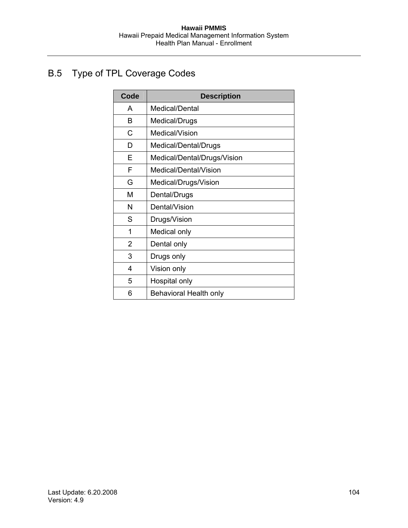# B.5 Type of TPL Coverage Codes

| Code           | <b>Description</b>          |
|----------------|-----------------------------|
| A              | Medical/Dental              |
| в              | Medical/Drugs               |
| C              | Medical/Vision              |
| D              | Medical/Dental/Drugs        |
| E              | Medical/Dental/Drugs/Vision |
| F              | Medical/Dental/Vision       |
| G              | Medical/Drugs/Vision        |
| М              | Dental/Drugs                |
| N              | Dental/Vision               |
| S              | Drugs/Vision                |
| 1              | Medical only                |
| $\overline{2}$ | Dental only                 |
| 3              | Drugs only                  |
| 4              | Vision only                 |
| 5              | Hospital only               |
| 6              | Behavioral Health only      |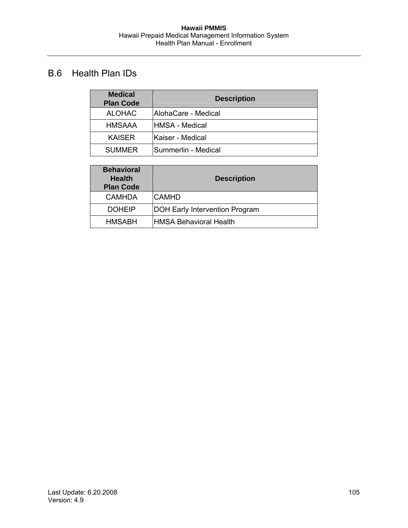# B.6 Health Plan IDs

| <b>Medical</b><br><b>Plan Code</b> | <b>Description</b>  |
|------------------------------------|---------------------|
| <b>ALOHAC</b>                      | AlohaCare - Medical |
| <b>HMSAAA</b>                      | IHMSA - Medical     |
| <b>KAISER</b>                      | Kaiser - Medical    |
| <b>SUMMER</b>                      | Summerlin - Medical |

| <b>Behavioral</b><br><b>Health</b><br><b>Plan Code</b> | <b>Description</b>                    |
|--------------------------------------------------------|---------------------------------------|
| <b>CAMHDA</b>                                          | <b>CAMHD</b>                          |
| <b>DOHEIP</b>                                          | <b>DOH Early Intervention Program</b> |
| <b>HMSABH</b>                                          | HMSA Behavioral Health                |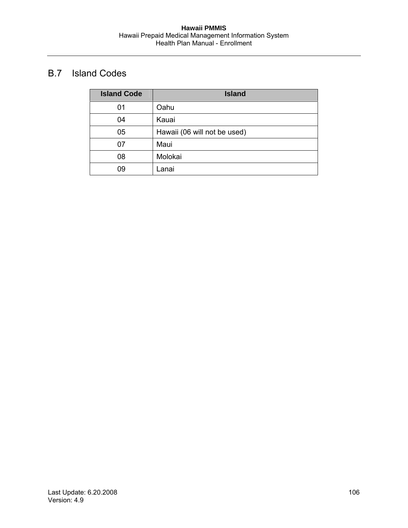# B.7 Island Codes

| <b>Island Code</b> | <b>Island</b>                |
|--------------------|------------------------------|
| 01                 | Oahu                         |
| 04                 | Kauai                        |
| 05                 | Hawaii (06 will not be used) |
| 07                 | Maui                         |
| 08                 | Molokai                      |
| 09                 | Lanai                        |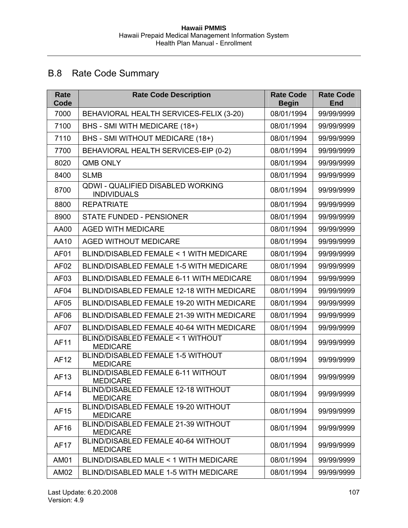# B.8 Rate Code Summary

| Rate<br>Code     | <b>Rate Code Description</b>                            | <b>Rate Code</b><br><b>Begin</b> | <b>Rate Code</b><br><b>End</b> |
|------------------|---------------------------------------------------------|----------------------------------|--------------------------------|
| 7000             | BEHAVIORAL HEALTH SERVICES-FELIX (3-20)                 | 08/01/1994                       | 99/99/9999                     |
| 7100             | BHS - SMI WITH MEDICARE (18+)                           | 08/01/1994                       | 99/99/9999                     |
| 7110             | BHS - SMI WITHOUT MEDICARE (18+)                        | 08/01/1994                       | 99/99/9999                     |
| 7700             | BEHAVIORAL HEALTH SERVICES-EIP (0-2)                    | 08/01/1994                       | 99/99/9999                     |
| 8020             | <b>OMB ONLY</b>                                         | 08/01/1994                       | 99/99/9999                     |
| 8400             | <b>SLMB</b>                                             | 08/01/1994                       | 99/99/9999                     |
| 8700             | QDWI - QUALIFIED DISABLED WORKING<br><b>INDIVIDUALS</b> | 08/01/1994                       | 99/99/9999                     |
| 8800             | <b>REPATRIATE</b>                                       | 08/01/1994                       | 99/99/9999                     |
| 8900             | <b>STATE FUNDED - PENSIONER</b>                         | 08/01/1994                       | 99/99/9999                     |
| AA00             | <b>AGED WITH MEDICARE</b>                               | 08/01/1994                       | 99/99/9999                     |
| AA10             | <b>AGED WITHOUT MEDICARE</b>                            | 08/01/1994                       | 99/99/9999                     |
| AF01             | BLIND/DISABLED FEMALE < 1 WITH MEDICARE                 | 08/01/1994                       | 99/99/9999                     |
| AF <sub>02</sub> | BLIND/DISABLED FEMALE 1-5 WITH MEDICARE                 | 08/01/1994                       | 99/99/9999                     |
| AF <sub>03</sub> | BLIND/DISABLED FEMALE 6-11 WITH MEDICARE                | 08/01/1994                       | 99/99/9999                     |
| AF04             | BLIND/DISABLED FEMALE 12-18 WITH MEDICARE               | 08/01/1994                       | 99/99/9999                     |
| <b>AF05</b>      | BLIND/DISABLED FEMALE 19-20 WITH MEDICARE               | 08/01/1994                       | 99/99/9999                     |
| AF <sub>06</sub> | BLIND/DISABLED FEMALE 21-39 WITH MEDICARE               | 08/01/1994                       | 99/99/9999                     |
| AF <sub>07</sub> | BLIND/DISABLED FEMALE 40-64 WITH MEDICARE               | 08/01/1994                       | 99/99/9999                     |
| <b>AF11</b>      | BLIND/DISABLED FEMALE < 1 WITHOUT<br><b>MEDICARE</b>    | 08/01/1994                       | 99/99/9999                     |
| <b>AF12</b>      | BLIND/DISABLED FEMALE 1-5 WITHOUT<br><b>MEDICARE</b>    | 08/01/1994                       | 99/99/9999                     |
| AF13             | BLIND/DISABLED FEMALE 6-11 WITHOUT<br><b>MEDICARE</b>   | 08/01/1994                       | 99/99/9999                     |
| AF14             | BLIND/DISABLED FEMALE 12-18 WITHOUT<br><b>MEDICARE</b>  | 08/01/1994                       | 99/99/9999                     |
| AF15             | BLIND/DISABLED FEMALE 19-20 WITHOUT<br><b>MEDICARE</b>  | 08/01/1994                       | 99/99/9999                     |
| AF16             | BLIND/DISABLED FEMALE 21-39 WITHOUT<br><b>MEDICARE</b>  | 08/01/1994                       | 99/99/9999                     |
| <b>AF17</b>      | BLIND/DISABLED FEMALE 40-64 WITHOUT<br><b>MEDICARE</b>  | 08/01/1994                       | 99/99/9999                     |
| AM01             | BLIND/DISABLED MALE < 1 WITH MEDICARE                   | 08/01/1994                       | 99/99/9999                     |
| AM02             | BLIND/DISABLED MALE 1-5 WITH MEDICARE                   | 08/01/1994                       | 99/99/9999                     |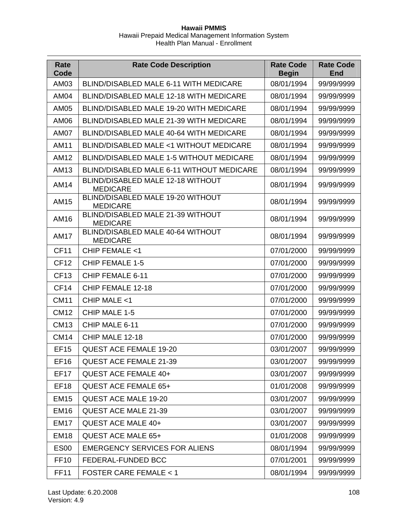| Rate<br>Code     | <b>Rate Code Description</b>                         | <b>Rate Code</b><br><b>Begin</b> | <b>Rate Code</b><br><b>End</b> |
|------------------|------------------------------------------------------|----------------------------------|--------------------------------|
| AM03             | <b>BLIND/DISABLED MALE 6-11 WITH MEDICARE</b>        | 08/01/1994                       | 99/99/9999                     |
| <b>AM04</b>      | BLIND/DISABLED MALE 12-18 WITH MEDICARE              | 08/01/1994                       | 99/99/9999                     |
| <b>AM05</b>      | <b>BLIND/DISABLED MALE 19-20 WITH MEDICARE</b>       | 08/01/1994                       | 99/99/9999                     |
| AM06             | BLIND/DISABLED MALE 21-39 WITH MEDICARE              | 08/01/1994                       | 99/99/9999                     |
| <b>AM07</b>      | BLIND/DISABLED MALE 40-64 WITH MEDICARE              | 08/01/1994                       | 99/99/9999                     |
| AM11             | BLIND/DISABLED MALE <1 WITHOUT MEDICARE              | 08/01/1994                       | 99/99/9999                     |
| AM12             | BLIND/DISABLED MALE 1-5 WITHOUT MEDICARE             | 08/01/1994                       | 99/99/9999                     |
| AM13             | BLIND/DISABLED MALE 6-11 WITHOUT MEDICARE            | 08/01/1994                       | 99/99/9999                     |
| <b>AM14</b>      | BLIND/DISABLED MALE 12-18 WITHOUT<br><b>MEDICARE</b> | 08/01/1994                       | 99/99/9999                     |
| AM15             | BLIND/DISABLED MALE 19-20 WITHOUT<br><b>MEDICARE</b> | 08/01/1994                       | 99/99/9999                     |
| AM16             | BLIND/DISABLED MALE 21-39 WITHOUT<br><b>MEDICARE</b> | 08/01/1994                       | 99/99/9999                     |
| <b>AM17</b>      | BLIND/DISABLED MALE 40-64 WITHOUT<br><b>MEDICARE</b> | 08/01/1994                       | 99/99/9999                     |
| <b>CF11</b>      | CHIP FEMALE <1                                       | 07/01/2000                       | 99/99/9999                     |
| <b>CF12</b>      | <b>CHIP FEMALE 1-5</b>                               | 07/01/2000                       | 99/99/9999                     |
| <b>CF13</b>      | CHIP FEMALE 6-11                                     | 07/01/2000                       | 99/99/9999                     |
| CF <sub>14</sub> | CHIP FEMALE 12-18                                    | 07/01/2000                       | 99/99/9999                     |
| <b>CM11</b>      | CHIP MALE <1                                         | 07/01/2000                       | 99/99/9999                     |
| <b>CM12</b>      | CHIP MALE 1-5                                        | 07/01/2000                       | 99/99/9999                     |
| <b>CM13</b>      | CHIP MALE 6-11                                       | 07/01/2000                       | 99/99/9999                     |
| <b>CM14</b>      | CHIP MALE 12-18                                      | 07/01/2000                       | 99/99/9999                     |
| <b>EF15</b>      | <b>QUEST ACE FEMALE 19-20</b>                        | 03/01/2007                       | 99/99/9999                     |
| <b>EF16</b>      | <b>QUEST ACE FEMALE 21-39</b>                        | 03/01/2007                       | 99/99/9999                     |
| <b>EF17</b>      | QUEST ACE FEMALE 40+                                 | 03/01/2007                       | 99/99/9999                     |
| EF <sub>18</sub> | <b>QUEST ACE FEMALE 65+</b>                          | 01/01/2008                       | 99/99/9999                     |
| <b>EM15</b>      | <b>QUEST ACE MALE 19-20</b>                          | 03/01/2007                       | 99/99/9999                     |
| <b>EM16</b>      | <b>QUEST ACE MALE 21-39</b>                          | 03/01/2007                       | 99/99/9999                     |
| <b>EM17</b>      | QUEST ACE MALE 40+                                   | 03/01/2007                       | 99/99/9999                     |
| <b>EM18</b>      | QUEST ACE MALE 65+                                   | 01/01/2008                       | 99/99/9999                     |
| <b>ES00</b>      | <b>EMERGENCY SERVICES FOR ALIENS</b>                 | 08/01/1994                       | 99/99/9999                     |
| <b>FF10</b>      | FEDERAL-FUNDED BCC                                   | 07/01/2001                       | 99/99/9999                     |
| <b>FF11</b>      | <b>FOSTER CARE FEMALE &lt; 1</b>                     | 08/01/1994                       | 99/99/9999                     |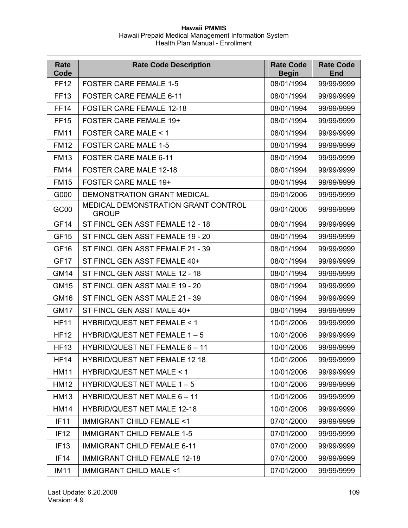| Rate<br>Code     | <b>Rate Code Description</b>                        | <b>Rate Code</b><br><b>Begin</b> | <b>Rate Code</b><br><b>End</b> |
|------------------|-----------------------------------------------------|----------------------------------|--------------------------------|
| <b>FF12</b>      | <b>FOSTER CARE FEMALE 1-5</b>                       | 08/01/1994                       | 99/99/9999                     |
| <b>FF13</b>      | <b>FOSTER CARE FEMALE 6-11</b>                      | 08/01/1994                       | 99/99/9999                     |
| <b>FF14</b>      | <b>FOSTER CARE FEMALE 12-18</b>                     | 08/01/1994                       | 99/99/9999                     |
| <b>FF15</b>      | <b>FOSTER CARE FEMALE 19+</b>                       | 08/01/1994                       | 99/99/9999                     |
| <b>FM11</b>      | <b>FOSTER CARE MALE &lt; 1</b>                      | 08/01/1994                       | 99/99/9999                     |
| <b>FM12</b>      | <b>FOSTER CARE MALE 1-5</b>                         | 08/01/1994                       | 99/99/9999                     |
| <b>FM13</b>      | <b>FOSTER CARE MALE 6-11</b>                        | 08/01/1994                       | 99/99/9999                     |
| <b>FM14</b>      | <b>FOSTER CARE MALE 12-18</b>                       | 08/01/1994                       | 99/99/9999                     |
| <b>FM15</b>      | <b>FOSTER CARE MALE 19+</b>                         | 08/01/1994                       | 99/99/9999                     |
| G000             | DEMONSTRATION GRANT MEDICAL                         | 09/01/2006                       | 99/99/9999                     |
| GC00             | MEDICAL DEMONSTRATION GRANT CONTROL<br><b>GROUP</b> | 09/01/2006                       | 99/99/9999                     |
| GF <sub>14</sub> | ST FINCL GEN ASST FEMALE 12 - 18                    | 08/01/1994                       | 99/99/9999                     |
| <b>GF15</b>      | ST FINCL GEN ASST FEMALE 19 - 20                    | 08/01/1994                       | 99/99/9999                     |
| <b>GF16</b>      | ST FINCL GEN ASST FEMALE 21 - 39                    | 08/01/1994                       | 99/99/9999                     |
| GF <sub>17</sub> | ST FINCL GEN ASST FEMALE 40+                        | 08/01/1994                       | 99/99/9999                     |
| <b>GM14</b>      | ST FINCL GEN ASST MALE 12 - 18                      | 08/01/1994                       | 99/99/9999                     |
| <b>GM15</b>      | ST FINCL GEN ASST MALE 19 - 20                      | 08/01/1994                       | 99/99/9999                     |
| <b>GM16</b>      | ST FINCL GEN ASST MALE 21 - 39                      | 08/01/1994                       | 99/99/9999                     |
| <b>GM17</b>      | ST FINCL GEN ASST MALE 40+                          | 08/01/1994                       | 99/99/9999                     |
| <b>HF11</b>      | <b>HYBRID/QUEST NET FEMALE &lt; 1</b>               | 10/01/2006                       | 99/99/9999                     |
| <b>HF12</b>      | HYBRID/QUEST NET FEMALE 1 - 5                       | 10/01/2006                       | 99/99/9999                     |
| <b>HF13</b>      | HYBRID/QUEST NET FEMALE 6 - 11                      | 10/01/2006                       | 99/99/9999                     |
| <b>HF14</b>      | <b>HYBRID/QUEST NET FEMALE 12 18</b>                | 10/01/2006                       | 99/99/9999                     |
| <b>HM11</b>      | HYBRID/QUEST NET MALE < 1                           | 10/01/2006                       | 99/99/9999                     |
| <b>HM12</b>      | HYBRID/QUEST NET MALE 1-5                           | 10/01/2006                       | 99/99/9999                     |
| <b>HM13</b>      | HYBRID/QUEST NET MALE 6 - 11                        | 10/01/2006                       | 99/99/9999                     |
| <b>HM14</b>      | <b>HYBRID/QUEST NET MALE 12-18</b>                  | 10/01/2006                       | 99/99/9999                     |
| <b>IF11</b>      | <b>IMMIGRANT CHILD FEMALE &lt;1</b>                 | 07/01/2000                       | 99/99/9999                     |
| IF <sub>12</sub> | <b>IMMIGRANT CHILD FEMALE 1-5</b>                   | 07/01/2000                       | 99/99/9999                     |
| IF <sub>13</sub> | <b>IMMIGRANT CHILD FEMALE 6-11</b>                  | 07/01/2000                       | 99/99/9999                     |
| IF14             | <b>IMMIGRANT CHILD FEMALE 12-18</b>                 | 07/01/2000                       | 99/99/9999                     |
| <b>IM11</b>      | <b>IMMIGRANT CHILD MALE &lt;1</b>                   | 07/01/2000                       | 99/99/9999                     |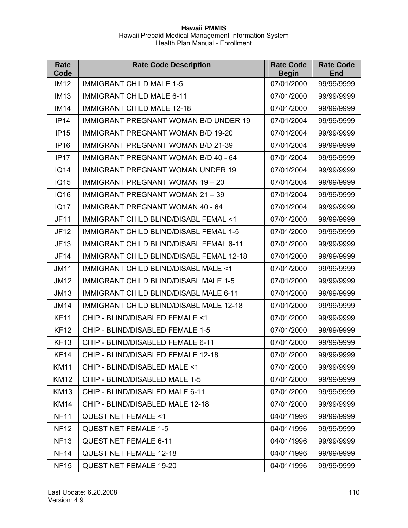| Rate<br>Code | <b>Rate Code Description</b>                   | <b>Rate Code</b><br><b>Begin</b> | <b>Rate Code</b><br><b>End</b> |
|--------------|------------------------------------------------|----------------------------------|--------------------------------|
| <b>IM12</b>  | <b>IMMIGRANT CHILD MALE 1-5</b>                | 07/01/2000                       | 99/99/9999                     |
| <b>IM13</b>  | <b>IMMIGRANT CHILD MALE 6-11</b>               | 07/01/2000                       | 99/99/9999                     |
| <b>IM14</b>  | <b>IMMIGRANT CHILD MALE 12-18</b>              | 07/01/2000                       | 99/99/9999                     |
| IP14         | <b>IMMIGRANT PREGNANT WOMAN B/D UNDER 19</b>   | 07/01/2004                       | 99/99/9999                     |
| IP15         | <b>IMMIGRANT PREGNANT WOMAN B/D 19-20</b>      | 07/01/2004                       | 99/99/9999                     |
| <b>IP16</b>  | <b>IMMIGRANT PREGNANT WOMAN B/D 21-39</b>      | 07/01/2004                       | 99/99/9999                     |
| IP17         | <b>IMMIGRANT PREGNANT WOMAN B/D 40 - 64</b>    | 07/01/2004                       | 99/99/9999                     |
| <b>IQ14</b>  | <b>IMMIGRANT PREGNANT WOMAN UNDER 19</b>       | 07/01/2004                       | 99/99/9999                     |
| <b>IQ15</b>  | <b>IMMIGRANT PREGNANT WOMAN 19 - 20</b>        | 07/01/2004                       | 99/99/9999                     |
| <b>IQ16</b>  | <b>IMMIGRANT PREGNANT WOMAN 21 - 39</b>        | 07/01/2004                       | 99/99/9999                     |
| <b>IQ17</b>  | <b>IMMIGRANT PREGNANT WOMAN 40 - 64</b>        | 07/01/2004                       | 99/99/9999                     |
| <b>JF11</b>  | IMMIGRANT CHILD BLIND/DISABL FEMAL <1          | 07/01/2000                       | 99/99/9999                     |
| <b>JF12</b>  | IMMIGRANT CHILD BLIND/DISABL FEMAL 1-5         | 07/01/2000                       | 99/99/9999                     |
| <b>JF13</b>  | <b>IMMIGRANT CHILD BLIND/DISABL FEMAL 6-11</b> | 07/01/2000                       | 99/99/9999                     |
| <b>JF14</b>  | IMMIGRANT CHILD BLIND/DISABL FEMAL 12-18       | 07/01/2000                       | 99/99/9999                     |
| <b>JM11</b>  | IMMIGRANT CHILD BLIND/DISABL MALE <1           | 07/01/2000                       | 99/99/9999                     |
| <b>JM12</b>  | IMMIGRANT CHILD BLIND/DISABL MALE 1-5          | 07/01/2000                       | 99/99/9999                     |
| <b>JM13</b>  | IMMIGRANT CHILD BLIND/DISABL MALE 6-11         | 07/01/2000                       | 99/99/9999                     |
| <b>JM14</b>  | IMMIGRANT CHILD BLIND/DISABL MALE 12-18        | 07/01/2000                       | 99/99/9999                     |
| <b>KF11</b>  | CHIP - BLIND/DISABLED FEMALE <1                | 07/01/2000                       | 99/99/9999                     |
| <b>KF12</b>  | CHIP - BLIND/DISABLED FEMALE 1-5               | 07/01/2000                       | 99/99/9999                     |
| <b>KF13</b>  | CHIP - BLIND/DISABLED FEMALE 6-11              | 07/01/2000                       | 99/99/9999                     |
| <b>KF14</b>  | CHIP - BLIND/DISABLED FEMALE 12-18             | 07/01/2000                       | 99/99/9999                     |
| <b>KM11</b>  | CHIP - BLIND/DISABLED MALE <1                  | 07/01/2000                       | 99/99/9999                     |
| <b>KM12</b>  | CHIP - BLIND/DISABLED MALE 1-5                 | 07/01/2000                       | 99/99/9999                     |
| <b>KM13</b>  | CHIP - BLIND/DISABLED MALE 6-11                | 07/01/2000                       | 99/99/9999                     |
| <b>KM14</b>  | CHIP - BLIND/DISABLED MALE 12-18               | 07/01/2000                       | 99/99/9999                     |
| <b>NF11</b>  | <b>QUEST NET FEMALE &lt;1</b>                  | 04/01/1996                       | 99/99/9999                     |
| <b>NF12</b>  | <b>QUEST NET FEMALE 1-5</b>                    | 04/01/1996                       | 99/99/9999                     |
| <b>NF13</b>  | <b>QUEST NET FEMALE 6-11</b>                   | 04/01/1996                       | 99/99/9999                     |
| <b>NF14</b>  | <b>QUEST NET FEMALE 12-18</b>                  | 04/01/1996                       | 99/99/9999                     |
| <b>NF15</b>  | <b>QUEST NET FEMALE 19-20</b>                  | 04/01/1996                       | 99/99/9999                     |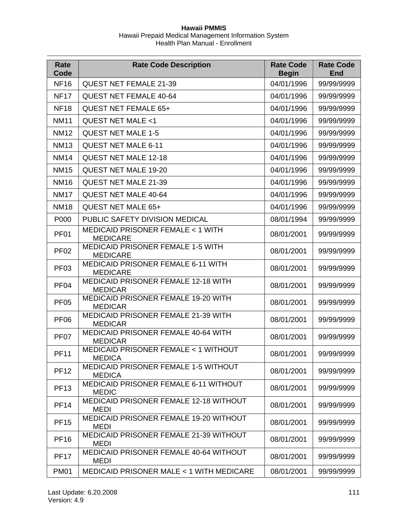| Rate<br>Code     | <b>Rate Code Description</b>                                        | <b>Rate Code</b><br><b>Begin</b> | <b>Rate Code</b><br><b>End</b> |
|------------------|---------------------------------------------------------------------|----------------------------------|--------------------------------|
| <b>NF16</b>      | <b>QUEST NET FEMALE 21-39</b>                                       | 04/01/1996                       | 99/99/9999                     |
| <b>NF17</b>      | <b>QUEST NET FEMALE 40-64</b>                                       | 04/01/1996                       | 99/99/9999                     |
| <b>NF18</b>      | <b>QUEST NET FEMALE 65+</b>                                         | 04/01/1996                       | 99/99/9999                     |
| <b>NM11</b>      | QUEST NET MALE <1                                                   | 04/01/1996                       | 99/99/9999                     |
| <b>NM12</b>      | <b>QUEST NET MALE 1-5</b>                                           | 04/01/1996                       | 99/99/9999                     |
| <b>NM13</b>      | <b>QUEST NET MALE 6-11</b>                                          | 04/01/1996                       | 99/99/9999                     |
| <b>NM14</b>      | <b>QUEST NET MALE 12-18</b>                                         | 04/01/1996                       | 99/99/9999                     |
| <b>NM15</b>      | <b>QUEST NET MALE 19-20</b>                                         | 04/01/1996                       | 99/99/9999                     |
| <b>NM16</b>      | <b>QUEST NET MALE 21-39</b>                                         | 04/01/1996                       | 99/99/9999                     |
| <b>NM17</b>      | <b>QUEST NET MALE 40-64</b>                                         | 04/01/1996                       | 99/99/9999                     |
| <b>NM18</b>      | QUEST NET MALE 65+                                                  | 04/01/1996                       | 99/99/9999                     |
| P000             | PUBLIC SAFETY DIVISION MEDICAL                                      | 08/01/1994                       | 99/99/9999                     |
| PF <sub>01</sub> | MEDICAID PRISONER FEMALE < 1 WITH<br><b>MEDICARE</b>                | 08/01/2001                       | 99/99/9999                     |
| PF <sub>02</sub> | <b>MEDICAID PRISONER FEMALE 1-5 WITH</b><br><b>MEDICARE</b>         | 08/01/2001                       | 99/99/9999                     |
| PF <sub>03</sub> | <b>MEDICAID PRISONER FEMALE 6-11 WITH</b><br><b>MEDICARE</b>        | 08/01/2001                       | 99/99/9999                     |
| PF <sub>04</sub> | <b>MEDICAID PRISONER FEMALE 12-18 WITH</b><br><b>MEDICAR</b>        | 08/01/2001                       | 99/99/9999                     |
| <b>PF05</b>      | <b>MEDICAID PRISONER FEMALE 19-20 WITH</b><br><b>MEDICAR</b>        | 08/01/2001                       | 99/99/9999                     |
| <b>PF06</b>      | MEDICAID PRISONER FEMALE 21-39 WITH<br>08/01/2001<br><b>MEDICAR</b> |                                  | 99/99/9999                     |
| PF <sub>07</sub> | MEDICAID PRISONER FEMALE 40-64 WITH<br><b>MEDICAR</b>               | 08/01/2001                       | 99/99/9999                     |
| <b>PF11</b>      | MEDICAID PRISONER FEMALE < 1 WITHOUT<br><b>MEDICA</b>               | 08/01/2001                       | 99/99/9999                     |
| <b>PF12</b>      | <b>MEDICAID PRISONER FEMALE 1-5 WITHOUT</b><br><b>MEDICA</b>        | 08/01/2001                       | 99/99/9999                     |
| <b>PF13</b>      | <b>MEDICAID PRISONER FEMALE 6-11 WITHOUT</b><br><b>MEDIC</b>        | 08/01/2001                       | 99/99/9999                     |
| <b>PF14</b>      | <b>MEDICAID PRISONER FEMALE 12-18 WITHOUT</b><br><b>MEDI</b>        | 08/01/2001                       | 99/99/9999                     |
| <b>PF15</b>      | <b>MEDICAID PRISONER FEMALE 19-20 WITHOUT</b><br><b>MEDI</b>        | 08/01/2001                       | 99/99/9999                     |
| <b>PF16</b>      | <b>MEDICAID PRISONER FEMALE 21-39 WITHOUT</b><br><b>MEDI</b>        | 08/01/2001                       | 99/99/9999                     |
| <b>PF17</b>      | <b>MEDICAID PRISONER FEMALE 40-64 WITHOUT</b><br><b>MEDI</b>        | 08/01/2001                       | 99/99/9999                     |
| <b>PM01</b>      | MEDICAID PRISONER MALE < 1 WITH MEDICARE                            | 08/01/2001                       | 99/99/9999                     |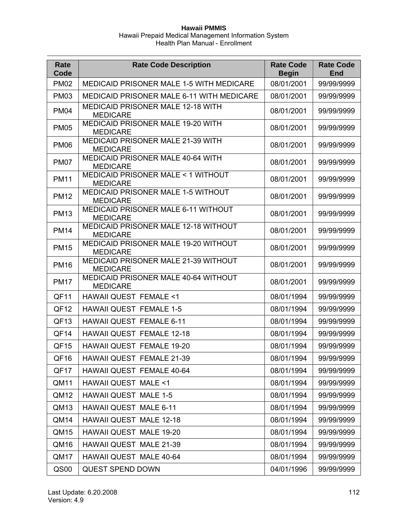| Rate<br>Code     | <b>Rate Code Description</b>                                  | <b>Rate Code</b><br><b>Begin</b> | <b>Rate Code</b><br><b>End</b> |
|------------------|---------------------------------------------------------------|----------------------------------|--------------------------------|
| <b>PM02</b>      | <b>MEDICAID PRISONER MALE 1-5 WITH MEDICARE</b>               | 08/01/2001                       | 99/99/9999                     |
| <b>PM03</b>      | <b>MEDICAID PRISONER MALE 6-11 WITH MEDICARE</b>              | 08/01/2001                       | 99/99/9999                     |
| <b>PM04</b>      | <b>MEDICAID PRISONER MALE 12-18 WITH</b><br><b>MEDICARE</b>   | 08/01/2001                       | 99/99/9999                     |
| <b>PM05</b>      | MEDICAID PRISONER MALE 19-20 WITH<br><b>MEDICARE</b>          | 08/01/2001                       | 99/99/9999                     |
| <b>PM06</b>      | MEDICAID PRISONER MALE 21-39 WITH<br><b>MEDICARE</b>          | 08/01/2001                       | 99/99/9999                     |
| <b>PM07</b>      | <b>MEDICAID PRISONER MALE 40-64 WITH</b><br><b>MEDICARE</b>   | 08/01/2001                       | 99/99/9999                     |
| <b>PM11</b>      | MEDICAID PRISONER MALE < 1 WITHOUT<br><b>MEDICARE</b>         | 08/01/2001                       | 99/99/9999                     |
| <b>PM12</b>      | MEDICAID PRISONER MALE 1-5 WITHOUT<br><b>MEDICARE</b>         | 08/01/2001                       | 99/99/9999                     |
| <b>PM13</b>      | <b>MEDICAID PRISONER MALE 6-11 WITHOUT</b><br><b>MEDICARE</b> | 08/01/2001                       | 99/99/9999                     |
| <b>PM14</b>      | MEDICAID PRISONER MALE 12-18 WITHOUT<br><b>MEDICARE</b>       | 08/01/2001                       | 99/99/9999                     |
| <b>PM15</b>      | MEDICAID PRISONER MALE 19-20 WITHOUT<br><b>MEDICARE</b>       | 08/01/2001                       | 99/99/9999                     |
| <b>PM16</b>      | MEDICAID PRISONER MALE 21-39 WITHOUT<br><b>MEDICARE</b>       | 08/01/2001                       | 99/99/9999                     |
| <b>PM17</b>      | MEDICAID PRISONER MALE 40-64 WITHOUT<br><b>MEDICARE</b>       | 08/01/2001                       | 99/99/9999                     |
| QF11             | <b>HAWAII QUEST FEMALE &lt;1</b>                              | 08/01/1994                       | 99/99/9999                     |
| QF <sub>12</sub> | <b>HAWAII QUEST FEMALE 1-5</b>                                | 08/01/1994                       | 99/99/9999                     |
| QF <sub>13</sub> | <b>HAWAII QUEST FEMALE 6-11</b>                               | 08/01/1994                       | 99/99/9999                     |
| QF <sub>14</sub> | <b>HAWAII QUEST FEMALE 12-18</b>                              | 08/01/1994                       | 99/99/9999                     |
| QF <sub>15</sub> | <b>HAWAII QUEST FEMALE 19-20</b>                              | 08/01/1994                       | 99/99/9999                     |
| QF16             | HAWAII QUEST FEMALE 21-39                                     | 08/01/1994                       | 99/99/9999                     |
| QF <sub>17</sub> | HAWAII QUEST FEMALE 40-64                                     | 08/01/1994                       | 99/99/9999                     |
| QM11             | <b>HAWAII QUEST MALE &lt;1</b>                                | 08/01/1994                       | 99/99/9999                     |
| QM <sub>12</sub> | <b>HAWAII QUEST MALE 1-5</b>                                  | 08/01/1994                       | 99/99/9999                     |
| QM <sub>13</sub> | <b>HAWAII QUEST MALE 6-11</b>                                 | 08/01/1994                       | 99/99/9999                     |
| QM14             | <b>HAWAII QUEST MALE 12-18</b>                                | 08/01/1994                       | 99/99/9999                     |
| QM15             | HAWAII QUEST MALE 19-20                                       | 08/01/1994                       | 99/99/9999                     |
| QM16             | HAWAII QUEST MALE 21-39                                       | 08/01/1994                       | 99/99/9999                     |
| QM17             | HAWAII QUEST MALE 40-64                                       | 08/01/1994                       | 99/99/9999                     |
| QS00             | <b>QUEST SPEND DOWN</b>                                       | 04/01/1996                       | 99/99/9999                     |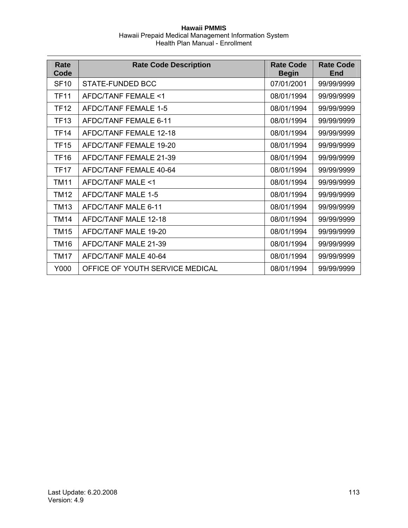| Rate<br>Code | <b>Rate Code Description</b>    | <b>Rate Code</b><br><b>Begin</b> | <b>Rate Code</b><br>End |
|--------------|---------------------------------|----------------------------------|-------------------------|
| <b>SF10</b>  | STATE-FUNDED BCC                | 07/01/2001                       | 99/99/9999              |
| <b>TF11</b>  | AFDC/TANF FEMALE <1             | 08/01/1994                       | 99/99/9999              |
| <b>TF12</b>  | AFDC/TANF FEMALE 1-5            | 08/01/1994                       | 99/99/9999              |
| <b>TF13</b>  | AFDC/TANF FFMALF 6-11           | 08/01/1994                       | 99/99/9999              |
| <b>TF14</b>  | AFDC/TANF FEMALE 12-18          | 08/01/1994                       | 99/99/9999              |
| <b>TF15</b>  | AFDC/TANF FEMALE 19-20          | 08/01/1994                       | 99/99/9999              |
| <b>TF16</b>  | AFDC/TANF FEMALE 21-39          | 08/01/1994                       | 99/99/9999              |
| <b>TF17</b>  | AFDC/TANF FEMALE 40-64          | 08/01/1994                       | 99/99/9999              |
| <b>TM11</b>  | AFDC/TANF MALE <1               | 08/01/1994                       | 99/99/9999              |
| <b>TM12</b>  | AFDC/TANF MALE 1-5              | 08/01/1994                       | 99/99/9999              |
| <b>TM13</b>  | AFDC/TANF MALE 6-11             | 08/01/1994                       | 99/99/9999              |
| <b>TM14</b>  | AFDC/TANF MALE 12-18            | 08/01/1994                       | 99/99/9999              |
| <b>TM15</b>  | AFDC/TANF MALE 19-20            | 08/01/1994                       | 99/99/9999              |
| <b>TM16</b>  | AFDC/TANF MALE 21-39            | 08/01/1994                       | 99/99/9999              |
| <b>TM17</b>  | AFDC/TANF MALE 40-64            | 08/01/1994                       | 99/99/9999              |
| Y000         | OFFICE OF YOUTH SERVICE MEDICAL | 08/01/1994                       | 99/99/9999              |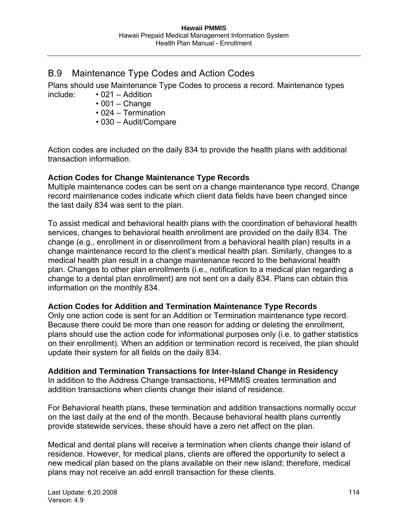# B.9 Maintenance Type Codes and Action Codes

Plans should use Maintenance Type Codes to process a record. Maintenance types include: • 021 – Addition

- $\cdot$  001 Change
- 024 Termination
- 030 Audit/Compare

Action codes are included on the daily 834 to provide the health plans with additional transaction information.

# **Action Codes for Change Maintenance Type Records**

Multiple maintenance codes can be sent on a change maintenance type record. Change record maintenance codes indicate which client data fields have been changed since the last daily 834 was sent to the plan.

To assist medical and behavioral health plans with the coordination of behavioral health services, changes to behavioral health enrollment are provided on the daily 834. The change (e.g., enrollment in or disenrollment from a behavioral health plan) results in a change maintenance record to the client's medical health plan. Similarly, changes to a medical health plan result in a change maintenance record to the behavioral health plan. Changes to other plan enrollments (i.e., notification to a medical plan regarding a change to a dental plan enrollment) are not sent on a daily 834. Plans can obtain this information on the monthly 834.

## **Action Codes for Addition and Termination Maintenance Type Records**

Only one action code is sent for an Addition or Termination maintenance type record. Because there could be more than one reason for adding or deleting the enrollment, plans should use the action code for informational purposes only (i.e. to gather statistics on their enrollment). When an addition or termination record is received, the plan should update their system for all fields on the daily 834.

## **Addition and Termination Transactions for Inter-Island Change in Residency**

In addition to the Address Change transactions, HPMMIS creates termination and addition transactions when clients change their island of residence.

For Behavioral health plans, these termination and addition transactions normally occur on the last daily at the end of the month. Because behavioral health plans currently provide statewide services, these should have a zero net affect on the plan.

Medical and dental plans will receive a termination when clients change their island of residence. However, for medical plans, clients are offered the opportunity to select a new medical plan based on the plans available on their new island; therefore, medical plans may not receive an add enroll transaction for these clients.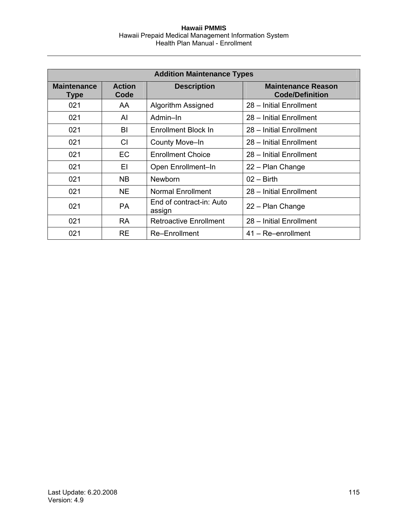| <b>Addition Maintenance Types</b> |                       |                                    |                                                     |
|-----------------------------------|-----------------------|------------------------------------|-----------------------------------------------------|
| <b>Maintenance</b><br>Type        | <b>Action</b><br>Code | <b>Description</b>                 | <b>Maintenance Reason</b><br><b>Code/Definition</b> |
| 021                               | AA                    | Algorithm Assigned                 | 28 - Initial Enrollment                             |
| 021                               | AI                    | Admin-In                           | 28 - Initial Enrollment                             |
| 021                               | BI                    | Enrollment Block In                | 28 - Initial Enrollment                             |
| 021                               | <b>CI</b>             | County Move-In                     | 28 - Initial Enrollment                             |
| 021                               | <b>EC</b>             | <b>Enrollment Choice</b>           | 28 - Initial Enrollment                             |
| 021                               | EI                    | Open Enrollment-In                 | 22 - Plan Change                                    |
| 021                               | NB.                   | <b>Newborn</b>                     | $02 - Birth$                                        |
| 021                               | <b>NE</b>             | <b>Normal Enrollment</b>           | 28 - Initial Enrollment                             |
| 021                               | <b>PA</b>             | End of contract-in: Auto<br>assign | 22 - Plan Change                                    |
| 021                               | <b>RA</b>             | <b>Retroactive Enrollment</b>      | 28 - Initial Enrollment                             |
| 021                               | <b>RE</b>             | Re-Enrollment                      | $41 - Re-enrollment$                                |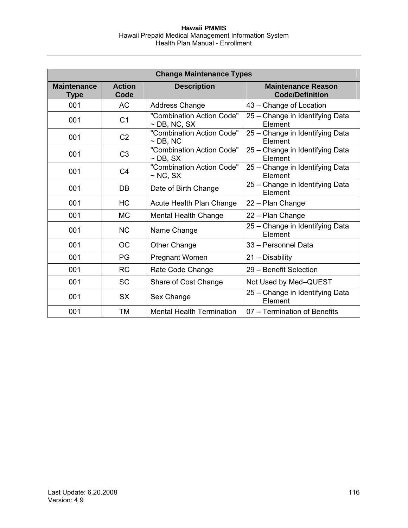| <b>Change Maintenance Types</b>   |                       |                                                |                                                     |  |
|-----------------------------------|-----------------------|------------------------------------------------|-----------------------------------------------------|--|
| <b>Maintenance</b><br><b>Type</b> | <b>Action</b><br>Code | <b>Description</b>                             | <b>Maintenance Reason</b><br><b>Code/Definition</b> |  |
| 001                               | <b>AC</b>             | <b>Address Change</b>                          | 43 – Change of Location                             |  |
| 001                               | C <sub>1</sub>        | "Combination Action Code"<br>$\sim$ DB, NC, SX | 25 - Change in Identifying Data<br>Element          |  |
| 001                               | C <sub>2</sub>        | "Combination Action Code"<br>$\sim$ DB, NC     | 25 - Change in Identifying Data<br>Element          |  |
| 001                               | C <sub>3</sub>        | "Combination Action Code"<br>$\sim$ DB, SX     | 25 - Change in Identifying Data<br>Element          |  |
| 001                               | C <sub>4</sub>        | "Combination Action Code"<br>$\sim$ NC, SX     | 25 - Change in Identifying Data<br>Element          |  |
| 001                               | DB                    | Date of Birth Change                           | 25 - Change in Identifying Data<br>Element          |  |
| 001                               | <b>HC</b>             | Acute Health Plan Change                       | 22 - Plan Change                                    |  |
| 001                               | <b>MC</b>             | <b>Mental Health Change</b>                    | 22 - Plan Change                                    |  |
| 001                               | <b>NC</b>             | Name Change                                    | 25 - Change in Identifying Data<br>Element          |  |
| 001                               | <b>OC</b>             | Other Change                                   | 33 - Personnel Data                                 |  |
| 001                               | PG                    | Pregnant Women                                 | 21 - Disability                                     |  |
| 001                               | <b>RC</b>             | Rate Code Change                               | 29 - Benefit Selection                              |  |
| 001                               | <b>SC</b>             | Share of Cost Change                           | Not Used by Med-QUEST                               |  |
| 001                               | <b>SX</b>             | Sex Change                                     | 25 - Change in Identifying Data<br>Element          |  |
| 001                               | TM                    | <b>Mental Health Termination</b>               | 07 - Termination of Benefits                        |  |